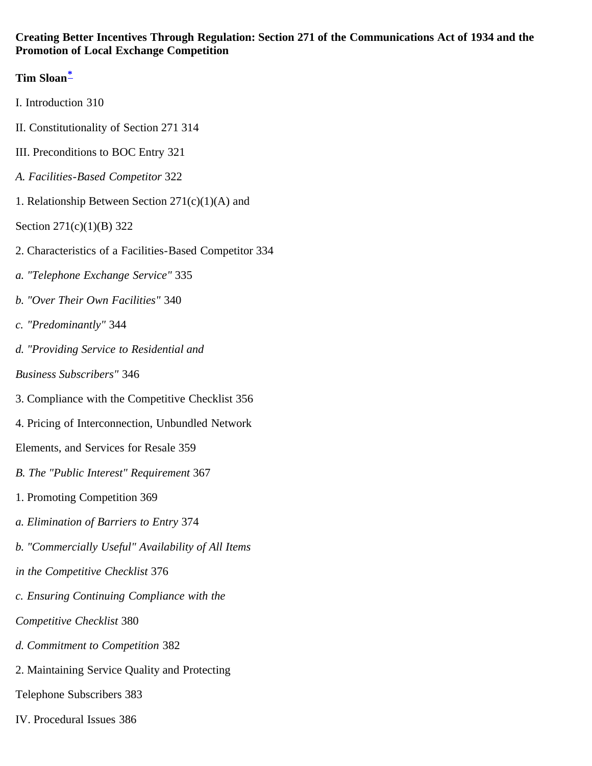#### <span id="page-0-0"></span>**Creating Better Incentives Through Regulation: Section 271 of the Communications Act of 1934 and the Promotion of Local Exchange Competition**

# **Tim Sloan[\\*](#page-31-0)**

- I. Introduction 310
- II. Constitutionality of Section 271 314
- III. Preconditions to BOC Entry 321
- *A. Facilities-Based Competitor* 322
- 1. Relationship Between Section  $271(c)(1)(A)$  and
- Section 271(c)(1)(B) 322
- 2. Characteristics of a Facilities-Based Competitor 334
- *a. "Telephone Exchange Service"* 335
- *b. "Over Their Own Facilities"* 340
- *c. "Predominantly"* 344
- *d. "Providing Service to Residential and*
- *Business Subscribers"* 346
- 3. Compliance with the Competitive Checklist 356
- 4. Pricing of Interconnection, Unbundled Network
- Elements, and Services for Resale 359
- *B. The "Public Interest" Requirement* 367
- 1. Promoting Competition 369
- *a. Elimination of Barriers to Entry* 374
- *b. "Commercially Useful" Availability of All Items*
- *in the Competitive Checklist* 376
- *c. Ensuring Continuing Compliance with the*
- *Competitive Checklist* 380
- *d. Commitment to Competition* 382
- 2. Maintaining Service Quality and Protecting
- Telephone Subscribers 383
- IV. Procedural Issues 386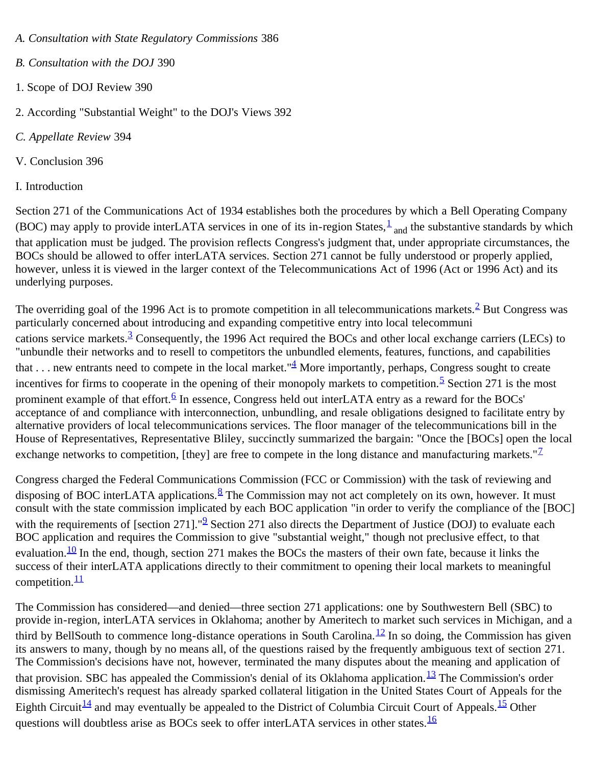- *A. Consultation with State Regulatory Commissions* 386
- *B. Consultation with the DOJ* 390
- 1. Scope of DOJ Review 390
- 2. According "Substantial Weight" to the DOJ's Views 392
- *C. Appellate Review* 394
- V. Conclusion 396
- I. Introduction

Section 271 of the Communications Act of 1934 establishes both the procedures by which a Bell Operating Company (BOC) may apply to provide interLATA services in one of its in-region States, $\frac{1}{2}$  $\frac{1}{2}$  $\frac{1}{2}$  and the substantive standards by which that application must be judged. The provision reflects Congress's judgment that, under appropriate circumstances, the BOCs should be allowed to offer interLATA services. Section 271 cannot be fully understood or properly applied, however, unless it is viewed in the larger context of the Telecommunications Act of 1996 (Act or 1996 Act) and its underlying purposes.

The overriding goal of the 1996 Act is to promote competition in all telecommunications markets.  $\frac{2}{3}$  But Congress was particularly concerned about introducing and expanding competitive entry into local telecommuni cations service markets.<sup>[3](#page-31-3)</sup> Consequently, the 1996 Act required the BOCs and other local exchange carriers (LECs) to "unbundle their networks and to resell to competitors the unbundled elements, features, functions, and capabilities that . . . new entrants need to compete in the local market." $\frac{4}{3}$  $\frac{4}{3}$  $\frac{4}{3}$  More importantly, perhaps, Congress sought to create incentives for firms to cooperate in the opening of their monopoly markets to competition.<sup>[5](#page-32-0)</sup> Section 271 is the most prominent example of that effort.<sup>[6](#page-32-1)</sup> In essence, Congress held out interLATA entry as a reward for the BOCs' acceptance of and compliance with interconnection, unbundling, and resale obligations designed to facilitate entry by alternative providers of local telecommunications services. The floor manager of the telecommunications bill in the House of Representatives, Representative Bliley, succinctly summarized the bargain: "Once the [BOCs] open the local exchange networks to competition, [they] are free to compete in the long distance and manufacturing markets." $\mathbb{Z}$ 

Congress charged the Federal Communications Commission (FCC or Commission) with the task of reviewing and disposing of BOC interLATA applications.  $\frac{8}{3}$  $\frac{8}{3}$  $\frac{8}{3}$  The Commission may not act completely on its own, however. It must consult with the state commission implicated by each BOC application "in order to verify the compliance of the [BOC] with the requirements of [section 271]." $\frac{9}{2}$  Section 271 also directs the Department of Justice (DOJ) to evaluate each BOC application and requires the Commission to give "substantial weight," though not preclusive effect, to that evaluation.<sup>[10](#page-32-5)</sup> In the end, though, section 271 makes the BOCs the masters of their own fate, because it links the success of their interLATA applications directly to their commitment to opening their local markets to meaningful competition. $\frac{11}{1}$  $\frac{11}{1}$  $\frac{11}{1}$ 

The Commission has considered—and denied—three section 271 applications: one by Southwestern Bell (SBC) to provide in-region, interLATA services in Oklahoma; another by Ameritech to market such services in Michigan, and a third by BellSouth to commence long-distance operations in South Carolina.<sup>12</sup> In so doing, the Commission has given its answers to many, though by no means all, of the questions raised by the frequently ambiguous text of section 271. The Commission's decisions have not, however, terminated the many disputes about the meaning and application of that provision. SBC has appealed the Commission's denial of its Oklahoma application.  $\frac{13}{12}$  $\frac{13}{12}$  $\frac{13}{12}$  The Commission's order dismissing Ameritech's request has already sparked collateral litigation in the United States Court of Appeals for the Eighth Circuit<sup>14</sup> and may eventually be appealed to the District of Columbia Circuit Court of Appeals.<sup>15</sup> Other questions will doubtless arise as BOCs seek to offer interLATA services in other states.  $\frac{16}{10}$  $\frac{16}{10}$  $\frac{16}{10}$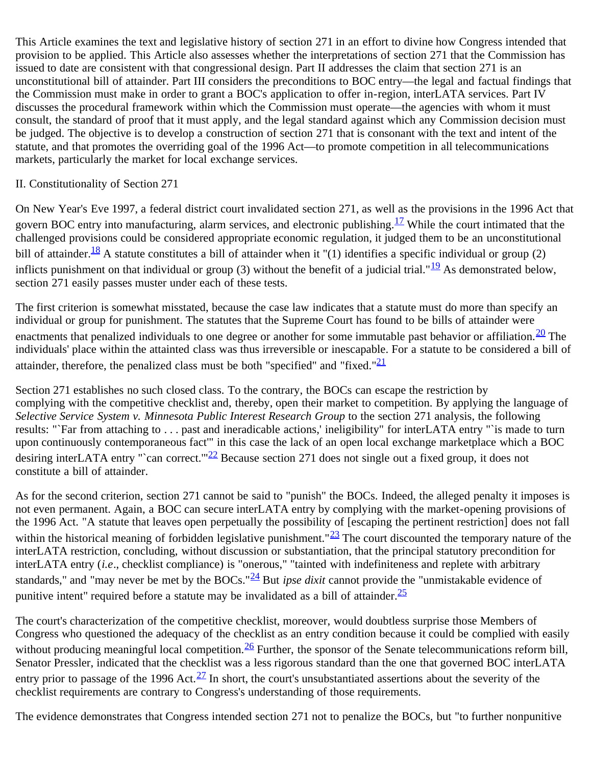This Article examines the text and legislative history of section 271 in an effort to divine how Congress intended that provision to be applied. This Article also assesses whether the interpretations of section 271 that the Commission has issued to date are consistent with that congressional design. Part II addresses the claim that section 271 is an unconstitutional bill of attainder. Part III considers the preconditions to BOC entry—the legal and factual findings that the Commission must make in order to grant a BOC's application to offer in-region, interLATA services. Part IV discusses the procedural framework within which the Commission must operate—the agencies with whom it must consult, the standard of proof that it must apply, and the legal standard against which any Commission decision must be judged. The objective is to develop a construction of section 271 that is consonant with the text and intent of the statute, and that promotes the overriding goal of the 1996 Act—to promote competition in all telecommunications markets, particularly the market for local exchange services.

#### II. Constitutionality of Section 271

On New Year's Eve 1997, a federal district court invalidated section 271, as well as the provisions in the 1996 Act that govern BOC entry into manufacturing, alarm services, and electronic publishing.  $^{17}$  $^{17}$  $^{17}$  While the court intimated that the challenged provisions could be considered appropriate economic regulation, it judged them to be an unconstitutional bill of attainder.<sup>18</sup> A statute constitutes a bill of attainder when it "(1) identifies a specific individual or group (2) inflicts punishment on that individual or group (3) without the benefit of a judicial trial."<sup>19</sup> As demonstrated below, section 271 easily passes muster under each of these tests.

The first criterion is somewhat misstated, because the case law indicates that a statute must do more than specify an individual or group for punishment. The statutes that the Supreme Court has found to be bills of attainder were enactments that penalized individuals to one degree or another for some immutable past behavior or affiliation.  $\frac{20}{10}$  The individuals' place within the attainted class was thus irreversible or inescapable. For a statute to be considered a bill of attainder, therefore, the penalized class must be both "specified" and "fixed." $\frac{21}{21}$  $\frac{21}{21}$  $\frac{21}{21}$ 

Section 271 establishes no such closed class. To the contrary, the BOCs can escape the restriction by complying with the competitive checklist and, thereby, open their market to competition. By applying the language of *Selective Service System v. Minnesota Public Interest Research Group* to the section 271 analysis, the following results: "`Far from attaching to . . . past and ineradicable actions,' ineligibility" for interLATA entry "`is made to turn upon continuously contemporaneous fact'" in this case the lack of an open local exchange marketplace which a BOC desiring interLATA entry "'can correct."<sup>22</sup> Because section 271 does not single out a fixed group, it does not constitute a bill of attainder.

As for the second criterion, section 271 cannot be said to "punish" the BOCs. Indeed, the alleged penalty it imposes is not even permanent. Again, a BOC can secure interLATA entry by complying with the market-opening provisions of the 1996 Act. "A statute that leaves open perpetually the possibility of [escaping the pertinent restriction] does not fall within the historical meaning of forbidden legislative punishment." $\frac{23}{2}$  The court discounted the temporary nature of the interLATA restriction, concluding, without discussion or substantiation, that the principal statutory precondition for interLATA entry (*i.e*., checklist compliance) is "onerous," "tainted with indefiniteness and replete with arbitrary standards," and "may never be met by the BOCs."[24](#page-33-9) But *ipse dixit* cannot provide the "unmistakable evidence of punitive intent" required before a statute may be invalidated as a bill of attainder. $\frac{25}{5}$  $\frac{25}{5}$  $\frac{25}{5}$ 

The court's characterization of the competitive checklist, moreover, would doubtless surprise those Members of Congress who questioned the adequacy of the checklist as an entry condition because it could be complied with easily without producing meaningful local competition.  $\frac{26}{5}$  Further, the sponsor of the Senate telecommunications reform bill, Senator Pressler, indicated that the checklist was a less rigorous standard than the one that governed BOC interLATA entry prior to passage of the 1996 Act. $\frac{27}{10}$  In short, the court's unsubstantiated assertions about the severity of the checklist requirements are contrary to Congress's understanding of those requirements.

The evidence demonstrates that Congress intended section 271 not to penalize the BOCs, but "to further nonpunitive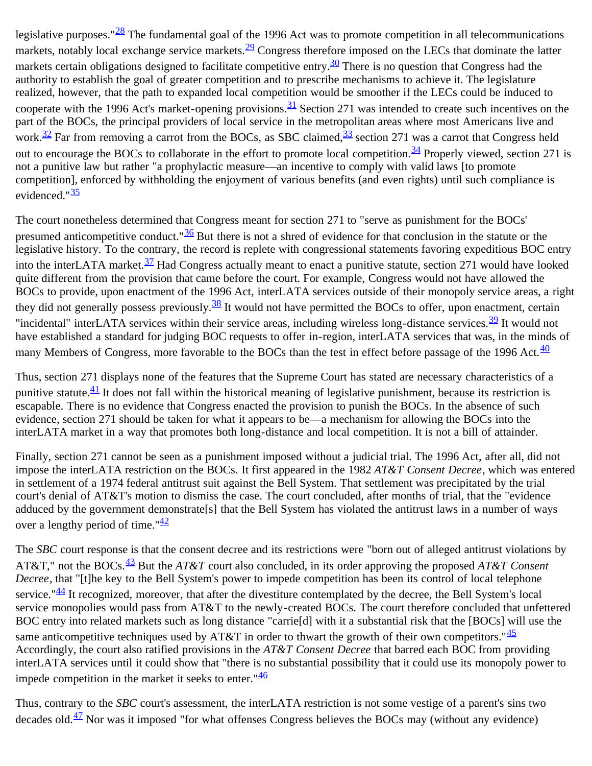legislative purposes." $28$  The fundamental goal of the 1996 Act was to promote competition in all telecommunications markets, notably local exchange service markets.<sup>29</sup> Congress therefore imposed on the LECs that dominate the latter markets certain obligations designed to facilitate competitive entry.<sup>30</sup> There is no question that Congress had the authority to establish the goal of greater competition and to prescribe mechanisms to achieve it. The legislature realized, however, that the path to expanded local competition would be smoother if the LECs could be induced to cooperate with the 1996 Act's market-opening provisions.  $\frac{31}{2}$  $\frac{31}{2}$  $\frac{31}{2}$  Section 271 was intended to create such incentives on the part of the BOCs, the principal providers of local service in the metropolitan areas where most Americans live and work.<sup>32</sup> Far from removing a carrot from the BOCs, as SBC claimed,<sup>33</sup> section 271 was a carrot that Congress held out to encourage the BOCs to collaborate in the effort to promote local competition.  $\frac{34}{1}$  Properly viewed, section 271 is not a punitive law but rather "a prophylactic measure—an incentive to comply with valid laws [to promote competition], enforced by withholding the enjoyment of various benefits (and even rights) until such compliance is evidenced." $\frac{35}{2}$  $\frac{35}{2}$  $\frac{35}{2}$ 

The court nonetheless determined that Congress meant for section 271 to "serve as punishment for the BOCs' presumed anticompetitive conduct." $\frac{36}{2}$  But there is not a shred of evidence for that conclusion in the statute or the legislative history. To the contrary, the record is replete with congressional statements favoring expeditious BOC entry into the interLATA market.  $\frac{37}{2}$  Had Congress actually meant to enact a punitive statute, section 271 would have looked quite different from the provision that came before the court. For example, Congress would not have allowed the BOCs to provide, upon enactment of the 1996 Act, interLATA services outside of their monopoly service areas, a right they did not generally possess previously.<sup>[38](#page-34-12)</sup> It would not have permitted the BOCs to offer, upon enactment, certain "incidental" interLATA services within their service areas, including wireless long-distance services.  $\frac{39}{11}$  It would not have established a standard for judging BOC requests to offer in-region, interLATA services that was, in the minds of many Members of Congress, more favorable to the BOCs than the test in effect before passage of the 1996 Act.<sup>[40](#page-34-14)</sup>

Thus, section 271 displays none of the features that the Supreme Court has stated are necessary characteristics of a punitive statute. $\frac{41}{ }$  $\frac{41}{ }$  $\frac{41}{ }$  It does not fall within the historical meaning of legislative punishment, because its restriction is escapable. There is no evidence that Congress enacted the provision to punish the BOCs. In the absence of such evidence, section 271 should be taken for what it appears to be—a mechanism for allowing the BOCs into the interLATA market in a way that promotes both long-distance and local competition. It is not a bill of attainder.

Finally, section 271 cannot be seen as a punishment imposed without a judicial trial. The 1996 Act, after all, did not impose the interLATA restriction on the BOCs. It first appeared in the 1982 *AT&T Consent Decree*, which was entered in settlement of a 1974 federal antitrust suit against the Bell System. That settlement was precipitated by the trial court's denial of AT&T's motion to dismiss the case. The court concluded, after months of trial, that the "evidence adduced by the government demonstrate[s] that the Bell System has violated the antitrust laws in a number of ways over a lengthy period of time." $\frac{42}{3}$  $\frac{42}{3}$  $\frac{42}{3}$ 

The *SBC* court response is that the consent decree and its restrictions were "born out of alleged antitrust violations by AT&T," not the BOCs.[43](#page-35-2) But the *AT&T* court also concluded, in its order approving the proposed *AT&T Consent Decree*, that "[t]he key to the Bell System's power to impede competition has been its control of local telephone service." $44$  It recognized, moreover, that after the divestiture contemplated by the decree, the Bell System's local service monopolies would pass from AT&T to the newly-created BOCs. The court therefore concluded that unfettered BOC entry into related markets such as long distance "carrie[d] with it a substantial risk that the [BOCs] will use the same anticompetitive techniques used by AT&T in order to thwart the growth of their own competitors. " $\frac{45}{5}$  $\frac{45}{5}$  $\frac{45}{5}$ Accordingly, the court also ratified provisions in the *AT&T Consent Decree* that barred each BOC from providing interLATA services until it could show that "there is no substantial possibility that it could use its monopoly power to impede competition in the market it seeks to enter." $\frac{46}{5}$  $\frac{46}{5}$  $\frac{46}{5}$ 

Thus, contrary to the *SBC* court's assessment, the interLATA restriction is not some vestige of a parent's sins two decades old. $\frac{47}{1}$  Nor was it imposed "for what offenses Congress believes the BOCs may (without any evidence)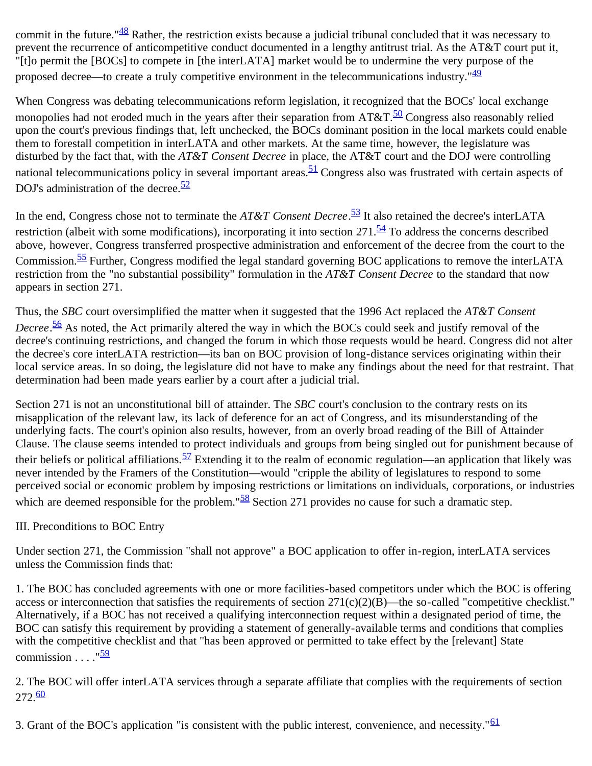commit in the future."<sup>[48](#page-35-7)</sup> Rather, the restriction exists because a judicial tribunal concluded that it was necessary to prevent the recurrence of anticompetitive conduct documented in a lengthy antitrust trial. As the AT&T court put it, "[t]o permit the [BOCs] to compete in [the interLATA] market would be to undermine the very purpose of the proposed decree—to create a truly competitive environment in the telecommunications industry." $\frac{49}{2}$  $\frac{49}{2}$  $\frac{49}{2}$ 

When Congress was debating telecommunications reform legislation, it recognized that the BOCs' local exchange monopolies had not eroded much in the years after their separation from  $AT&T.\frac{50}{30}$  Congress also reasonably relied upon the court's previous findings that, left unchecked, the BOCs dominant position in the local markets could enable them to forestall competition in interLATA and other markets. At the same time, however, the legislature was disturbed by the fact that, with the *AT&T Consent Decree* in place, the AT&T court and the DOJ were controlling national telecommunications policy in several important areas.  $51$  Congress also was frustrated with certain aspects of DOJ's administration of the decree. $\frac{52}{52}$  $\frac{52}{52}$  $\frac{52}{52}$ 

In the end, Congress chose not to terminate the *AT&T Consent Decree*. [53](#page-36-1) It also retained the decree's interLATA restriction (albeit with some modifications), incorporating it into section  $271.\overline{54}$  To address the concerns described above, however, Congress transferred prospective administration and enforcement of the decree from the court to the Commission.[55](#page-36-3) Further, Congress modified the legal standard governing BOC applications to remove the interLATA restriction from the "no substantial possibility" formulation in the *AT&T Consent Decree* to the standard that now appears in section 271.

Thus, the *SBC* court oversimplified the matter when it suggested that the 1996 Act replaced the *AT&T Consent Decree*. [56](#page-36-4) As noted, the Act primarily altered the way in which the BOCs could seek and justify removal of the decree's continuing restrictions, and changed the forum in which those requests would be heard. Congress did not alter the decree's core interLATA restriction—its ban on BOC provision of long-distance services originating within their local service areas. In so doing, the legislature did not have to make any findings about the need for that restraint. That determination had been made years earlier by a court after a judicial trial.

Section 271 is not an unconstitutional bill of attainder. The *SBC* court's conclusion to the contrary rests on its misapplication of the relevant law, its lack of deference for an act of Congress, and its misunderstanding of the underlying facts. The court's opinion also results, however, from an overly broad reading of the Bill of Attainder Clause. The clause seems intended to protect individuals and groups from being singled out for punishment because of their beliefs or political affiliations.  $\frac{57}{2}$  Extending it to the realm of economic regulation—an application that likely was never intended by the Framers of the Constitution—would "cripple the ability of legislatures to respond to some perceived social or economic problem by imposing restrictions or limitations on individuals, corporations, or industries which are deemed responsible for the problem." $\frac{58}{5}$  Section 271 provides no cause for such a dramatic step.

## III. Preconditions to BOC Entry

Under section 271, the Commission "shall not approve" a BOC application to offer in-region, interLATA services unless the Commission finds that:

1. The BOC has concluded agreements with one or more facilities-based competitors under which the BOC is offering access or interconnection that satisfies the requirements of section 271(c)(2)(B)—the so-called "competitive checklist." Alternatively, if a BOC has not received a qualifying interconnection request within a designated period of time, the BOC can satisfy this requirement by providing a statement of generally-available terms and conditions that complies with the competitive checklist and that "has been approved or permitted to take effect by the [relevant] State commission  $\frac{159}{2}$  $\frac{159}{2}$  $\frac{159}{2}$ 

2. The BOC will offer interLATA services through a separate affiliate that complies with the requirements of section  $272.60$  $272.60$ 

3. Grant of the BOC's application "is consistent with the public interest, convenience, and necessity."<sup>[61](#page-36-9)</sup>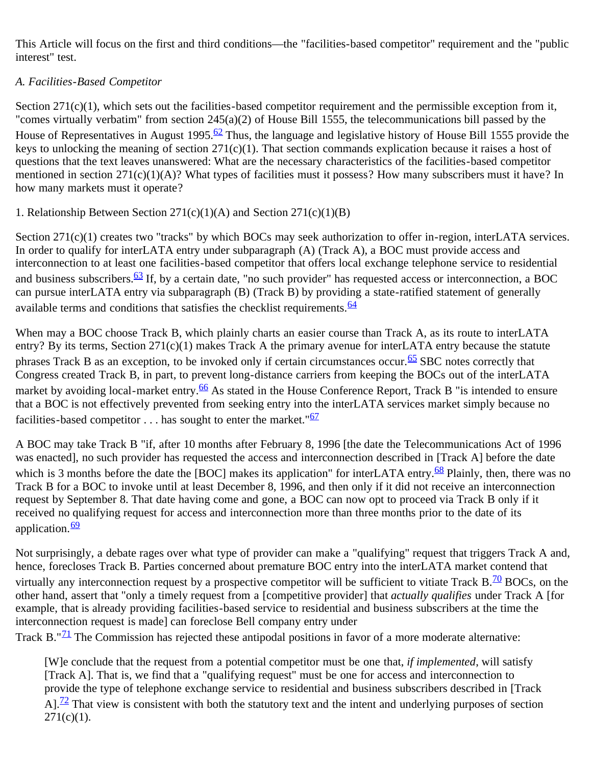This Article will focus on the first and third conditions—the "facilities-based competitor" requirement and the "public interest" test.

## *A. Facilities-Based Competitor*

Section 271(c)(1), which sets out the facilities-based competitor requirement and the permissible exception from it, "comes virtually verbatim" from section 245(a)(2) of House Bill 1555, the telecommunications bill passed by the House of Representatives in August 1995.<sup>62</sup> Thus, the language and legislative history of House Bill 1555 provide the keys to unlocking the meaning of section 271(c)(1). That section commands explication because it raises a host of questions that the text leaves unanswered: What are the necessary characteristics of the facilities-based competitor mentioned in section 271(c)(1)(A)? What types of facilities must it possess? How many subscribers must it have? In how many markets must it operate?

1. Relationship Between Section 271(c)(1)(A) and Section 271(c)(1)(B)

Section 271(c)(1) creates two "tracks" by which BOCs may seek authorization to offer in-region, interLATA services. In order to qualify for interLATA entry under subparagraph (A) (Track A), a BOC must provide access and interconnection to at least one facilities-based competitor that offers local exchange telephone service to residential and business subscribers.<sup>[63](#page-36-11)</sup> If, by a certain date, "no such provider" has requested access or interconnection, a BOC can pursue interLATA entry via subparagraph (B) (Track B) by providing a state-ratified statement of generally available terms and conditions that satisfies the checklist requirements.  $\frac{64}{3}$  $\frac{64}{3}$  $\frac{64}{3}$ 

When may a BOC choose Track B, which plainly charts an easier course than Track A, as its route to interLATA entry? By its terms, Section 271(c)(1) makes Track A the primary avenue for interLATA entry because the statute phrases Track B as an exception, to be invoked only if certain circumstances occur.<sup>65</sup> SBC notes correctly that Congress created Track B, in part, to prevent long-distance carriers from keeping the BOCs out of the interLATA market by avoiding local-market entry.<sup>66</sup> As stated in the House Conference Report, Track B "is intended to ensure that a BOC is not effectively prevented from seeking entry into the interLATA services market simply because no facilities-based competitor  $\dots$  has sought to enter the market." $\frac{67}{ }$  $\frac{67}{ }$  $\frac{67}{ }$ 

A BOC may take Track B "if, after 10 months after February 8, 1996 [the date the Telecommunications Act of 1996 was enacted], no such provider has requested the access and interconnection described in [Track A] before the date which is 3 months before the date the [BOC] makes its application" for interLATA entry.<sup>68</sup> Plainly, then, there was no Track B for a BOC to invoke until at least December 8, 1996, and then only if it did not receive an interconnection request by September 8. That date having come and gone, a BOC can now opt to proceed via Track B only if it received no qualifying request for access and interconnection more than three months prior to the date of its application. $\frac{69}{2}$  $\frac{69}{2}$  $\frac{69}{2}$ 

Not surprisingly, a debate rages over what type of provider can make a "qualifying" request that triggers Track A and, hence, forecloses Track B. Parties concerned about premature BOC entry into the interLATA market contend that virtually any interconnection request by a prospective competitor will be sufficient to vitiate Track  $B<sup>.70</sup>$  BOCs, on the other hand, assert that "only a timely request from a [competitive provider] that *actually qualifies* under Track A [for example, that is already providing facilities-based service to residential and business subscribers at the time the interconnection request is made] can foreclose Bell company entry under

Track B." $\frac{71}{1}$  The Commission has rejected these antipodal positions in favor of a more moderate alternative:

[W]e conclude that the request from a potential competitor must be one that, *if implemented*, will satisfy [Track A]. That is, we find that a "qualifying request" must be one for access and interconnection to provide the type of telephone exchange service to residential and business subscribers described in [Track A]. $^{72}$  That view is consistent with both the statutory text and the intent and underlying purposes of section  $271(c)(1)$ .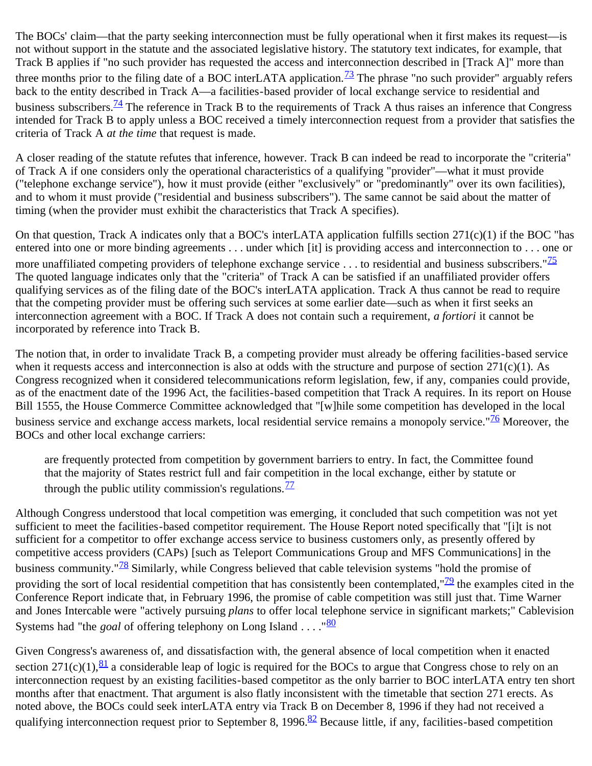The BOCs' claim—that the party seeking interconnection must be fully operational when it first makes its request—is not without support in the statute and the associated legislative history. The statutory text indicates, for example, that Track B applies if "no such provider has requested the access and interconnection described in [Track A]" more than three months prior to the filing date of a BOC interLATA application.<sup>73</sup> The phrase "no such provider" arguably refers back to the entity described in Track A—a facilities-based provider of local exchange service to residential and business subscribers.<sup>[74](#page-38-1)</sup> The reference in Track B to the requirements of Track A thus raises an inference that Congress intended for Track B to apply unless a BOC received a timely interconnection request from a provider that satisfies the criteria of Track A *at the time* that request is made.

A closer reading of the statute refutes that inference, however. Track B can indeed be read to incorporate the "criteria" of Track A if one considers only the operational characteristics of a qualifying "provider"—what it must provide ("telephone exchange service"), how it must provide (either "exclusively" or "predominantly" over its own facilities), and to whom it must provide ("residential and business subscribers"). The same cannot be said about the matter of timing (when the provider must exhibit the characteristics that Track A specifies).

On that question, Track A indicates only that a BOC's interLATA application fulfills section 271(c)(1) if the BOC "has entered into one or more binding agreements . . . under which [it] is providing access and interconnection to . . . one or more unaffiliated competing providers of telephone exchange service  $\dots$  to residential and business subscribers."<sup>[75](#page-38-2)</sup> The quoted language indicates only that the "criteria" of Track A can be satisfied if an unaffiliated provider offers qualifying services as of the filing date of the BOC's interLATA application. Track A thus cannot be read to require that the competing provider must be offering such services at some earlier date—such as when it first seeks an interconnection agreement with a BOC. If Track A does not contain such a requirement, *a fortiori* it cannot be incorporated by reference into Track B.

The notion that, in order to invalidate Track B, a competing provider must already be offering facilities-based service when it requests access and interconnection is also at odds with the structure and purpose of section 271(c)(1). As Congress recognized when it considered telecommunications reform legislation, few, if any, companies could provide, as of the enactment date of the 1996 Act, the facilities-based competition that Track A requires. In its report on House Bill 1555, the House Commerce Committee acknowledged that "[w]hile some competition has developed in the local business service and exchange access markets, local residential service remains a monopoly service."<sup>[76](#page-38-3)</sup> Moreover, the BOCs and other local exchange carriers:

are frequently protected from competition by government barriers to entry. In fact, the Committee found that the majority of States restrict full and fair competition in the local exchange, either by statute or through the public utility commission's regulations.  $\frac{77}{6}$  $\frac{77}{6}$  $\frac{77}{6}$ 

Although Congress understood that local competition was emerging, it concluded that such competition was not yet sufficient to meet the facilities-based competitor requirement. The House Report noted specifically that "[i]t is not sufficient for a competitor to offer exchange access service to business customers only, as presently offered by competitive access providers (CAPs) [such as Teleport Communications Group and MFS Communications] in the business community."<sup>[78](#page-38-5)</sup> Similarly, while Congress believed that cable television systems "hold the promise of providing the sort of local residential competition that has consistently been contemplated,  $\frac{79}{2}$  the examples cited in the Conference Report indicate that, in February 1996, the promise of cable competition was still just that. Time Warner and Jones Intercable were "actively pursuing *plans* to offer local telephone service in significant markets;" Cablevision Systems had "the *goal* of offering telephony on Long Island . . . . "[80](#page-38-7)"

Given Congress's awareness of, and dissatisfaction with, the general absence of local competition when it enacted section 271(c)(1),  $\frac{81}{2}$  $\frac{81}{2}$  $\frac{81}{2}$  a considerable leap of logic is required for the BOCs to argue that Congress chose to rely on an interconnection request by an existing facilities-based competitor as the only barrier to BOC interLATA entry ten short months after that enactment. That argument is also flatly inconsistent with the timetable that section 271 erects. As noted above, the BOCs could seek interLATA entry via Track B on December 8, 1996 if they had not received a qualifying interconnection request prior to September 8, 1996.<sup>[82](#page-38-9)</sup> Because little, if any, facilities-based competition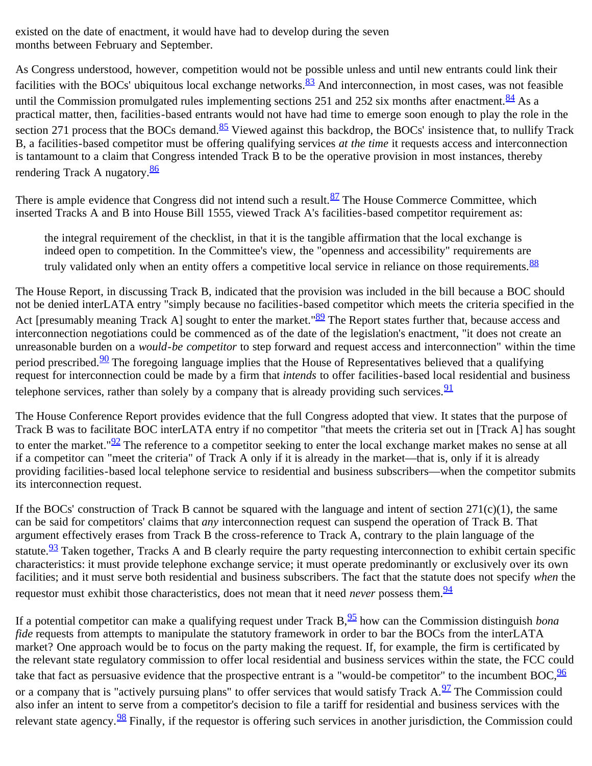existed on the date of enactment, it would have had to develop during the seven months between February and September.

As Congress understood, however, competition would not be possible unless and until new entrants could link their facilities with the BOCs' ubiquitous local exchange networks. $\frac{83}{2}$  And interconnection, in most cases, was not feasible until the Commission promulgated rules implementing sections 251 and 252 six months after enactment.  $84$  As a practical matter, then, facilities-based entrants would not have had time to emerge soon enough to play the role in the section 271 process that the BOCs demand.<sup>85</sup> Viewed against this backdrop, the BOCs' insistence that, to nullify Track B, a facilities-based competitor must be offering qualifying services *at the time* it requests access and interconnection is tantamount to a claim that Congress intended Track B to be the operative provision in most instances, thereby rendering Track A nugatory.<sup>[86](#page-39-2)</sup>

There is ample evidence that Congress did not intend such a result.<sup>87</sup> The House Commerce Committee, which inserted Tracks A and B into House Bill 1555, viewed Track A's facilities-based competitor requirement as:

the integral requirement of the checklist, in that it is the tangible affirmation that the local exchange is indeed open to competition. In the Committee's view, the "openness and accessibility" requirements are truly validated only when an entity offers a competitive local service in reliance on those requirements. [88](#page-39-4)

The House Report, in discussing Track B, indicated that the provision was included in the bill because a BOC should not be denied interLATA entry "simply because no facilities-based competitor which meets the criteria specified in the Act [presumably meaning Track A] sought to enter the market." $89$  The Report states further that, because access and interconnection negotiations could be commenced as of the date of the legislation's enactment, "it does not create an unreasonable burden on a *would-be competitor* to step forward and request access and interconnection" within the time period prescribed.<sup>90</sup> The foregoing language implies that the House of Representatives believed that a qualifying request for interconnection could be made by a firm that *intends* to offer facilities-based local residential and business telephone services, rather than solely by a company that is already providing such services.  $\frac{91}{91}$  $\frac{91}{91}$  $\frac{91}{91}$ 

The House Conference Report provides evidence that the full Congress adopted that view. It states that the purpose of Track B was to facilitate BOC interLATA entry if no competitor "that meets the criteria set out in [Track A] has sought to enter the market." $\frac{92}{2}$  The reference to a competitor seeking to enter the local exchange market makes no sense at all if a competitor can "meet the criteria" of Track A only if it is already in the market—that is, only if it is already providing facilities-based local telephone service to residential and business subscribers—when the competitor submits its interconnection request.

If the BOCs' construction of Track B cannot be squared with the language and intent of section  $271(c)(1)$ , the same can be said for competitors' claims that *any* interconnection request can suspend the operation of Track B. That argument effectively erases from Track B the cross-reference to Track A, contrary to the plain language of the statute.<sup>93</sup> Taken together, Tracks A and B clearly require the party requesting interconnection to exhibit certain specific characteristics: it must provide telephone exchange service; it must operate predominantly or exclusively over its own facilities; and it must serve both residential and business subscribers. The fact that the statute does not specify *when* the requestor must exhibit those characteristics, does not mean that it need *never* possess them. <sup>[94](#page-40-5)</sup>

If a potential competitor can make a qualifying request under Track B, <sup>95</sup> how can the Commission distinguish *bona fide* requests from attempts to manipulate the statutory framework in order to bar the BOCs from the interLATA market? One approach would be to focus on the party making the request. If, for example, the firm is certificated by the relevant state regulatory commission to offer local residential and business services within the state, the FCC could take that fact as persuasive evidence that the prospective entrant is a "would-be competitor" to the incumbent  $BOC<sub>1</sub><sup>96</sup>$  $BOC<sub>1</sub><sup>96</sup>$  $BOC<sub>1</sub><sup>96</sup>$ or a company that is "actively pursuing plans" to offer services that would satisfy Track A.<sup>97</sup> The Commission could also infer an intent to serve from a competitor's decision to file a tariff for residential and business services with the relevant state agency.<sup>98</sup> Finally, if the requestor is offering such services in another jurisdiction, the Commission could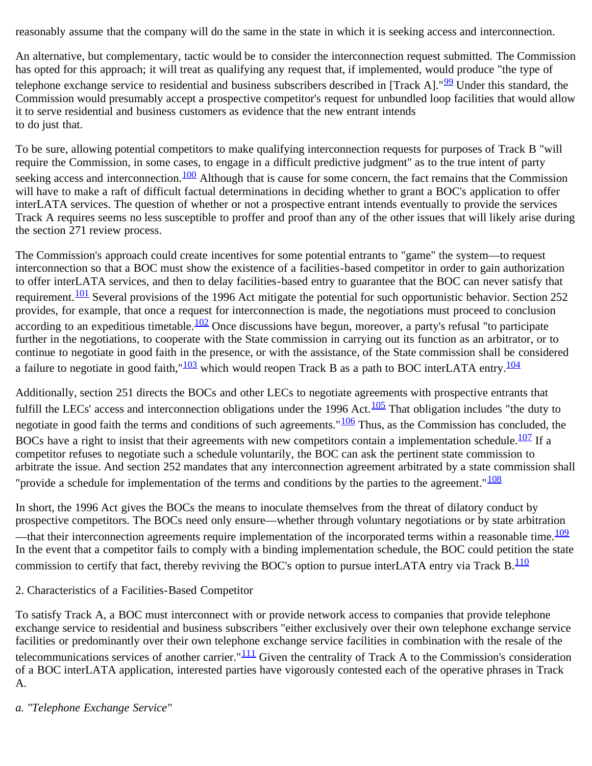reasonably assume that the company will do the same in the state in which it is seeking access and interconnection.

An alternative, but complementary, tactic would be to consider the interconnection request submitted. The Commission has opted for this approach; it will treat as qualifying any request that, if implemented, would produce "the type of telephone exchange service to residential and business subscribers described in [Track A]." $99$  Under this standard, the Commission would presumably accept a prospective competitor's request for unbundled loop facilities that would allow it to serve residential and business customers as evidence that the new entrant intends to do just that.

To be sure, allowing potential competitors to make qualifying interconnection requests for purposes of Track B "will require the Commission, in some cases, to engage in a difficult predictive judgment" as to the true intent of party seeking access and interconnection.<sup>100</sup> Although that is cause for some concern, the fact remains that the Commission will have to make a raft of difficult factual determinations in deciding whether to grant a BOC's application to offer interLATA services. The question of whether or not a prospective entrant intends eventually to provide the services Track A requires seems no less susceptible to proffer and proof than any of the other issues that will likely arise during the section 271 review process.

The Commission's approach could create incentives for some potential entrants to "game" the system—to request interconnection so that a BOC must show the existence of a facilities-based competitor in order to gain authorization to offer interLATA services, and then to delay facilities-based entry to guarantee that the BOC can never satisfy that requirement.  $\frac{101}{101}$  Several provisions of the 1996 Act mitigate the potential for such opportunistic behavior. Section 252 provides, for example, that once a request for interconnection is made, the negotiations must proceed to conclusion according to an expeditious timetable.<sup>[102](#page-41-2)</sup> Once discussions have begun, moreover, a party's refusal "to participate further in the negotiations, to cooperate with the State commission in carrying out its function as an arbitrator, or to continue to negotiate in good faith in the presence, or with the assistance, of the State commission shall be considered a failure to negotiate in good faith,"<sup>[103](#page-41-3)</sup> which would reopen Track B as a path to BOC interLATA entry.<sup>[104](#page-41-4)</sup>

Additionally, section 251 directs the BOCs and other LECs to negotiate agreements with prospective entrants that fulfill the LECs' access and interconnection obligations under the 1996 Act. $\frac{105}{105}$  $\frac{105}{105}$  $\frac{105}{105}$  That obligation includes "the duty to negotiate in good faith the terms and conditions of such agreements."<sup>106</sup> Thus, as the Commission has concluded, the BOCs have a right to insist that their agreements with new competitors contain a implementation schedule. $\frac{107}{102}$  If a competitor refuses to negotiate such a schedule voluntarily, the BOC can ask the pertinent state commission to arbitrate the issue. And section 252 mandates that any interconnection agreement arbitrated by a state commission shall "provide a schedule for implementation of the terms and conditions by the parties to the agreement." $\frac{108}{108}$  $\frac{108}{108}$  $\frac{108}{108}$ 

In short, the 1996 Act gives the BOCs the means to inoculate themselves from the threat of dilatory conduct by prospective competitors. The BOCs need only ensure—whether through voluntary negotiations or by state arbitration —that their interconnection agreements require implementation of the incorporated terms within a reasonable time.  $\frac{109}{109}$  $\frac{109}{109}$  $\frac{109}{109}$ In the event that a competitor fails to comply with a binding implementation schedule, the BOC could petition the state commission to certify that fact, thereby reviving the BOC's option to pursue interLATA entry via Track B.<sup>[110](#page-42-0)</sup>

## 2. Characteristics of a Facilities-Based Competitor

To satisfy Track A, a BOC must interconnect with or provide network access to companies that provide telephone exchange service to residential and business subscribers "either exclusively over their own telephone exchange service facilities or predominantly over their own telephone exchange service facilities in combination with the resale of the telecommunications services of another carrier." $\frac{111}{111}$  $\frac{111}{111}$  $\frac{111}{111}$  Given the centrality of Track A to the Commission's consideration of a BOC interLATA application, interested parties have vigorously contested each of the operative phrases in Track A.

*a. "Telephone Exchange Service"*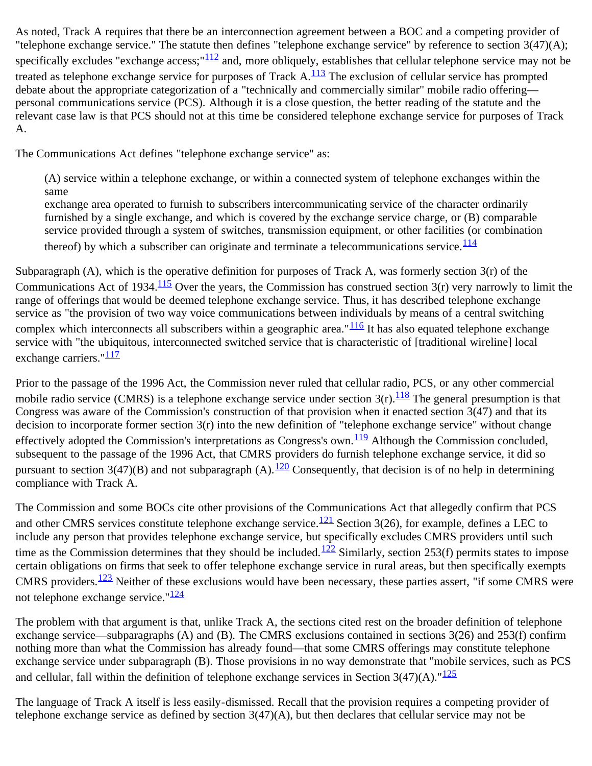As noted, Track A requires that there be an interconnection agreement between a BOC and a competing provider of "telephone exchange service." The statute then defines "telephone exchange service" by reference to section 3(47)(A); specifically excludes "exchange access;"<sup>112</sup> and, more obliquely, establishes that cellular telephone service may not be treated as telephone exchange service for purposes of Track  $A<sup>113</sup>$  $A<sup>113</sup>$  $A<sup>113</sup>$  The exclusion of cellular service has prompted debate about the appropriate categorization of a "technically and commercially similar" mobile radio offering personal communications service (PCS). Although it is a close question, the better reading of the statute and the relevant case law is that PCS should not at this time be considered telephone exchange service for purposes of Track A.

The Communications Act defines "telephone exchange service" as:

(A) service within a telephone exchange, or within a connected system of telephone exchanges within the same exchange area operated to furnish to subscribers intercommunicating service of the character ordinarily furnished by a single exchange, and which is covered by the exchange service charge, or (B) comparable service provided through a system of switches, transmission equipment, or other facilities (or combination thereof) by which a subscriber can originate and terminate a telecommunications service. $\frac{114}{114}$  $\frac{114}{114}$  $\frac{114}{114}$ 

Subparagraph (A), which is the operative definition for purposes of Track A, was formerly section 3(r) of the Communications Act of 1934.<sup>[115](#page-42-5)</sup> Over the years, the Commission has construed section  $3(r)$  very narrowly to limit the range of offerings that would be deemed telephone exchange service. Thus, it has described telephone exchange service as "the provision of two way voice communications between individuals by means of a central switching complex which interconnects all subscribers within a geographic area." $\frac{116}{116}$  It has also equated telephone exchange service with "the ubiquitous, interconnected switched service that is characteristic of [traditional wireline] local exchange carriers." $\frac{117}{112}$  $\frac{117}{112}$  $\frac{117}{112}$ 

Prior to the passage of the 1996 Act, the Commission never ruled that cellular radio, PCS, or any other commercial mobile radio service (CMRS) is a telephone exchange service under section  $3(r)$ .<sup>[118](#page-43-0)</sup> The general presumption is that Congress was aware of the Commission's construction of that provision when it enacted section  $3(47)$  and that its decision to incorporate former section 3(r) into the new definition of "telephone exchange service" without change effectively adopted the Commission's interpretations as Congress's own.<sup>[119](#page-43-1)</sup> Although the Commission concluded, subsequent to the passage of the 1996 Act, that CMRS providers do furnish telephone exchange service, it did so pursuant to section  $3(47)(B)$  and not subparagraph (A).<sup>120</sup> Consequently, that decision is of no help in determining compliance with Track A.

The Commission and some BOCs cite other provisions of the Communications Act that allegedly confirm that PCS and other CMRS services constitute telephone exchange service.<sup>[121](#page-43-3)</sup> Section 3(26), for example, defines a LEC to include any person that provides telephone exchange service, but specifically excludes CMRS providers until such time as the Commission determines that they should be included.<sup>122</sup> Similarly, section 253(f) permits states to impose certain obligations on firms that seek to offer telephone exchange service in rural areas, but then specifically exempts CMRS providers.<sup>123</sup> Neither of these exclusions would have been necessary, these parties assert, "if some CMRS were not telephone exchange service." $\frac{124}{6}$  $\frac{124}{6}$  $\frac{124}{6}$ 

The problem with that argument is that, unlike Track A, the sections cited rest on the broader definition of telephone exchange service—subparagraphs (A) and (B). The CMRS exclusions contained in sections 3(26) and 253(f) confirm nothing more than what the Commission has already found—that some CMRS offerings may constitute telephone exchange service under subparagraph (B). Those provisions in no way demonstrate that "mobile services, such as PCS and cellular, fall within the definition of telephone exchange services in Section  $3(47)(A)$ ." $\frac{125}{125}$  $\frac{125}{125}$  $\frac{125}{125}$ 

The language of Track A itself is less easily-dismissed. Recall that the provision requires a competing provider of telephone exchange service as defined by section 3(47)(A), but then declares that cellular service may not be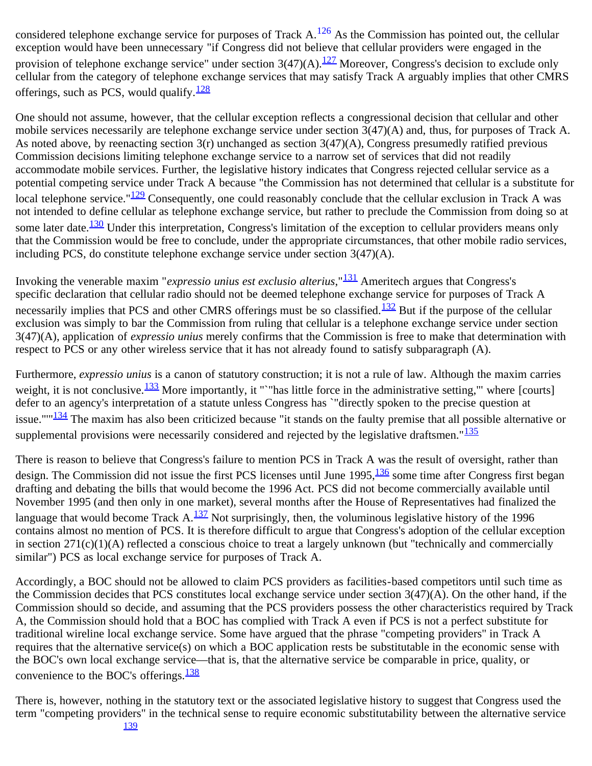considered telephone exchange service for purposes of Track  $A$ .<sup>[126](#page-43-8)</sup> As the Commission has pointed out, the cellular exception would have been unnecessary "if Congress did not believe that cellular providers were engaged in the provision of telephone exchange service" under section  $3(47)(A)$ .<sup>[127](#page-43-9)</sup> Moreover, Congress's decision to exclude only cellular from the category of telephone exchange services that may satisfy Track A arguably implies that other CMRS offerings, such as PCS, would qualify. $\frac{128}{128}$  $\frac{128}{128}$  $\frac{128}{128}$ 

One should not assume, however, that the cellular exception reflects a congressional decision that cellular and other mobile services necessarily are telephone exchange service under section 3(47)(A) and, thus, for purposes of Track A. As noted above, by reenacting section 3(r) unchanged as section 3(47)(A), Congress presumedly ratified previous Commission decisions limiting telephone exchange service to a narrow set of services that did not readily accommodate mobile services. Further, the legislative history indicates that Congress rejected cellular service as a potential competing service under Track A because "the Commission has not determined that cellular is a substitute for local telephone service." $\frac{129}{2}$  $\frac{129}{2}$  $\frac{129}{2}$  Consequently, one could reasonably conclude that the cellular exclusion in Track A was not intended to define cellular as telephone exchange service, but rather to preclude the Commission from doing so at some later date.<sup>130</sup> Under this interpretation, Congress's limitation of the exception to cellular providers means only that the Commission would be free to conclude, under the appropriate circumstances, that other mobile radio services, including PCS, do constitute telephone exchange service under section 3(47)(A).

Invoking the venerable maxim "*expressio unius est exclusio alterius*,"[131](#page-43-13) Ameritech argues that Congress's specific declaration that cellular radio should not be deemed telephone exchange service for purposes of Track A necessarily implies that PCS and other CMRS offerings must be so classified. $\frac{132}{2}$  But if the purpose of the cellular exclusion was simply to bar the Commission from ruling that cellular is a telephone exchange service under section 3(47)(A), application of *expressio unius* merely confirms that the Commission is free to make that determination with respect to PCS or any other wireless service that it has not already found to satisfy subparagraph (A).

Furthermore, *expressio unius* is a canon of statutory construction; it is not a rule of law. Although the maxim carries weight, it is not conclusive.  $\frac{133}{133}$  More importantly, it ""has little force in the administrative setting," where [courts] defer to an agency's interpretation of a statute unless Congress has `"directly spoken to the precise question at issue.""<sup>[134](#page-44-2)</sup> The maxim has also been criticized because "it stands on the faulty premise that all possible alternative or supplemental provisions were necessarily considered and rejected by the legislative draftsmen."<sup>[135](#page-44-3)</sup>

There is reason to believe that Congress's failure to mention PCS in Track A was the result of oversight, rather than design. The Commission did not issue the first PCS licenses until June  $1995$ ,  $\frac{136}{130}$  $\frac{136}{130}$  $\frac{136}{130}$  some time after Congress first began drafting and debating the bills that would become the 1996 Act. PCS did not become commercially available until November 1995 (and then only in one market), several months after the House of Representatives had finalized the language that would become Track A. $\frac{137}{12}$  Not surprisingly, then, the voluminous legislative history of the 1996 contains almost no mention of PCS. It is therefore difficult to argue that Congress's adoption of the cellular exception in section 271(c)(1)(A) reflected a conscious choice to treat a largely unknown (but "technically and commercially similar") PCS as local exchange service for purposes of Track A.

Accordingly, a BOC should not be allowed to claim PCS providers as facilities-based competitors until such time as the Commission decides that PCS constitutes local exchange service under section 3(47)(A). On the other hand, if the Commission should so decide, and assuming that the PCS providers possess the other characteristics required by Track A, the Commission should hold that a BOC has complied with Track A even if PCS is not a perfect substitute for traditional wireline local exchange service. Some have argued that the phrase "competing providers" in Track A requires that the alternative service(s) on which a BOC application rests be substitutable in the economic sense with the BOC's own local exchange service—that is, that the alternative service be comparable in price, quality, or convenience to the BOC's offerings. $\frac{138}{138}$  $\frac{138}{138}$  $\frac{138}{138}$ 

There is, however, nothing in the statutory text or the associated legislative history to suggest that Congress used the term "competing providers" in the technical sense to require economic substitutability between the alternative service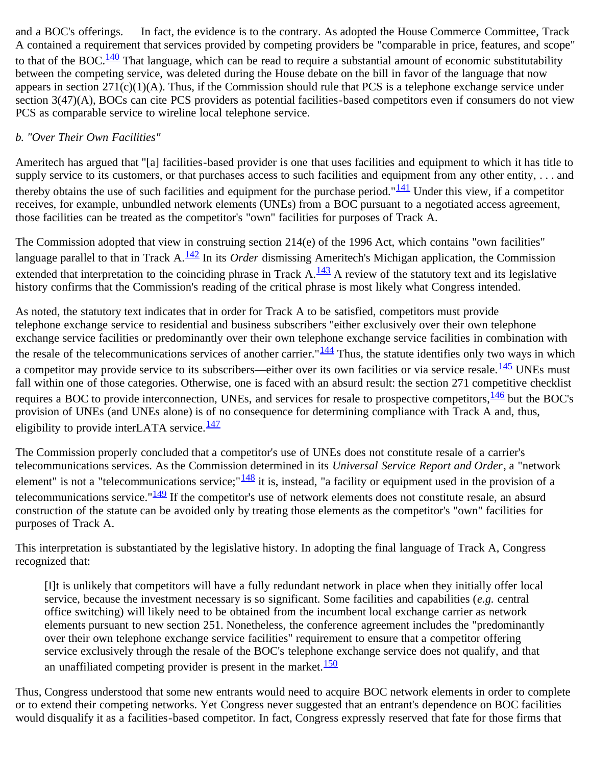and a BOC's offerings. In fact, the evidence is to the contrary. As adopted the House Commerce Committee, Track A contained a requirement that services provided by competing providers be "comparable in price, features, and scope" to that of the BOC.<sup>[140](#page-44-8)</sup> That language, which can be read to require a substantial amount of economic substitutability between the competing service, was deleted during the House debate on the bill in favor of the language that now appears in section  $271(c)(1)(A)$ . Thus, if the Commission should rule that PCS is a telephone exchange service under section 3(47)(A), BOCs can cite PCS providers as potential facilities-based competitors even if consumers do not view PCS as comparable service to wireline local telephone service.

## *b. "Over Their Own Facilities"*

Ameritech has argued that "[a] facilities-based provider is one that uses facilities and equipment to which it has title to supply service to its customers, or that purchases access to such facilities and equipment from any other entity, ... and thereby obtains the use of such facilities and equipment for the purchase period." $\frac{141}{141}$  Under this view, if a competitor receives, for example, unbundled network elements (UNEs) from a BOC pursuant to a negotiated access agreement, those facilities can be treated as the competitor's "own" facilities for purposes of Track A.

The Commission adopted that view in construing section 214(e) of the 1996 Act, which contains "own facilities" language parallel to that in Track A.[142](#page-44-10) In its *Order* dismissing Ameritech's Michigan application, the Commission extended that interpretation to the coinciding phrase in Track  $A<sup>143</sup> A$  $A<sup>143</sup> A$  $A<sup>143</sup> A$  review of the statutory text and its legislative history confirms that the Commission's reading of the critical phrase is most likely what Congress intended.

As noted, the statutory text indicates that in order for Track A to be satisfied, competitors must provide telephone exchange service to residential and business subscribers "either exclusively over their own telephone exchange service facilities or predominantly over their own telephone exchange service facilities in combination with the resale of the telecommunications services of another carrier." $\frac{144}{144}$  $\frac{144}{144}$  $\frac{144}{144}$  Thus, the statute identifies only two ways in which a competitor may provide service to its subscribers—either over its own facilities or via service resale.<sup>145</sup> UNEs must fall within one of those categories. Otherwise, one is faced with an absurd result: the section 271 competitive checklist requires a BOC to provide interconnection, UNEs, and services for resale to prospective competitors,  $\frac{146}{140}$  $\frac{146}{140}$  $\frac{146}{140}$  but the BOC's provision of UNEs (and UNEs alone) is of no consequence for determining compliance with Track A and, thus, eligibility to provide interLATA service. $\frac{147}{147}$  $\frac{147}{147}$  $\frac{147}{147}$ 

The Commission properly concluded that a competitor's use of UNEs does not constitute resale of a carrier's telecommunications services. As the Commission determined in its *Universal Service Report and Order*, a "network element" is not a "telecommunications service;  $\frac{148}{148}$  $\frac{148}{148}$  $\frac{148}{148}$  it is, instead, "a facility or equipment used in the provision of a telecommunications service." $\frac{149}{14}$  If the competitor's use of network elements does not constitute resale, an absurd construction of the statute can be avoided only by treating those elements as the competitor's "own" facilities for purposes of Track A.

This interpretation is substantiated by the legislative history. In adopting the final language of Track A, Congress recognized that:

[I]t is unlikely that competitors will have a fully redundant network in place when they initially offer local service, because the investment necessary is so significant. Some facilities and capabilities (*e.g.* central office switching) will likely need to be obtained from the incumbent local exchange carrier as network elements pursuant to new section 251. Nonetheless, the conference agreement includes the "predominantly over their own telephone exchange service facilities" requirement to ensure that a competitor offering service exclusively through the resale of the BOC's telephone exchange service does not qualify, and that an unaffiliated competing provider is present in the market. $\frac{150}{150}$  $\frac{150}{150}$  $\frac{150}{150}$ 

Thus, Congress understood that some new entrants would need to acquire BOC network elements in order to complete or to extend their competing networks. Yet Congress never suggested that an entrant's dependence on BOC facilities would disqualify it as a facilities-based competitor. In fact, Congress expressly reserved that fate for those firms that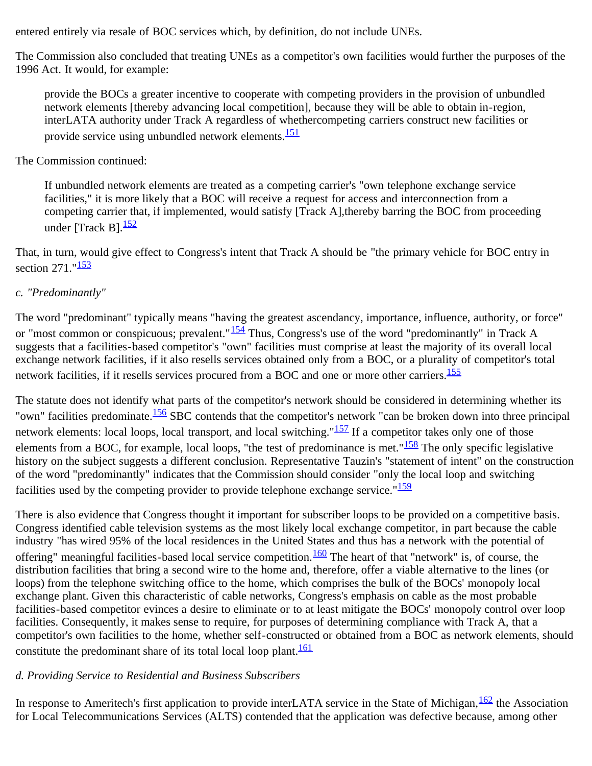entered entirely via resale of BOC services which, by definition, do not include UNEs.

The Commission also concluded that treating UNEs as a competitor's own facilities would further the purposes of the 1996 Act. It would, for example:

provide the BOCs a greater incentive to cooperate with competing providers in the provision of unbundled network elements [thereby advancing local competition], because they will be able to obtain in-region, interLATA authority under Track A regardless of whethercompeting carriers construct new facilities or provide service using unbundled network elements.<sup>[151](#page-46-2)</sup>

### The Commission continued:

If unbundled network elements are treated as a competing carrier's "own telephone exchange service facilities," it is more likely that a BOC will receive a request for access and interconnection from a competing carrier that, if implemented, would satisfy [Track A],thereby barring the BOC from proceeding under [Track B] $\frac{152}{152}$  $\frac{152}{152}$  $\frac{152}{152}$ 

That, in turn, would give effect to Congress's intent that Track A should be "the primary vehicle for BOC entry in section  $271$ ." $\frac{153}{153}$  $\frac{153}{153}$  $\frac{153}{153}$ 

## *c. "Predominantly"*

The word "predominant" typically means "having the greatest ascendancy, importance, influence, authority, or force" or "most common or conspicuous; prevalent."<sup>154</sup> Thus, Congress's use of the word "predominantly" in Track A suggests that a facilities-based competitor's "own" facilities must comprise at least the majority of its overall local exchange network facilities, if it also resells services obtained only from a BOC, or a plurality of competitor's total network facilities, if it resells services procured from a BOC and one or more other carriers.<sup>[155](#page-46-6)</sup>

The statute does not identify what parts of the competitor's network should be considered in determining whether its "own" facilities predominate.<sup>156</sup> SBC contends that the competitor's network "can be broken down into three principal network elements: local loops, local transport, and local switching." $\frac{157}{157}$  $\frac{157}{157}$  $\frac{157}{157}$  If a competitor takes only one of those elements from a BOC, for example, local loops, "the test of predominance is met." $\frac{158}{158}$  $\frac{158}{158}$  $\frac{158}{158}$  The only specific legislative history on the subject suggests a different conclusion. Representative Tauzin's "statement of intent" on the construction of the word "predominantly" indicates that the Commission should consider "only the local loop and switching facilities used by the competing provider to provide telephone exchange service." $\frac{159}{159}$ 

There is also evidence that Congress thought it important for subscriber loops to be provided on a competitive basis. Congress identified cable television systems as the most likely local exchange competitor, in part because the cable industry "has wired 95% of the local residences in the United States and thus has a network with the potential of offering" meaningful facilities-based local service competition.<sup>160</sup> The heart of that "network" is, of course, the distribution facilities that bring a second wire to the home and, therefore, offer a viable alternative to the lines (or loops) from the telephone switching office to the home, which comprises the bulk of the BOCs' monopoly local exchange plant. Given this characteristic of cable networks, Congress's emphasis on cable as the most probable facilities-based competitor evinces a desire to eliminate or to at least mitigate the BOCs' monopoly control over loop facilities. Consequently, it makes sense to require, for purposes of determining compliance with Track A, that a competitor's own facilities to the home, whether self-constructed or obtained from a BOC as network elements, should constitute the predominant share of its total local loop plant.<sup>161</sup>

## *d. Providing Service to Residential and Business Subscribers*

In response to Ameritech's first application to provide interLATA service in the State of Michigan,  $\frac{162}{2}$  $\frac{162}{2}$  $\frac{162}{2}$  the Association for Local Telecommunications Services (ALTS) contended that the application was defective because, among other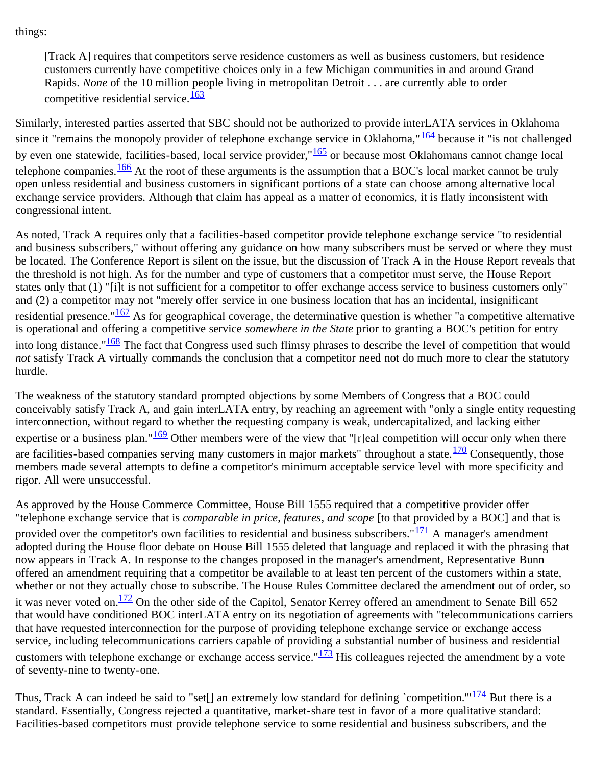things:

[Track A] requires that competitors serve residence customers as well as business customers, but residence customers currently have competitive choices only in a few Michigan communities in and around Grand Rapids. *None* of the 10 million people living in metropolitan Detroit . . . are currently able to order competitive residential service.<sup>[163](#page-47-0)</sup>

Similarly, interested parties asserted that SBC should not be authorized to provide interLATA services in Oklahoma since it "remains the monopoly provider of telephone exchange service in Oklahoma," $\frac{164}{164}$  $\frac{164}{164}$  $\frac{164}{164}$  because it "is not challenged by even one statewide, facilities-based, local service provider,"<sup>165</sup> or because most Oklahomans cannot change local telephone companies. $\frac{166}{100}$  $\frac{166}{100}$  $\frac{166}{100}$  At the root of these arguments is the assumption that a BOC's local market cannot be truly open unless residential and business customers in significant portions of a state can choose among alternative local exchange service providers. Although that claim has appeal as a matter of economics, it is flatly inconsistent with congressional intent.

As noted, Track A requires only that a facilities-based competitor provide telephone exchange service "to residential and business subscribers," without offering any guidance on how many subscribers must be served or where they must be located. The Conference Report is silent on the issue, but the discussion of Track A in the House Report reveals that the threshold is not high. As for the number and type of customers that a competitor must serve, the House Report states only that (1) "[i]t is not sufficient for a competitor to offer exchange access service to business customers only" and (2) a competitor may not "merely offer service in one business location that has an incidental, insignificant residential presence." $\frac{167}{162}$  As for geographical coverage, the determinative question is whether "a competitive alternative is operational and offering a competitive service *somewhere in the State* prior to granting a BOC's petition for entry into long distance." $\frac{168}{168}$  The fact that Congress used such flimsy phrases to describe the level of competition that would *not* satisfy Track A virtually commands the conclusion that a competitor need not do much more to clear the statutory hurdle.

The weakness of the statutory standard prompted objections by some Members of Congress that a BOC could conceivably satisfy Track A, and gain interLATA entry, by reaching an agreement with "only a single entity requesting interconnection, without regard to whether the requesting company is weak, undercapitalized, and lacking either expertise or a business plan." $\frac{169}{162}$  Other members were of the view that "[r]eal competition will occur only when there are facilities-based companies serving many customers in major markets" throughout a state.<sup>[170](#page-47-7)</sup> Consequently, those members made several attempts to define a competitor's minimum acceptable service level with more specificity and rigor. All were unsuccessful.

As approved by the House Commerce Committee, House Bill 1555 required that a competitive provider offer "telephone exchange service that is *comparable in price*, *features*, *and scope* [to that provided by a BOC] and that is provided over the competitor's own facilities to residential and business subscribers." $\frac{171}{124}$  $\frac{171}{124}$  $\frac{171}{124}$  A manager's amendment adopted during the House floor debate on House Bill 1555 deleted that language and replaced it with the phrasing that now appears in Track A. In response to the changes proposed in the manager's amendment, Representative Bunn offered an amendment requiring that a competitor be available to at least ten percent of the customers within a state, whether or not they actually chose to subscribe. The House Rules Committee declared the amendment out of order, so it was never voted on.<sup>172</sup> On the other side of the Capitol, Senator Kerrey offered an amendment to Senate Bill 652 that would have conditioned BOC interLATA entry on its negotiation of agreements with "telecommunications carriers that have requested interconnection for the purpose of providing telephone exchange service or exchange access service, including telecommunications carriers capable of providing a substantial number of business and residential customers with telephone exchange or exchange access service." $\frac{173}{12}$  His colleagues rejected the amendment by a vote of seventy-nine to twenty-one.

Thus, Track A can indeed be said to "set[] an extremely low standard for defining `competition."  $\frac{174}{174}$  But there is a standard. Essentially, Congress rejected a quantitative, market-share test in favor of a more qualitative standard: Facilities-based competitors must provide telephone service to some residential and business subscribers, and the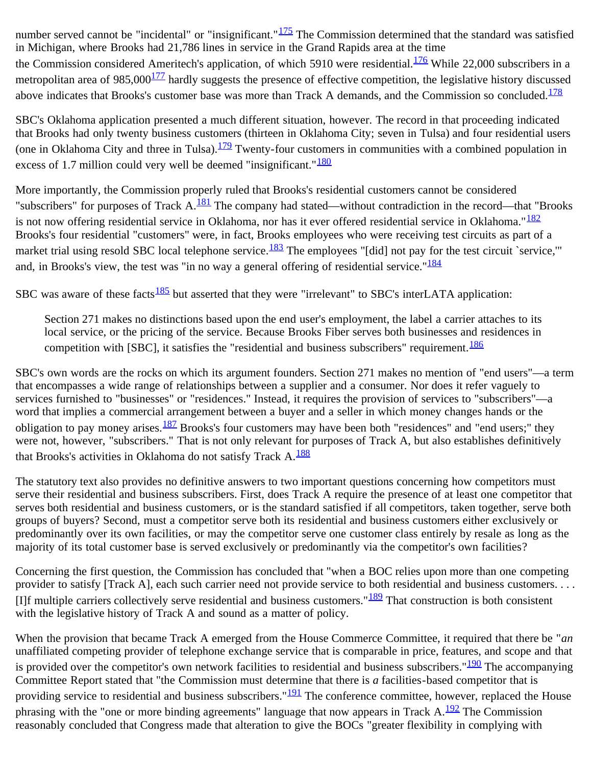number served cannot be "incidental" or "insignificant." $\frac{175}{125}$  $\frac{175}{125}$  $\frac{175}{125}$  The Commission determined that the standard was satisfied in Michigan, where Brooks had 21,786 lines in service in the Grand Rapids area at the time the Commission considered Ameritech's application, of which 5910 were residential. $\frac{176}{176}$  While 22,000 subscribers in a metropolitan area of  $985,000^{177}$  $985,000^{177}$  $985,000^{177}$  hardly suggests the presence of effective competition, the legislative history discussed above indicates that Brooks's customer base was more than Track A demands, and the Commission so concluded.<sup>[178](#page-48-3)</sup>

SBC's Oklahoma application presented a much different situation, however. The record in that proceeding indicated that Brooks had only twenty business customers (thirteen in Oklahoma City; seven in Tulsa) and four residential users (one in Oklahoma City and three in Tulsa). $\frac{179}{2}$  $\frac{179}{2}$  $\frac{179}{2}$  Twenty-four customers in communities with a combined population in excess of 1.7 million could very well be deemed "insignificant." $\frac{180}{180}$  $\frac{180}{180}$  $\frac{180}{180}$ 

More importantly, the Commission properly ruled that Brooks's residential customers cannot be considered "subscribers" for purposes of Track A.<sup>181</sup> The company had stated—without contradiction in the record—that "Brooks" is not now offering residential service in Oklahoma, nor has it ever offered residential service in Oklahoma."<sup>[182](#page-48-7)</sup> Brooks's four residential "customers" were, in fact, Brooks employees who were receiving test circuits as part of a market trial using resold SBC local telephone service.<sup>183</sup> The employees "[did] not pay for the test circuit `service," and, in Brooks's view, the test was "in no way a general offering of residential service." $\frac{184}{184}$  $\frac{184}{184}$  $\frac{184}{184}$ 

SBC was aware of these facts  $\frac{185}{185}$  but asserted that they were "irrelevant" to SBC's interLATA application:

Section 271 makes no distinctions based upon the end user's employment, the label a carrier attaches to its local service, or the pricing of the service. Because Brooks Fiber serves both businesses and residences in competition with [SBC], it satisfies the "residential and business subscribers" requirement. $\frac{186}{100}$  $\frac{186}{100}$  $\frac{186}{100}$ 

SBC's own words are the rocks on which its argument founders. Section 271 makes no mention of "end users"—a term that encompasses a wide range of relationships between a supplier and a consumer. Nor does it refer vaguely to services furnished to "businesses" or "residences." Instead, it requires the provision of services to "subscribers"—a word that implies a commercial arrangement between a buyer and a seller in which money changes hands or the obligation to pay money arises. $\frac{187}{2}$  $\frac{187}{2}$  $\frac{187}{2}$  Brooks's four customers may have been both "residences" and "end users;" they were not, however, "subscribers." That is not only relevant for purposes of Track A, but also establishes definitively that Brooks's activities in Oklahoma do not satisfy Track A.<sup>[188](#page-49-0)</sup>

The statutory text also provides no definitive answers to two important questions concerning how competitors must serve their residential and business subscribers. First, does Track A require the presence of at least one competitor that serves both residential and business customers, or is the standard satisfied if all competitors, taken together, serve both groups of buyers? Second, must a competitor serve both its residential and business customers either exclusively or predominantly over its own facilities, or may the competitor serve one customer class entirely by resale as long as the majority of its total customer base is served exclusively or predominantly via the competitor's own facilities?

Concerning the first question, the Commission has concluded that "when a BOC relies upon more than one competing provider to satisfy [Track A], each such carrier need not provide service to both residential and business customers. . . . [I]f multiple carriers collectively serve residential and business customers."<sup>[189](#page-49-1)</sup> That construction is both consistent with the legislative history of Track A and sound as a matter of policy.

When the provision that became Track A emerged from the House Commerce Committee, it required that there be "*an* unaffiliated competing provider of telephone exchange service that is comparable in price, features, and scope and that is provided over the competitor's own network facilities to residential and business subscribers." $190$  The accompanying Committee Report stated that "the Commission must determine that there is *a* facilities-based competitor that is providing service to residential and business subscribers." $191$  The conference committee, however, replaced the House phrasing with the "one or more binding agreements" language that now appears in Track  $A.\frac{192}{12}$  The Commission reasonably concluded that Congress made that alteration to give the BOCs "greater flexibility in complying with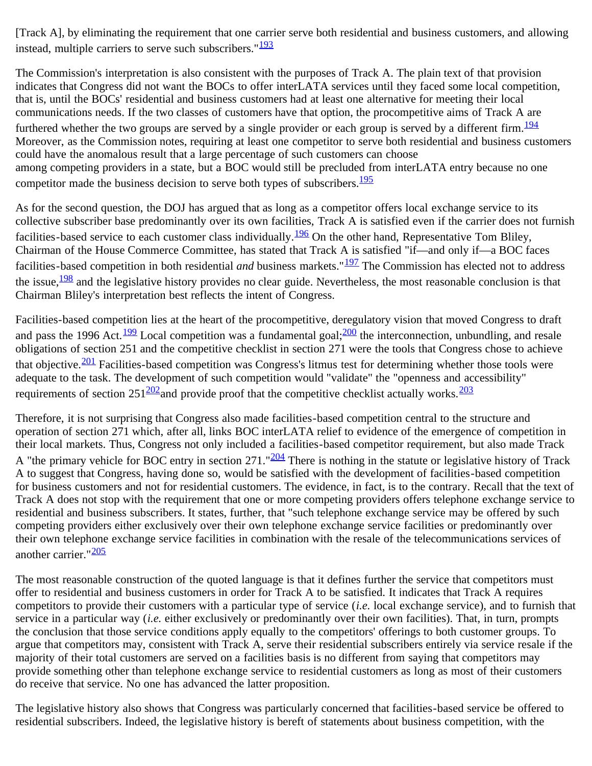[Track A], by eliminating the requirement that one carrier serve both residential and business customers, and allowing instead, multiple carriers to serve such subscribers." $\frac{193}{2}$  $\frac{193}{2}$  $\frac{193}{2}$ 

The Commission's interpretation is also consistent with the purposes of Track A. The plain text of that provision indicates that Congress did not want the BOCs to offer interLATA services until they faced some local competition, that is, until the BOCs' residential and business customers had at least one alternative for meeting their local communications needs. If the two classes of customers have that option, the procompetitive aims of Track A are furthered whether the two groups are served by a single provider or each group is served by a different firm.<sup>[194](#page-49-6)</sup> Moreover, as the Commission notes, requiring at least one competitor to serve both residential and business customers could have the anomalous result that a large percentage of such customers can choose among competing providers in a state, but a BOC would still be precluded from interLATA entry because no one competitor made the business decision to serve both types of subscribers. $\frac{195}{2}$  $\frac{195}{2}$  $\frac{195}{2}$ 

As for the second question, the DOJ has argued that as long as a competitor offers local exchange service to its collective subscriber base predominantly over its own facilities, Track A is satisfied even if the carrier does not furnish facilities-based service to each customer class individually.<sup>196</sup> On the other hand, Representative Tom Bliley, Chairman of the House Commerce Committee, has stated that Track A is satisfied "if—and only if—a BOC faces facilities-based competition in both residential *and* business markets."<sup>197</sup> The Commission has elected not to address the issue,  $\frac{198}{128}$  $\frac{198}{128}$  $\frac{198}{128}$  and the legislative history provides no clear guide. Nevertheless, the most reasonable conclusion is that Chairman Bliley's interpretation best reflects the intent of Congress.

Facilities-based competition lies at the heart of the procompetitive, deregulatory vision that moved Congress to draft and pass the [199](#page-50-1)6 Act.<sup>199</sup> Local competition was a fundamental goal;  $\frac{200}{20}$  the interconnection, unbundling, and resale obligations of section 251 and the competitive checklist in section 271 were the tools that Congress chose to achieve that objective.<sup>[201](#page-50-3)</sup> Facilities-based competition was Congress's litmus test for determining whether those tools were adequate to the task. The development of such competition would "validate" the "openness and accessibility" requirements of section  $251\frac{202}{2}$  and provide proof that the competitive checklist actually works.  $\frac{203}{2}$  $\frac{203}{2}$  $\frac{203}{2}$ 

Therefore, it is not surprising that Congress also made facilities-based competition central to the structure and operation of section 271 which, after all, links BOC interLATA relief to evidence of the emergence of competition in their local markets. Thus, Congress not only included a facilities-based competitor requirement, but also made Track A "the primary vehicle for BOC entry in section 271." $\frac{204}{20}$  $\frac{204}{20}$  $\frac{204}{20}$  There is nothing in the statute or legislative history of Track A to suggest that Congress, having done so, would be satisfied with the development of facilities-based competition for business customers and not for residential customers. The evidence, in fact, is to the contrary. Recall that the text of Track A does not stop with the requirement that one or more competing providers offers telephone exchange service to residential and business subscribers. It states, further, that "such telephone exchange service may be offered by such competing providers either exclusively over their own telephone exchange service facilities or predominantly over their own telephone exchange service facilities in combination with the resale of the telecommunications services of another carrier."<sup>[205](#page-50-7)</sup>

The most reasonable construction of the quoted language is that it defines further the service that competitors must offer to residential and business customers in order for Track A to be satisfied. It indicates that Track A requires competitors to provide their customers with a particular type of service (*i.e.* local exchange service), and to furnish that service in a particular way (*i.e.* either exclusively or predominantly over their own facilities). That, in turn, prompts the conclusion that those service conditions apply equally to the competitors' offerings to both customer groups. To argue that competitors may, consistent with Track A, serve their residential subscribers entirely via service resale if the majority of their total customers are served on a facilities basis is no different from saying that competitors may provide something other than telephone exchange service to residential customers as long as most of their customers do receive that service. No one has advanced the latter proposition.

The legislative history also shows that Congress was particularly concerned that facilities-based service be offered to residential subscribers. Indeed, the legislative history is bereft of statements about business competition, with the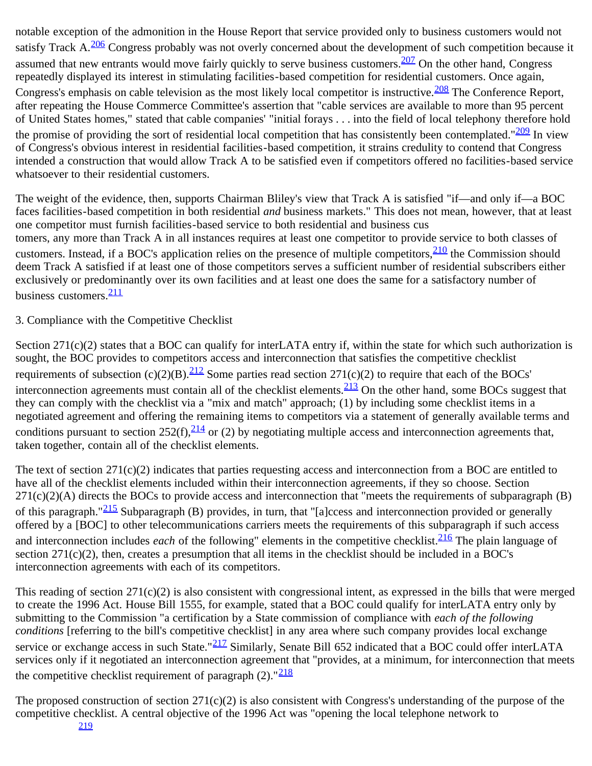notable exception of the admonition in the House Report that service provided only to business customers would not satisfy Track A.<sup>[206](#page-50-8)</sup> Congress probably was not overly concerned about the development of such competition because it assumed that new entrants would move fairly quickly to serve business customers.<sup>[207](#page-50-9)</sup> On the other hand, Congress repeatedly displayed its interest in stimulating facilities-based competition for residential customers. Once again, Congress's emphasis on cable television as the most likely local competitor is instructive. <sup>208</sup> The Conference Report, after repeating the House Commerce Committee's assertion that "cable services are available to more than 95 percent of United States homes," stated that cable companies' "initial forays . . . into the field of local telephony therefore hold the promise of providing the sort of residential local competition that has consistently been contemplated." $209$  In view of Congress's obvious interest in residential facilities-based competition, it strains credulity to contend that Congress intended a construction that would allow Track A to be satisfied even if competitors offered no facilities-based service whatsoever to their residential customers.

The weight of the evidence, then, supports Chairman Bliley's view that Track A is satisfied "if—and only if—a BOC faces facilities-based competition in both residential *and* business markets." This does not mean, however, that at least one competitor must furnish facilities-based service to both residential and business cus tomers, any more than Track A in all instances requires at least one competitor to provide service to both classes of customers. Instead, if a BOC's application relies on the presence of multiple competitors,  $\frac{210}{210}$  $\frac{210}{210}$  $\frac{210}{210}$  the Commission should deem Track A satisfied if at least one of those competitors serves a sufficient number of residential subscribers either exclusively or predominantly over its own facilities and at least one does the same for a satisfactory number of business customers. $\frac{211}{21}$  $\frac{211}{21}$  $\frac{211}{21}$ 

3. Compliance with the Competitive Checklist

Section 271(c)(2) states that a BOC can qualify for interLATA entry if, within the state for which such authorization is sought, the BOC provides to competitors access and interconnection that satisfies the competitive checklist requirements of subsection  $(c)(2)(B)$ .<sup>[212](#page-50-14)</sup> Some parties read section 271(c)(2) to require that each of the BOCs' interconnection agreements must contain all of the checklist elements.  $\frac{213}{2}$  On the other hand, some BOCs suggest that they can comply with the checklist via a "mix and match" approach; (1) by including some checklist items in a negotiated agreement and offering the remaining items to competitors via a statement of generally available terms and conditions pursuant to section  $252(f)$ ,  $\frac{214}{f}$  or (2) by negotiating multiple access and interconnection agreements that, taken together, contain all of the checklist elements.

The text of section  $271(c)(2)$  indicates that parties requesting access and interconnection from a BOC are entitled to have all of the checklist elements included within their interconnection agreements, if they so choose. Section  $271(c)(2)(A)$  directs the BOCs to provide access and interconnection that "meets the requirements of subparagraph (B) of this paragraph."<sup>215</sup> Subparagraph (B) provides, in turn, that "[a]ccess and interconnection provided or generally offered by a [BOC] to other telecommunications carriers meets the requirements of this subparagraph if such access and interconnection includes *each* of the following" elements in the competitive checklist.<sup>[216](#page-51-1)</sup> The plain language of section  $271(c)(2)$ , then, creates a presumption that all items in the checklist should be included in a BOC's interconnection agreements with each of its competitors.

This reading of section 271(c)(2) is also consistent with congressional intent, as expressed in the bills that were merged to create the 1996 Act. House Bill 1555, for example, stated that a BOC could qualify for interLATA entry only by submitting to the Commission "a certification by a State commission of compliance with *each of the following conditions* [referring to the bill's competitive checklist] in any area where such company provides local exchange service or exchange access in such State."<sup>[217](#page-51-2)</sup> Similarly, Senate Bill 652 indicated that a BOC could offer interLATA services only if it negotiated an interconnection agreement that "provides, at a minimum, for interconnection that meets the competitive checklist requirement of paragraph  $(2)$ ." $\frac{218}{21}$  $\frac{218}{21}$  $\frac{218}{21}$ 

The proposed construction of section  $271(c)(2)$  is also consistent with Congress's understanding of the purpose of the competitive checklist. A central objective of the 1996 Act was "opening the local telephone network to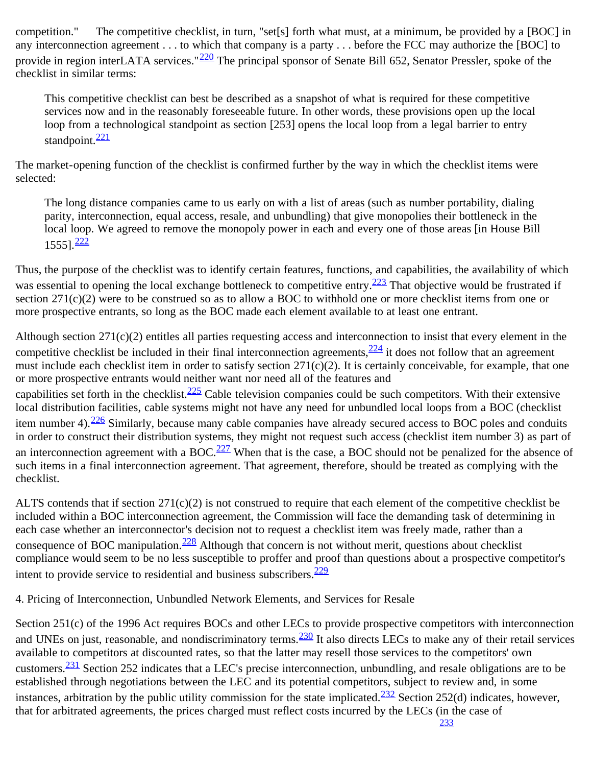competition." The competitive checklist, in turn, "set[s] forth what must, at a minimum, be provided by a [BOC] in any interconnection agreement . . . to which that company is a party . . . before the FCC may authorize the [BOC] to provide in region interLATA services."<sup>220</sup> The principal sponsor of Senate Bill 652, Senator Pressler, spoke of the checklist in similar terms:

This competitive checklist can best be described as a snapshot of what is required for these competitive services now and in the reasonably foreseeable future. In other words, these provisions open up the local loop from a technological standpoint as section [253] opens the local loop from a legal barrier to entry standpoint. $\frac{221}{22}$  $\frac{221}{22}$  $\frac{221}{22}$ 

The market-opening function of the checklist is confirmed further by the way in which the checklist items were selected:

The long distance companies came to us early on with a list of areas (such as number portability, dialing parity, interconnection, equal access, resale, and unbundling) that give monopolies their bottleneck in the local loop. We agreed to remove the monopoly power in each and every one of those areas [in House Bill  $1555$ ]. $\frac{222}{22}$  $\frac{222}{22}$  $\frac{222}{22}$ 

Thus, the purpose of the checklist was to identify certain features, functions, and capabilities, the availability of which was essential to opening the local exchange bottleneck to competitive entry.<sup>[223](#page-51-8)</sup> That objective would be frustrated if section 271(c)(2) were to be construed so as to allow a BOC to withhold one or more checklist items from one or more prospective entrants, so long as the BOC made each element available to at least one entrant.

Although section 271(c)(2) entitles all parties requesting access and interconnection to insist that every element in the competitive checklist be included in their final interconnection agreements,  $\frac{224}{11}$  $\frac{224}{11}$  $\frac{224}{11}$  it does not follow that an agreement must include each checklist item in order to satisfy section  $271(c)(2)$ . It is certainly conceivable, for example, that one or more prospective entrants would neither want nor need all of the features and capabilities set forth in the checklist.<sup>225</sup> Cable television companies could be such competitors. With their extensive local distribution facilities, cable systems might not have any need for unbundled local loops from a BOC (checklist item number 4).  $\frac{226}{5}$  $\frac{226}{5}$  $\frac{226}{5}$  Similarly, because many cable companies have already secured access to BOC poles and conduits in order to construct their distribution systems, they might not request such access (checklist item number 3) as part of an interconnection agreement with a BOC.<sup>227</sup> When that is the case, a BOC should not be penalized for the absence of such items in a final interconnection agreement. That agreement, therefore, should be treated as complying with the checklist.

ALTS contends that if section  $271(c)(2)$  is not construed to require that each element of the competitive checklist be included within a BOC interconnection agreement, the Commission will face the demanding task of determining in each case whether an interconnector's decision not to request a checklist item was freely made, rather than a consequence of BOC manipulation. $\frac{228}{2}$  Although that concern is not without merit, questions about checklist compliance would seem to be no less susceptible to proffer and proof than questions about a prospective competitor's intent to provide service to residential and business subscribers. $\frac{229}{2}$  $\frac{229}{2}$  $\frac{229}{2}$ 

4. Pricing of Interconnection, Unbundled Network Elements, and Services for Resale

Section 251(c) of the 1996 Act requires BOCs and other LECs to provide prospective competitors with interconnection and UNEs on just, reasonable, and nondiscriminatory terms.<sup>[230](#page-52-2)</sup> It also directs LECs to make any of their retail services available to competitors at discounted rates, so that the latter may resell those services to the competitors' own customers.<sup>231</sup> Section 252 indicates that a LEC's precise interconnection, unbundling, and resale obligations are to be established through negotiations between the LEC and its potential competitors, subject to review and, in some instances, arbitration by the public utility commission for the state implicated.<sup>[232](#page-52-4)</sup> Section 252(d) indicates, however, that for arbitrated agreements, the prices charged must reflect costs incurred by the LECs (in the case of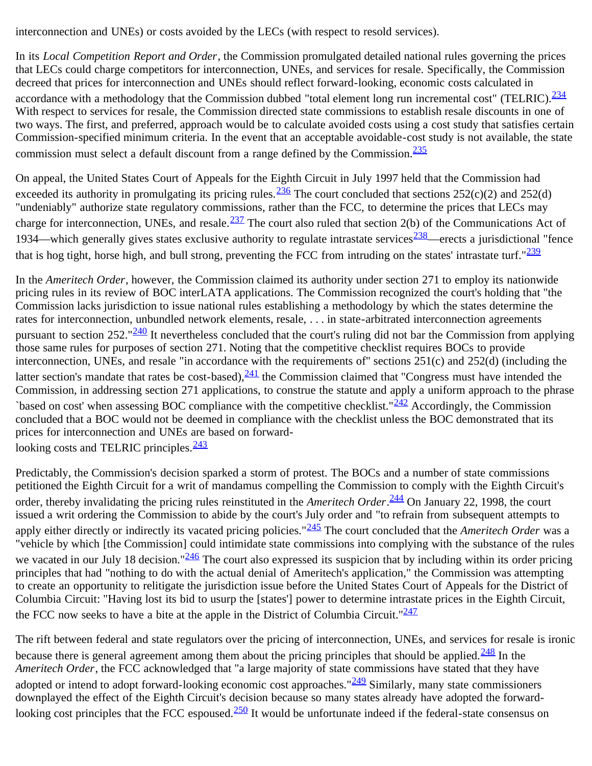interconnection and UNEs) or costs avoided by the LECs (with respect to resold services).

In its *Local Competition Report and Order*, the Commission promulgated detailed national rules governing the prices that LECs could charge competitors for interconnection, UNEs, and services for resale. Specifically, the Commission decreed that prices for interconnection and UNEs should reflect forward-looking, economic costs calculated in accordance with a methodology that the Commission dubbed "total element long run incremental cost" (TELRIC). $\frac{234}{5}$  $\frac{234}{5}$  $\frac{234}{5}$ With respect to services for resale, the Commission directed state commissions to establish resale discounts in one of two ways. The first, and preferred, approach would be to calculate avoided costs using a cost study that satisfies certain Commission-specified minimum criteria. In the event that an acceptable avoidable-cost study is not available, the state commission must select a default discount from a range defined by the Commission. $\frac{235}{235}$  $\frac{235}{235}$  $\frac{235}{235}$ 

On appeal, the United States Court of Appeals for the Eighth Circuit in July 1997 held that the Commission had exceeded its authority in promulgating its pricing rules.<sup>[236](#page-53-2)</sup> The court concluded that sections 252(c)(2) and 252(d) "undeniably" authorize state regulatory commissions, rather than the FCC, to determine the prices that LECs may charge for interconnection, UNEs, and resale. $\frac{237}{25}$  $\frac{237}{25}$  $\frac{237}{25}$  The court also ruled that section 2(b) of the Communications Act of 1934—which generally gives states exclusive authority to regulate intrastate services<sup>238</sup>—erects a jurisdictional "fence that is hog tight, horse high, and bull strong, preventing the FCC from intruding on the states' intrastate turf." $\frac{239}{23}$  $\frac{239}{23}$  $\frac{239}{23}$ 

In the *Ameritech Order*, however, the Commission claimed its authority under section 271 to employ its nationwide pricing rules in its review of BOC interLATA applications. The Commission recognized the court's holding that "the Commission lacks jurisdiction to issue national rules establishing a methodology by which the states determine the rates for interconnection, unbundled network elements, resale, . . . in state-arbitrated interconnection agreements pursuant to section  $252.^{9240}$  It nevertheless concluded that the court's ruling did not bar the Commission from applying those same rules for purposes of section 271. Noting that the competitive checklist requires BOCs to provide interconnection, UNEs, and resale "in accordance with the requirements of" sections 251(c) and 252(d) (including the latter section's mandate that rates be cost-based), $\frac{241}{1}$  $\frac{241}{1}$  $\frac{241}{1}$  the Commission claimed that "Congress must have intended the Commission, in addressing section 271 applications, to construe the statute and apply a uniform approach to the phrase `based on cost' when assessing BOC compliance with the competitive checklist." $\frac{242}{ }$  Accordingly, the Commission concluded that a BOC would not be deemed in compliance with the checklist unless the BOC demonstrated that its prices for interconnection and UNEs are based on forward-

looking costs and TELRIC principles.<sup>[243](#page-54-0)</sup>

Predictably, the Commission's decision sparked a storm of protest. The BOCs and a number of state commissions petitioned the Eighth Circuit for a writ of mandamus compelling the Commission to comply with the Eighth Circuit's order, thereby invalidating the pricing rules reinstituted in the *Ameritech Order*. [244](#page-0-0) On January 22, 1998, the court issued a writ ordering the Commission to abide by the court's July order and "to refrain from subsequent attempts to apply either directly or indirectly its vacated pricing policies."<sup>245</sup> The court concluded that the *Ameritech Order* was a "vehicle by which [the Commission] could intimidate state commissions into complying with the substance of the rules we vacated in our July 18 decision." $\frac{246}{2}$  The court also expressed its suspicion that by including within its order pricing principles that had "nothing to do with the actual denial of Ameritech's application," the Commission was attempting to create an opportunity to relitigate the jurisdiction issue before the United States Court of Appeals for the District of Columbia Circuit: "Having lost its bid to usurp the [states'] power to determine intrastate prices in the Eighth Circuit, the FCC now seeks to have a bite at the apple in the District of Columbia Circuit." $\frac{247}{241}$  $\frac{247}{241}$  $\frac{247}{241}$ 

The rift between federal and state regulators over the pricing of interconnection, UNEs, and services for resale is ironic because there is general agreement among them about the pricing principles that should be applied. $\frac{248}{1}$  In the *Ameritech Order*, the FCC acknowledged that "a large majority of state commissions have stated that they have adopted or intend to adopt forward-looking economic cost approaches." $\frac{249}{25}$  $\frac{249}{25}$  $\frac{249}{25}$  Similarly, many state commissioners downplayed the effect of the Eighth Circuit's decision because so many states already have adopted the forwardlooking cost principles that the FCC espoused.<sup>250</sup> It would be unfortunate indeed if the federal-state consensus on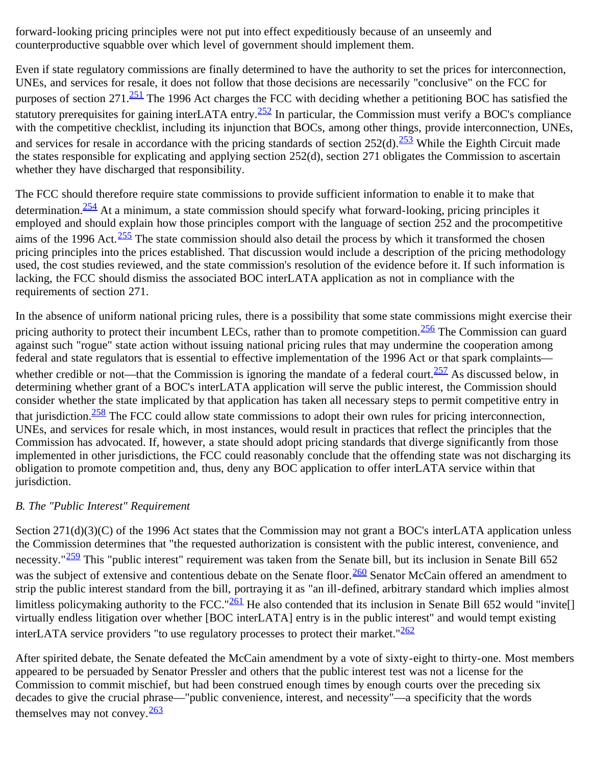forward-looking pricing principles were not put into effect expeditiously because of an unseemly and counterproductive squabble over which level of government should implement them.

Even if state regulatory commissions are finally determined to have the authority to set the prices for interconnection, UNEs, and services for resale, it does not follow that those decisions are necessarily "conclusive" on the FCC for purposes of section 271.<sup>251</sup> The 1996 Act charges the FCC with deciding whether a petitioning BOC has satisfied the statutory prerequisites for gaining interLATA entry.<sup>252</sup> In particular, the Commission must verify a BOC's compliance with the competitive checklist, including its injunction that BOCs, among other things, provide interconnection, UNEs, and services for resale in accordance with the pricing standards of section  $252(d)$ .  $\frac{253}{d}$  While the Eighth Circuit made the states responsible for explicating and applying section 252(d), section 271 obligates the Commission to ascertain whether they have discharged that responsibility.

The FCC should therefore require state commissions to provide sufficient information to enable it to make that determination.<sup>254</sup> At a minimum, a state commission should specify what forward-looking, pricing principles it employed and should explain how those principles comport with the language of section 252 and the procompetitive aims of the 1996 Act. $\frac{255}{25}$  The state commission should also detail the process by which it transformed the chosen pricing principles into the prices established. That discussion would include a description of the pricing methodology used, the cost studies reviewed, and the state commission's resolution of the evidence before it. If such information is lacking, the FCC should dismiss the associated BOC interLATA application as not in compliance with the requirements of section 271.

In the absence of uniform national pricing rules, there is a possibility that some state commissions might exercise their pricing authority to protect their incumbent LECs, rather than to promote competition.  $\frac{256}{256}$  $\frac{256}{256}$  $\frac{256}{256}$  The Commission can guard against such "rogue" state action without issuing national pricing rules that may undermine the cooperation among federal and state regulators that is essential to effective implementation of the 1996 Act or that spark complaints whether credible or not—that the Commission is ignoring the mandate of a federal court.<sup>257</sup> As discussed below, in determining whether grant of a BOC's interLATA application will serve the public interest, the Commission should consider whether the state implicated by that application has taken all necessary steps to permit competitive entry in that jurisdiction.<sup>258</sup> The FCC could allow state commissions to adopt their own rules for pricing interconnection, UNEs, and services for resale which, in most instances, would result in practices that reflect the principles that the Commission has advocated. If, however, a state should adopt pricing standards that diverge significantly from those implemented in other jurisdictions, the FCC could reasonably conclude that the offending state was not discharging its obligation to promote competition and, thus, deny any BOC application to offer interLATA service within that jurisdiction.

#### *B. The "Public Interest" Requirement*

Section 271(d)(3)(C) of the 1996 Act states that the Commission may not grant a BOC's interLATA application unless the Commission determines that "the requested authorization is consistent with the public interest, convenience, and necessity." $\frac{259}{252}$  This "public interest" requirement was taken from the Senate bill, but its inclusion in Senate Bill 652 was the subject of extensive and contentious debate on the Senate floor.<sup>260</sup> Senator McCain offered an amendment to strip the public interest standard from the bill, portraying it as "an ill-defined, arbitrary standard which implies almost limitless policymaking authority to the FCC."<sup>[261](#page-56-4)</sup> He also contended that its inclusion in Senate Bill 652 would "invite virtually endless litigation over whether [BOC interLATA] entry is in the public interest" and would tempt existing interLATA service providers "to use regulatory processes to protect their market." $262$ 

After spirited debate, the Senate defeated the McCain amendment by a vote of sixty-eight to thirty-one. Most members appeared to be persuaded by Senator Pressler and others that the public interest test was not a license for the Commission to commit mischief, but had been construed enough times by enough courts over the preceding six decades to give the crucial phrase—"public convenience, interest, and necessity"—a specificity that the words themselves may not convey. $\frac{263}{26}$  $\frac{263}{26}$  $\frac{263}{26}$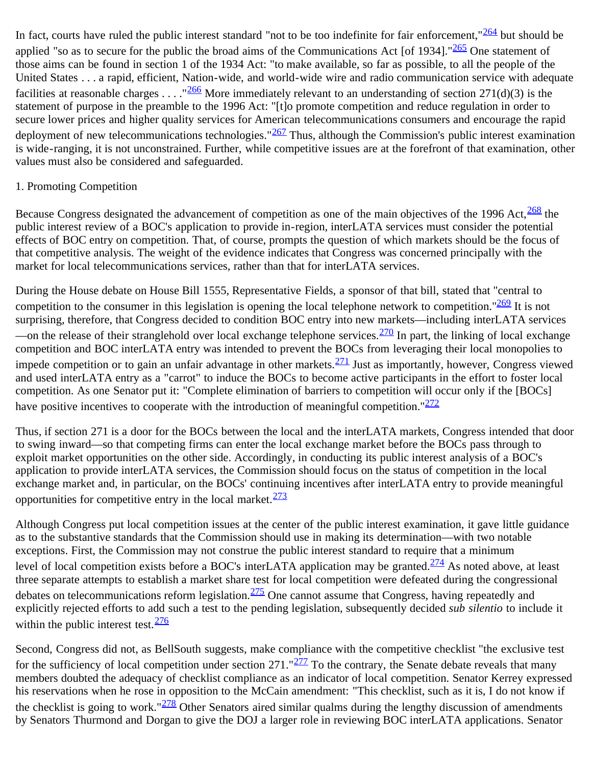In fact, courts have ruled the public interest standard "not to be too indefinite for fair enforcement," $264$  but should be applied "so as to secure for the public the broad aims of the Communications Act [of 1934]."<sup>[265](#page-57-0)</sup> One statement of those aims can be found in section 1 of the 1934 Act: "to make available, so far as possible, to all the people of the United States . . . a rapid, efficient, Nation-wide, and world-wide wire and radio communication service with adequate facilities at reasonable charges . . . . "<sup>266</sup> More immediately relevant to an understanding of section 271(d)(3) is the statement of purpose in the preamble to the 1996 Act: "[t]o promote competition and reduce regulation in order to secure lower prices and higher quality services for American telecommunications consumers and encourage the rapid deployment of new telecommunications technologies." $267$  Thus, although the Commission's public interest examination is wide-ranging, it is not unconstrained. Further, while competitive issues are at the forefront of that examination, other values must also be considered and safeguarded.

#### 1. Promoting Competition

Because Congress designated the advancement of competition as one of the main objectives of the 1996 Act.<sup>268</sup> the public interest review of a BOC's application to provide in-region, interLATA services must consider the potential effects of BOC entry on competition. That, of course, prompts the question of which markets should be the focus of that competitive analysis. The weight of the evidence indicates that Congress was concerned principally with the market for local telecommunications services, rather than that for interLATA services.

During the House debate on House Bill 1555, Representative Fields, a sponsor of that bill, stated that "central to competition to the consumer in this legislation is opening the local telephone network to competition." $\frac{269}{25}$  $\frac{269}{25}$  $\frac{269}{25}$  It is not surprising, therefore, that Congress decided to condition BOC entry into new markets—including interLATA services —on the release of their stranglehold over local exchange telephone services.  $\frac{270}{270}$  In part, the linking of local exchange competition and BOC interLATA entry was intended to prevent the BOCs from leveraging their local monopolies to impede competition or to gain an unfair advantage in other markets.  $\frac{271}{1}$  Just as importantly, however, Congress viewed and used interLATA entry as a "carrot" to induce the BOCs to become active participants in the effort to foster local competition. As one Senator put it: "Complete elimination of barriers to competition will occur only if the [BOCs] have positive incentives to cooperate with the introduction of meaningful competition." $272$ 

Thus, if section 271 is a door for the BOCs between the local and the interLATA markets, Congress intended that door to swing inward—so that competing firms can enter the local exchange market before the BOCs pass through to exploit market opportunities on the other side. Accordingly, in conducting its public interest analysis of a BOC's application to provide interLATA services, the Commission should focus on the status of competition in the local exchange market and, in particular, on the BOCs' continuing incentives after interLATA entry to provide meaningful opportunities for competitive entry in the local market. $\frac{273}{27}$  $\frac{273}{27}$  $\frac{273}{27}$ 

Although Congress put local competition issues at the center of the public interest examination, it gave little guidance as to the substantive standards that the Commission should use in making its determination—with two notable exceptions. First, the Commission may not construe the public interest standard to require that a minimum level of local competition exists before a BOC's interLATA application may be granted.<sup>[274](#page-58-3)</sup> As noted above, at least three separate attempts to establish a market share test for local competition were defeated during the congressional debates on telecommunications reform legislation.  $\frac{275}{27}$  $\frac{275}{27}$  $\frac{275}{27}$  One cannot assume that Congress, having repeatedly and explicitly rejected efforts to add such a test to the pending legislation, subsequently decided *sub silentio* to include it within the public interest test.  $\frac{276}{5}$  $\frac{276}{5}$  $\frac{276}{5}$ 

Second, Congress did not, as BellSouth suggests, make compliance with the competitive checklist "the exclusive test for the sufficiency of local competition under section  $271$ ." $\frac{277}{27}$  $\frac{277}{27}$  $\frac{277}{27}$  To the contrary, the Senate debate reveals that many members doubted the adequacy of checklist compliance as an indicator of local competition. Senator Kerrey expressed his reservations when he rose in opposition to the McCain amendment: "This checklist, such as it is, I do not know if the checklist is going to work." $\frac{278}{278}$  Other Senators aired similar qualms during the lengthy discussion of amendments by Senators Thurmond and Dorgan to give the DOJ a larger role in reviewing BOC interLATA applications. Senator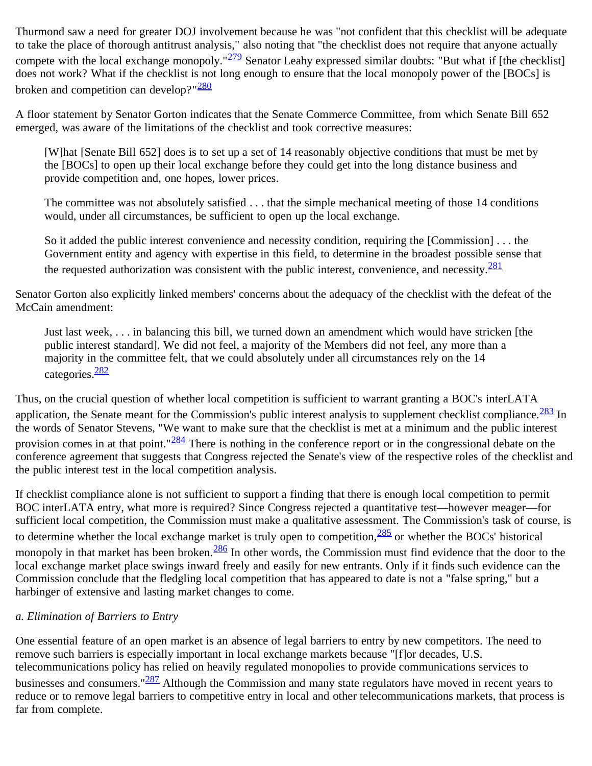Thurmond saw a need for greater DOJ involvement because he was "not confident that this checklist will be adequate to take the place of thorough antitrust analysis," also noting that "the checklist does not require that anyone actually compete with the local exchange monopoly." $\frac{279}{27}$  Senator Leahy expressed similar doubts: "But what if [the checklist] does not work? What if the checklist is not long enough to ensure that the local monopoly power of the [BOCs] is broken and competition can develop?"<sup>[280](#page-58-9)</sup>

A floor statement by Senator Gorton indicates that the Senate Commerce Committee, from which Senate Bill 652 emerged, was aware of the limitations of the checklist and took corrective measures:

[W]hat [Senate Bill 652] does is to set up a set of 14 reasonably objective conditions that must be met by the [BOCs] to open up their local exchange before they could get into the long distance business and provide competition and, one hopes, lower prices.

The committee was not absolutely satisfied . . . that the simple mechanical meeting of those 14 conditions would, under all circumstances, be sufficient to open up the local exchange.

So it added the public interest convenience and necessity condition, requiring the [Commission] . . . the Government entity and agency with expertise in this field, to determine in the broadest possible sense that the requested authorization was consistent with the public interest, convenience, and necessity.<sup>[281](#page-59-0)</sup>

Senator Gorton also explicitly linked members' concerns about the adequacy of the checklist with the defeat of the McCain amendment:

Just last week, . . . in balancing this bill, we turned down an amendment which would have stricken [the public interest standard]. We did not feel, a majority of the Members did not feel, any more than a majority in the committee felt, that we could absolutely under all circumstances rely on the 14 categories.[282](#page-59-1)

Thus, on the crucial question of whether local competition is sufficient to warrant granting a BOC's interLATA application, the Senate meant for the Commission's public interest analysis to supplement checklist compliance. $\frac{283}{1}$  $\frac{283}{1}$  $\frac{283}{1}$  In the words of Senator Stevens, "We want to make sure that the checklist is met at a minimum and the public interest provision comes in at that point." $284$  There is nothing in the conference report or in the congressional debate on the conference agreement that suggests that Congress rejected the Senate's view of the respective roles of the checklist and the public interest test in the local competition analysis.

If checklist compliance alone is not sufficient to support a finding that there is enough local competition to permit BOC interLATA entry, what more is required? Since Congress rejected a quantitative test—however meager—for sufficient local competition, the Commission must make a qualitative assessment. The Commission's task of course, is to determine whether the local exchange market is truly open to competition,  $\frac{285}{100}$  $\frac{285}{100}$  $\frac{285}{100}$  or whether the BOCs' historical monopoly in that market has been broken.<sup>286</sup> In other words, the Commission must find evidence that the door to the local exchange market place swings inward freely and easily for new entrants. Only if it finds such evidence can the Commission conclude that the fledgling local competition that has appeared to date is not a "false spring," but a harbinger of extensive and lasting market changes to come.

## *a. Elimination of Barriers to Entry*

One essential feature of an open market is an absence of legal barriers to entry by new competitors. The need to remove such barriers is especially important in local exchange markets because "[f]or decades, U.S. telecommunications policy has relied on heavily regulated monopolies to provide communications services to businesses and consumers."<sup>[287](#page-59-6)</sup> Although the Commission and many state regulators have moved in recent years to reduce or to remove legal barriers to competitive entry in local and other telecommunications markets, that process is far from complete.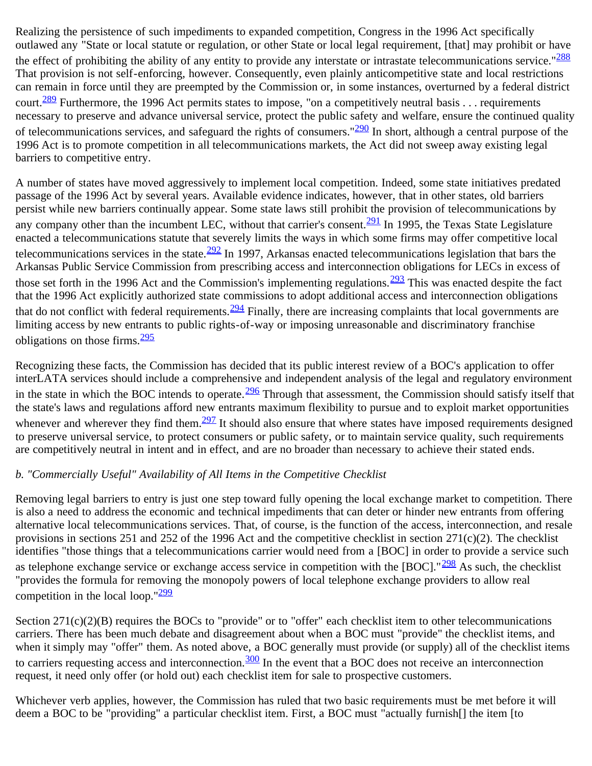Realizing the persistence of such impediments to expanded competition, Congress in the 1996 Act specifically outlawed any "State or local statute or regulation, or other State or local legal requirement, [that] may prohibit or have the effect of prohibiting the ability of any entity to provide any interstate or intrastate telecommunications service."<sup>[288](#page-59-7)</sup> That provision is not self-enforcing, however. Consequently, even plainly anticompetitive state and local restrictions can remain in force until they are preempted by the Commission or, in some instances, overturned by a federal district court.<sup>289</sup> Furthermore, the 1996 Act permits states to impose, "on a competitively neutral basis . . . requirements necessary to preserve and advance universal service, protect the public safety and welfare, ensure the continued quality of telecommunications services, and safeguard the rights of consumers." $290$  In short, although a central purpose of the 1996 Act is to promote competition in all telecommunications markets, the Act did not sweep away existing legal barriers to competitive entry.

A number of states have moved aggressively to implement local competition. Indeed, some state initiatives predated passage of the 1996 Act by several years. Available evidence indicates, however, that in other states, old barriers persist while new barriers continually appear. Some state laws still prohibit the provision of telecommunications by any company other than the incumbent LEC, without that carrier's consent.<sup>[291](#page-0-0)</sup> In 1995, the Texas State Legislature enacted a telecommunications statute that severely limits the ways in which some firms may offer competitive local telecommunications services in the state. $\frac{292}{1}$  $\frac{292}{1}$  $\frac{292}{1}$  In 1997, Arkansas enacted telecommunications legislation that bars the Arkansas Public Service Commission from prescribing access and interconnection obligations for LECs in excess of those set forth in the 1996 Act and the Commission's implementing regulations.  $\frac{293}{27}$  This was enacted despite the fact that the 1996 Act explicitly authorized state commissions to adopt additional access and interconnection obligations that do not conflict with federal requirements.  $\frac{294}{27}$  $\frac{294}{27}$  $\frac{294}{27}$  Finally, there are increasing complaints that local governments are limiting access by new entrants to public rights-of-way or imposing unreasonable and discriminatory franchise obligations on those firms. $\frac{295}{295}$  $\frac{295}{295}$  $\frac{295}{295}$ 

Recognizing these facts, the Commission has decided that its public interest review of a BOC's application to offer interLATA services should include a comprehensive and independent analysis of the legal and regulatory environment in the state in which the BOC intends to operate.  $\frac{296}{2}$  Through that assessment, the Commission should satisfy itself that the state's laws and regulations afford new entrants maximum flexibility to pursue and to exploit market opportunities whenever and wherever they find them. $297$  It should also ensure that where states have imposed requirements designed to preserve universal service, to protect consumers or public safety, or to maintain service quality, such requirements are competitively neutral in intent and in effect, and are no broader than necessary to achieve their stated ends.

#### *b. "Commercially Useful" Availability of All Items in the Competitive Checklist*

Removing legal barriers to entry is just one step toward fully opening the local exchange market to competition. There is also a need to address the economic and technical impediments that can deter or hinder new entrants from offering alternative local telecommunications services. That, of course, is the function of the access, interconnection, and resale provisions in sections 251 and 252 of the 1996 Act and the competitive checklist in section 271(c)(2). The checklist identifies "those things that a telecommunications carrier would need from a [BOC] in order to provide a service such as telephone exchange service or exchange access service in competition with the [BOC]." $\frac{298}{25}$  $\frac{298}{25}$  $\frac{298}{25}$  As such, the checklist "provides the formula for removing the monopoly powers of local telephone exchange providers to allow real competition in the local loop."[299](#page-60-4)

Section 271(c)(2)(B) requires the BOCs to "provide" or to "offer" each checklist item to other telecommunications carriers. There has been much debate and disagreement about when a BOC must "provide" the checklist items, and when it simply may "offer" them. As noted above, a BOC generally must provide (or supply) all of the checklist items to carriers requesting access and interconnection.<sup>300</sup> In the event that a BOC does not receive an interconnection request, it need only offer (or hold out) each checklist item for sale to prospective customers.

Whichever verb applies, however, the Commission has ruled that two basic requirements must be met before it will deem a BOC to be "providing" a particular checklist item. First, a BOC must "actually furnish[] the item [to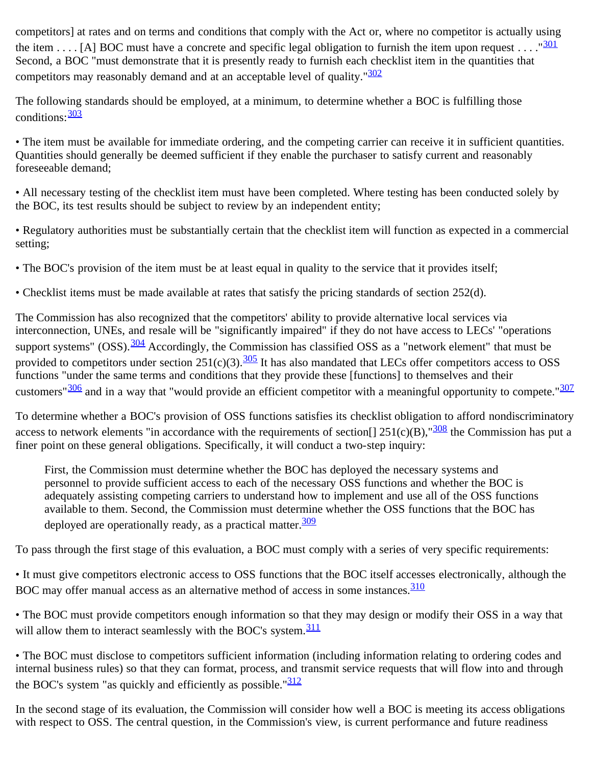competitors] at rates and on terms and conditions that comply with the Act or, where no competitor is actually using the item . . . [A] BOC must have a concrete and specific legal obligation to furnish the item upon request . . . . " $\frac{301}{201}$  $\frac{301}{201}$  $\frac{301}{201}$ Second, a BOC "must demonstrate that it is presently ready to furnish each checklist item in the quantities that competitors may reasonably demand and at an acceptable level of quality." $\frac{302}{ }$ 

The following standards should be employed, at a minimum, to determine whether a BOC is fulfilling those conditions:  $\frac{303}{ }$  $\frac{303}{ }$  $\frac{303}{ }$ 

• The item must be available for immediate ordering, and the competing carrier can receive it in sufficient quantities. Quantities should generally be deemed sufficient if they enable the purchaser to satisfy current and reasonably foreseeable demand;

• All necessary testing of the checklist item must have been completed. Where testing has been conducted solely by the BOC, its test results should be subject to review by an independent entity;

• Regulatory authorities must be substantially certain that the checklist item will function as expected in a commercial setting;

• The BOC's provision of the item must be at least equal in quality to the service that it provides itself;

• Checklist items must be made available at rates that satisfy the pricing standards of section 252(d).

The Commission has also recognized that the competitors' ability to provide alternative local services via interconnection, UNEs, and resale will be "significantly impaired" if they do not have access to LECs' "operations support systems" (OSS).<sup>[304](#page-60-8)</sup> Accordingly, the Commission has classified OSS as a "network element" that must be provided to competitors under section  $251(c)(3)$ .  $\frac{305}{c}$  It has also mandated that LECs offer competitors access to OSS functions "under the same terms and conditions that they provide these [functions] to themselves and their customers" $\frac{306}{100}$  $\frac{306}{100}$  $\frac{306}{100}$  and in a way that "would provide an efficient competitor with a meaningful opportunity to compete." $\frac{307}{100}$ 

To determine whether a BOC's provision of OSS functions satisfies its checklist obligation to afford nondiscriminatory access to network elements "in accordance with the requirements of section<sup>[]</sup>  $251(c)(B)$ ,  $\frac{308}{308}$  $\frac{308}{308}$  $\frac{308}{308}$  the Commission has put a finer point on these general obligations. Specifically, it will conduct a two-step inquiry:

First, the Commission must determine whether the BOC has deployed the necessary systems and personnel to provide sufficient access to each of the necessary OSS functions and whether the BOC is adequately assisting competing carriers to understand how to implement and use all of the OSS functions available to them. Second, the Commission must determine whether the OSS functions that the BOC has deployed are operationally ready, as a practical matter.  $\frac{309}{ }$  $\frac{309}{ }$  $\frac{309}{ }$ 

To pass through the first stage of this evaluation, a BOC must comply with a series of very specific requirements:

• It must give competitors electronic access to OSS functions that the BOC itself accesses electronically, although the BOC may offer manual access as an alternative method of access in some instances.<sup>[310](#page-61-1)</sup>

• The BOC must provide competitors enough information so that they may design or modify their OSS in a way that will allow them to interact seamlessly with the BOC's system. $\frac{311}{21}$  $\frac{311}{21}$  $\frac{311}{21}$ 

• The BOC must disclose to competitors sufficient information (including information relating to ordering codes and internal business rules) so that they can format, process, and transmit service requests that will flow into and through the BOC's system "as quickly and efficiently as possible." $\frac{312}{2}$  $\frac{312}{2}$  $\frac{312}{2}$ 

In the second stage of its evaluation, the Commission will consider how well a BOC is meeting its access obligations with respect to OSS. The central question, in the Commission's view, is current performance and future readiness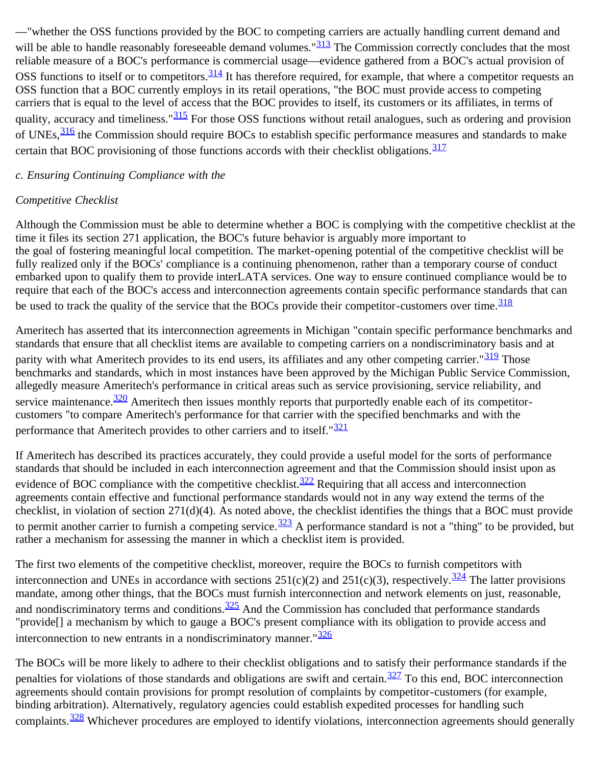—"whether the OSS functions provided by the BOC to competing carriers are actually handling current demand and will be able to handle reasonably foreseeable demand volumes."<sup>[313](#page-61-4)</sup> The Commission correctly concludes that the most reliable measure of a BOC's performance is commercial usage—evidence gathered from a BOC's actual provision of OSS functions to itself or to competitors.  $\frac{314}{31}$  It has therefore required, for example, that where a competitor requests an OSS function that a BOC currently employs in its retail operations, "the BOC must provide access to competing carriers that is equal to the level of access that the BOC provides to itself, its customers or its affiliates, in terms of quality, accuracy and timeliness."<sup>315</sup> For those OSS functions without retail analogues, such as ordering and provision of UNEs,  $\frac{316}{10}$  the Commission should require BOCs to establish specific performance measures and standards to make certain that BOC provisioning of those functions accords with their checklist obligations.  $\frac{317}{21}$  $\frac{317}{21}$  $\frac{317}{21}$ 

#### *c. Ensuring Continuing Compliance with the*

#### *Competitive Checklist*

Although the Commission must be able to determine whether a BOC is complying with the competitive checklist at the time it files its section 271 application, the BOC's future behavior is arguably more important to the goal of fostering meaningful local competition. The market-opening potential of the competitive checklist will be fully realized only if the BOCs' compliance is a continuing phenomenon, rather than a temporary course of conduct embarked upon to qualify them to provide interLATA services. One way to ensure continued compliance would be to require that each of the BOC's access and interconnection agreements contain specific performance standards that can be used to track the quality of the service that the BOCs provide their competitor-customers over time. [318](#page-61-9)

Ameritech has asserted that its interconnection agreements in Michigan "contain specific performance benchmarks and standards that ensure that all checklist items are available to competing carriers on a nondiscriminatory basis and at parity with what Ameritech provides to its end users, its affiliates and any other competing carrier."<sup>[319](#page-61-10)</sup> Those benchmarks and standards, which in most instances have been approved by the Michigan Public Service Commission, allegedly measure Ameritech's performance in critical areas such as service provisioning, service reliability, and service maintenance.<sup>[320](#page-61-11)</sup> Ameritech then issues monthly reports that purportedly enable each of its competitorcustomers "to compare Ameritech's performance for that carrier with the specified benchmarks and with the performance that Ameritech provides to other carriers and to itself."<sup>[321](#page-61-12)</sup>

If Ameritech has described its practices accurately, they could provide a useful model for the sorts of performance standards that should be included in each interconnection agreement and that the Commission should insist upon as evidence of BOC compliance with the competitive checklist.<sup>[322](#page-61-13)</sup> Requiring that all access and interconnection agreements contain effective and functional performance standards would not in any way extend the terms of the checklist, in violation of section 271(d)(4). As noted above, the checklist identifies the things that a BOC must provide to permit another carrier to furnish a competing service.  $\frac{323}{9}$  A performance standard is not a "thing" to be provided, but rather a mechanism for assessing the manner in which a checklist item is provided.

The first two elements of the competitive checklist, moreover, require the BOCs to furnish competitors with interconnection and UNEs in accordance with sections  $251(c)(2)$  and  $251(c)(3)$ , respectively.<sup>324</sup> The latter provisions mandate, among other things, that the BOCs must furnish interconnection and network elements on just, reasonable, and nondiscriminatory terms and conditions. $\frac{325}{2}$  And the Commission has concluded that performance standards "provide[] a mechanism by which to gauge a BOC's present compliance with its obligation to provide access and interconnection to new entrants in a nondiscriminatory manner." $\frac{326}{ }$  $\frac{326}{ }$  $\frac{326}{ }$ 

The BOCs will be more likely to adhere to their checklist obligations and to satisfy their performance standards if the penalties for violations of those standards and obligations are swift and certain.<sup>327</sup> To this end, BOC interconnection agreements should contain provisions for prompt resolution of complaints by competitor-customers (for example, binding arbitration). Alternatively, regulatory agencies could establish expedited processes for handling such complaints.<sup>[328](#page-62-2)</sup> Whichever procedures are employed to identify violations, interconnection agreements should generally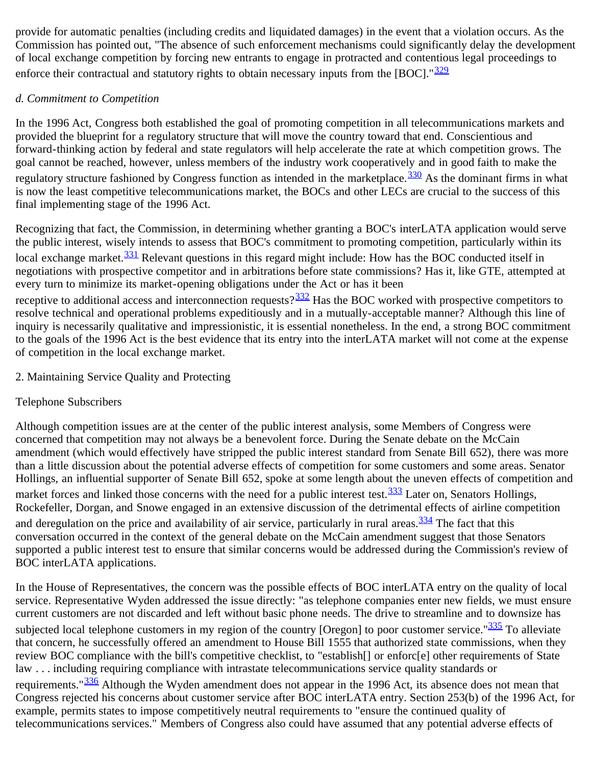provide for automatic penalties (including credits and liquidated damages) in the event that a violation occurs. As the Commission has pointed out, "The absence of such enforcement mechanisms could significantly delay the development of local exchange competition by forcing new entrants to engage in protracted and contentious legal proceedings to enforce their contractual and statutory rights to obtain necessary inputs from the [BOC]." $\frac{329}{ }$  $\frac{329}{ }$  $\frac{329}{ }$ 

## *d. Commitment to Competition*

In the 1996 Act, Congress both established the goal of promoting competition in all telecommunications markets and provided the blueprint for a regulatory structure that will move the country toward that end. Conscientious and forward-thinking action by federal and state regulators will help accelerate the rate at which competition grows. The goal cannot be reached, however, unless members of the industry work cooperatively and in good faith to make the regulatory structure fashioned by Congress function as intended in the marketplace.<sup>330</sup> As the dominant firms in what is now the least competitive telecommunications market, the BOCs and other LECs are crucial to the success of this final implementing stage of the 1996 Act.

Recognizing that fact, the Commission, in determining whether granting a BOC's interLATA application would serve the public interest, wisely intends to assess that BOC's commitment to promoting competition, particularly within its local exchange market.<sup>331</sup> Relevant questions in this regard might include: How has the BOC conducted itself in negotiations with prospective competitor and in arbitrations before state commissions? Has it, like GTE, attempted at every turn to minimize its market-opening obligations under the Act or has it been

receptive to additional access and interconnection requests? $\frac{332}{2}$  Has the BOC worked with prospective competitors to resolve technical and operational problems expeditiously and in a mutually-acceptable manner? Although this line of inquiry is necessarily qualitative and impressionistic, it is essential nonetheless. In the end, a strong BOC commitment to the goals of the 1996 Act is the best evidence that its entry into the interLATA market will not come at the expense of competition in the local exchange market.

## 2. Maintaining Service Quality and Protecting

# Telephone Subscribers

Although competition issues are at the center of the public interest analysis, some Members of Congress were concerned that competition may not always be a benevolent force. During the Senate debate on the McCain amendment (which would effectively have stripped the public interest standard from Senate Bill 652), there was more than a little discussion about the potential adverse effects of competition for some customers and some areas. Senator Hollings, an influential supporter of Senate Bill 652, spoke at some length about the uneven effects of competition and market forces and linked those concerns with the need for a public interest test.<sup>333</sup> Later on, Senators Hollings, Rockefeller, Dorgan, and Snowe engaged in an extensive discussion of the detrimental effects of airline competition and deregulation on the price and availability of air service, particularly in rural areas.  $\frac{334}{10}$  $\frac{334}{10}$  $\frac{334}{10}$  The fact that this conversation occurred in the context of the general debate on the McCain amendment suggest that those Senators supported a public interest test to ensure that similar concerns would be addressed during the Commission's review of BOC interLATA applications.

In the House of Representatives, the concern was the possible effects of BOC interLATA entry on the quality of local service. Representative Wyden addressed the issue directly: "as telephone companies enter new fields, we must ensure current customers are not discarded and left without basic phone needs. The drive to streamline and to downsize has subjected local telephone customers in my region of the country [Oregon] to poor customer service." $\frac{335}{10}$  $\frac{335}{10}$  $\frac{335}{10}$  To alleviate that concern, he successfully offered an amendment to House Bill 1555 that authorized state commissions, when they review BOC compliance with the bill's competitive checklist, to "establish[] or enforc[e] other requirements of State law . . . including requiring compliance with intrastate telecommunications service quality standards or requirements."<sup>[336](#page-62-10)</sup> Although the Wyden amendment does not appear in the 1996 Act, its absence does not mean that Congress rejected his concerns about customer service after BOC interLATA entry. Section 253(b) of the 1996 Act, for example, permits states to impose competitively neutral requirements to "ensure the continued quality of telecommunications services." Members of Congress also could have assumed that any potential adverse effects of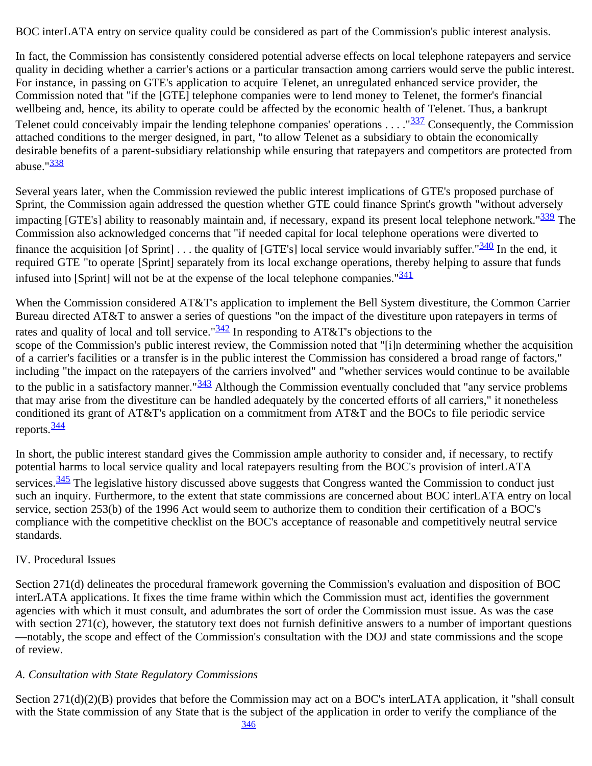BOC interLATA entry on service quality could be considered as part of the Commission's public interest analysis.

In fact, the Commission has consistently considered potential adverse effects on local telephone ratepayers and service quality in deciding whether a carrier's actions or a particular transaction among carriers would serve the public interest. For instance, in passing on GTE's application to acquire Telenet, an unregulated enhanced service provider, the Commission noted that "if the [GTE] telephone companies were to lend money to Telenet, the former's financial wellbeing and, hence, its ability to operate could be affected by the economic health of Telenet. Thus, a bankrupt Telenet could conceivably impair the lending telephone companies' operations  $\dots$ ." $\frac{337}{32}$  Consequently, the Commission attached conditions to the merger designed, in part, "to allow Telenet as a subsidiary to obtain the economically desirable benefits of a parent-subsidiary relationship while ensuring that ratepayers and competitors are protected from abuse."<sup>[338](#page-63-0)</sup>

Several years later, when the Commission reviewed the public interest implications of GTE's proposed purchase of Sprint, the Commission again addressed the question whether GTE could finance Sprint's growth "without adversely impacting [GTE's] ability to reasonably maintain and, if necessary, expand its present local telephone network."<sup>[339](#page-63-1)</sup> The Commission also acknowledged concerns that "if needed capital for local telephone operations were diverted to finance the acquisition [of Sprint]  $\ldots$  the quality of [GTE's] local service would invariably suffer." $\frac{340}{2}$  $\frac{340}{2}$  $\frac{340}{2}$  In the end, it required GTE "to operate [Sprint] separately from its local exchange operations, thereby helping to assure that funds infused into [Sprint] will not be at the expense of the local telephone companies." $\frac{341}{241}$  $\frac{341}{241}$  $\frac{341}{241}$ 

When the Commission considered AT&T's application to implement the Bell System divestiture, the Common Carrier Bureau directed AT&T to answer a series of questions "on the impact of the divestiture upon ratepayers in terms of rates and quality of local and toll service." $\frac{342}{2}$  $\frac{342}{2}$  $\frac{342}{2}$  In responding to AT&T's objections to the scope of the Commission's public interest review, the Commission noted that "[i]n determining whether the acquisition of a carrier's facilities or a transfer is in the public interest the Commission has considered a broad range of factors," including "the impact on the ratepayers of the carriers involved" and "whether services would continue to be available to the public in a satisfactory manner." $\frac{343}{2}$  $\frac{343}{2}$  $\frac{343}{2}$  Although the Commission eventually concluded that "any service problems" that may arise from the divestiture can be handled adequately by the concerted efforts of all carriers," it nonetheless conditioned its grant of AT&T's application on a commitment from AT&T and the BOCs to file periodic service reports.  $\frac{344}{3}$  $\frac{344}{3}$  $\frac{344}{3}$ 

In short, the public interest standard gives the Commission ample authority to consider and, if necessary, to rectify potential harms to local service quality and local ratepayers resulting from the BOC's provision of interLATA services.<sup>[345](#page-63-7)</sup> The legislative history discussed above suggests that Congress wanted the Commission to conduct just such an inquiry. Furthermore, to the extent that state commissions are concerned about BOC interLATA entry on local service, section 253(b) of the 1996 Act would seem to authorize them to condition their certification of a BOC's compliance with the competitive checklist on the BOC's acceptance of reasonable and competitively neutral service standards.

#### IV. Procedural Issues

Section 271(d) delineates the procedural framework governing the Commission's evaluation and disposition of BOC interLATA applications. It fixes the time frame within which the Commission must act, identifies the government agencies with which it must consult, and adumbrates the sort of order the Commission must issue. As was the case with section 271(c), however, the statutory text does not furnish definitive answers to a number of important questions —notably, the scope and effect of the Commission's consultation with the DOJ and state commissions and the scope of review.

#### *A. Consultation with State Regulatory Commissions*

Section 271(d)(2)(B) provides that before the Commission may act on a BOC's interLATA application, it "shall consult with the State commission of any State that is the subject of the application in order to verify the compliance of the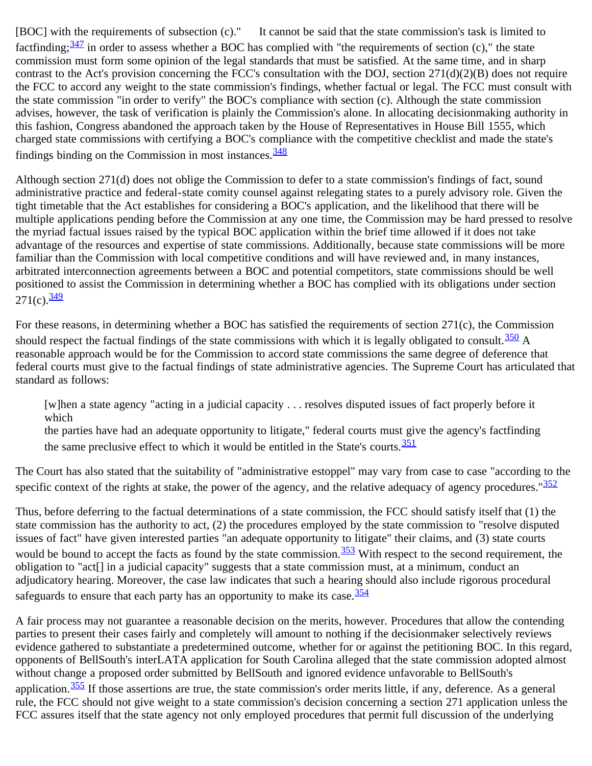[BOC] with the requirements of subsection (c)." It cannot be said that the state commission's task is limited to factfinding;  $\frac{347}{2}$  $\frac{347}{2}$  $\frac{347}{2}$  in order to assess whether a BOC has complied with "the requirements of section (c)," the state commission must form some opinion of the legal standards that must be satisfied. At the same time, and in sharp contrast to the Act's provision concerning the FCC's consultation with the DOJ, section  $271(d)(2)(B)$  does not require the FCC to accord any weight to the state commission's findings, whether factual or legal. The FCC must consult with the state commission "in order to verify" the BOC's compliance with section (c). Although the state commission advises, however, the task of verification is plainly the Commission's alone. In allocating decisionmaking authority in this fashion, Congress abandoned the approach taken by the House of Representatives in House Bill 1555, which charged state commissions with certifying a BOC's compliance with the competitive checklist and made the state's findings binding on the Commission in most instances.  $\frac{348}{348}$  $\frac{348}{348}$  $\frac{348}{348}$ 

Although section 271(d) does not oblige the Commission to defer to a state commission's findings of fact, sound administrative practice and federal-state comity counsel against relegating states to a purely advisory role. Given the tight timetable that the Act establishes for considering a BOC's application, and the likelihood that there will be multiple applications pending before the Commission at any one time, the Commission may be hard pressed to resolve the myriad factual issues raised by the typical BOC application within the brief time allowed if it does not take advantage of the resources and expertise of state commissions. Additionally, because state commissions will be more familiar than the Commission with local competitive conditions and will have reviewed and, in many instances, arbitrated interconnection agreements between a BOC and potential competitors, state commissions should be well positioned to assist the Commission in determining whether a BOC has complied with its obligations under section  $271(c)$ .  $\frac{349}{c}$  $\frac{349}{c}$  $\frac{349}{c}$ 

For these reasons, in determining whether a BOC has satisfied the requirements of section 271(c), the Commission should respect the factual findings of the state commissions with which it is legally obligated to consult.  $\frac{350}{2}$  $\frac{350}{2}$  $\frac{350}{2}$  A reasonable approach would be for the Commission to accord state commissions the same degree of deference that federal courts must give to the factual findings of state administrative agencies. The Supreme Court has articulated that standard as follows:

[w]hen a state agency "acting in a judicial capacity . . . resolves disputed issues of fact properly before it which

the parties have had an adequate opportunity to litigate," federal courts must give the agency's factfinding the same preclusive effect to which it would be entitled in the State's courts.  $\frac{351}{251}$  $\frac{351}{251}$  $\frac{351}{251}$ 

The Court has also stated that the suitability of "administrative estoppel" may vary from case to case "according to the specific context of the rights at stake, the power of the agency, and the relative adequacy of agency procedures." $\frac{352}{25}$  $\frac{352}{25}$  $\frac{352}{25}$ 

Thus, before deferring to the factual determinations of a state commission, the FCC should satisfy itself that (1) the state commission has the authority to act, (2) the procedures employed by the state commission to "resolve disputed issues of fact" have given interested parties "an adequate opportunity to litigate" their claims, and (3) state courts would be bound to accept the facts as found by the state commission.<sup>353</sup> With respect to the second requirement, the obligation to "act[] in a judicial capacity" suggests that a state commission must, at a minimum, conduct an adjudicatory hearing. Moreover, the case law indicates that such a hearing should also include rigorous procedural safeguards to ensure that each party has an opportunity to make its case.  $354$ 

A fair process may not guarantee a reasonable decision on the merits, however. Procedures that allow the contending parties to present their cases fairly and completely will amount to nothing if the decisionmaker selectively reviews evidence gathered to substantiate a predetermined outcome, whether for or against the petitioning BOC. In this regard, opponents of BellSouth's interLATA application for South Carolina alleged that the state commission adopted almost without change a proposed order submitted by BellSouth and ignored evidence unfavorable to BellSouth's application. $\frac{355}{15}$  $\frac{355}{15}$  $\frac{355}{15}$  If those assertions are true, the state commission's order merits little, if any, deference. As a general rule, the FCC should not give weight to a state commission's decision concerning a section 271 application unless the FCC assures itself that the state agency not only employed procedures that permit full discussion of the underlying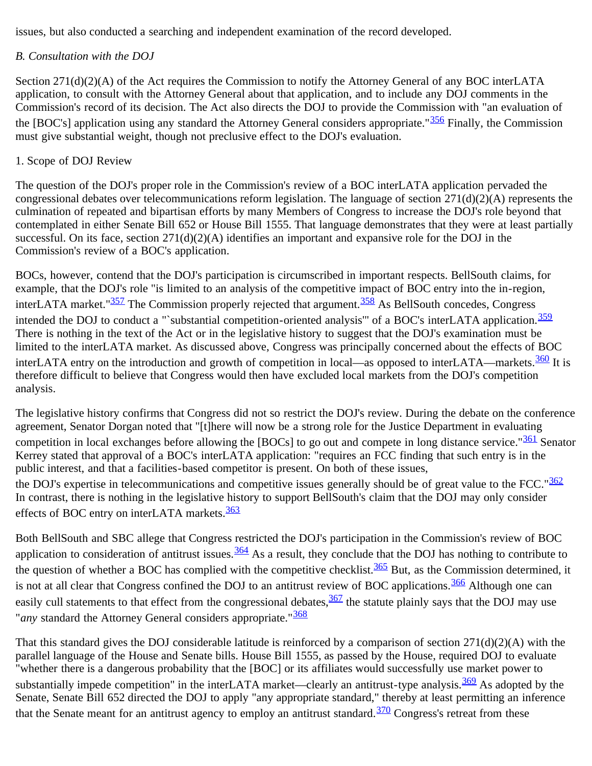issues, but also conducted a searching and independent examination of the record developed.

## *B. Consultation with the DOJ*

Section 271(d)(2)(A) of the Act requires the Commission to notify the Attorney General of any BOC interLATA application, to consult with the Attorney General about that application, and to include any DOJ comments in the Commission's record of its decision. The Act also directs the DOJ to provide the Commission with "an evaluation of the [BOC's] application using any standard the Attorney General considers appropriate."<sup>[356](#page-64-5)</sup> Finally, the Commission must give substantial weight, though not preclusive effect to the DOJ's evaluation.

#### 1. Scope of DOJ Review

The question of the DOJ's proper role in the Commission's review of a BOC interLATA application pervaded the congressional debates over telecommunications reform legislation. The language of section 271(d)(2)(A) represents the culmination of repeated and bipartisan efforts by many Members of Congress to increase the DOJ's role beyond that contemplated in either Senate Bill 652 or House Bill 1555. That language demonstrates that they were at least partially successful. On its face, section  $271(d)(2)(A)$  identifies an important and expansive role for the DOJ in the Commission's review of a BOC's application.

BOCs, however, contend that the DOJ's participation is circumscribed in important respects. BellSouth claims, for example, that the DOJ's role "is limited to an analysis of the competitive impact of BOC entry into the in-region, interLATA market." $\frac{357}{2}$  $\frac{357}{2}$  $\frac{357}{2}$  The Commission properly rejected that argument.  $\frac{358}{2}$  $\frac{358}{2}$  $\frac{358}{2}$  As BellSouth concedes, Congress intended the DOJ to conduct a "`substantial competition-oriented analysis'" of a BOC's interLATA application.<sup>[359](#page-65-0)</sup> There is nothing in the text of the Act or in the legislative history to suggest that the DOJ's examination must be limited to the interLATA market. As discussed above, Congress was principally concerned about the effects of BOC interLATA entry on the introduction and growth of competition in local—as opposed to interLATA—markets. $\frac{360}{1}$  It is therefore difficult to believe that Congress would then have excluded local markets from the DOJ's competition analysis.

The legislative history confirms that Congress did not so restrict the DOJ's review. During the debate on the conference agreement, Senator Dorgan noted that "[t]here will now be a strong role for the Justice Department in evaluating competition in local exchanges before allowing the [BOCs] to go out and compete in long distance service."<sup>[361](#page-65-2)</sup> Senator Kerrey stated that approval of a BOC's interLATA application: "requires an FCC finding that such entry is in the public interest, and that a facilities-based competitor is present. On both of these issues, the DOJ's expertise in telecommunications and competitive issues generally should be of great value to the FCC." $\frac{362}{20}$  $\frac{362}{20}$  $\frac{362}{20}$ In contrast, there is nothing in the legislative history to support BellSouth's claim that the DOJ may only consider effects of BOC entry on interLATA markets.<sup>[363](#page-65-4)</sup>

Both BellSouth and SBC allege that Congress restricted the DOJ's participation in the Commission's review of BOC application to consideration of antitrust issues.  $\frac{364}{9}$  As a result, they conclude that the DOJ has nothing to contribute to the question of whether a BOC has complied with the competitive checklist. $\frac{365}{100}$  But, as the Commission determined, it is not at all clear that Congress confined the DOJ to an antitrust review of BOC applications.<sup>366</sup> Although one can easily cull statements to that effect from the congressional debates,  $\frac{367}{10}$  $\frac{367}{10}$  $\frac{367}{10}$  the statute plainly says that the DOJ may use "*any* standard the Attorney General considers appropriate."<sup>[368](#page-65-9)</sup>

That this standard gives the DOJ considerable latitude is reinforced by a comparison of section 271(d)(2)(A) with the parallel language of the House and Senate bills. House Bill 1555, as passed by the House, required DOJ to evaluate "whether there is a dangerous probability that the [BOC] or its affiliates would successfully use market power to substantially impede competition" in the interLATA market—clearly an antitrust-type analysis.<sup>[369](#page-65-10)</sup> As adopted by the Senate, Senate Bill 652 directed the DOJ to apply "any appropriate standard," thereby at least permitting an inference that the Senate meant for an antitrust agency to employ an antitrust standard. $\frac{370}{120}$  Congress's retreat from these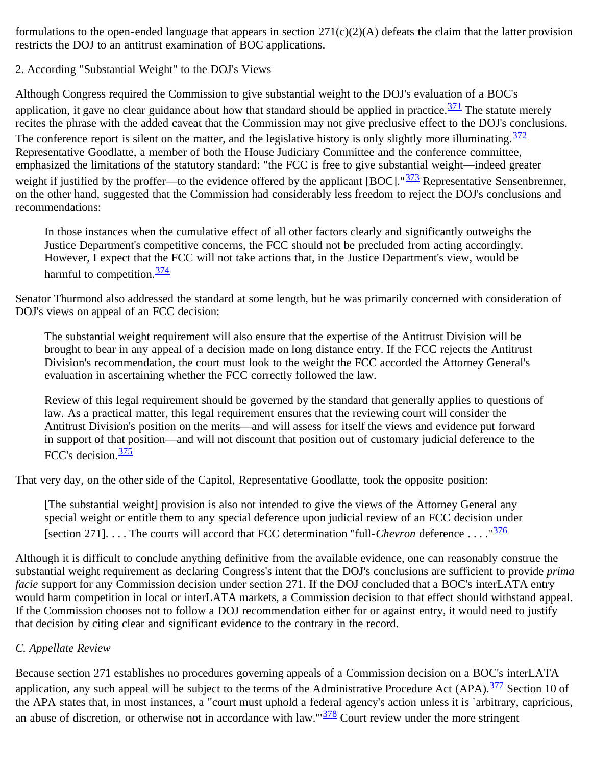formulations to the open-ended language that appears in section 271(c)(2)(A) defeats the claim that the latter provision restricts the DOJ to an antitrust examination of BOC applications.

2. According "Substantial Weight" to the DOJ's Views

Although Congress required the Commission to give substantial weight to the DOJ's evaluation of a BOC's application, it gave no clear guidance about how that standard should be applied in practice. $\frac{371}{10}$  $\frac{371}{10}$  $\frac{371}{10}$  The statute merely recites the phrase with the added caveat that the Commission may not give preclusive effect to the DOJ's conclusions. The conference report is silent on the matter, and the legislative history is only slightly more illuminating.  $\frac{372}{37}$  $\frac{372}{37}$  $\frac{372}{37}$ Representative Goodlatte, a member of both the House Judiciary Committee and the conference committee, emphasized the limitations of the statutory standard: "the FCC is free to give substantial weight—indeed greater weight if justified by the proffer—to the evidence offered by the applicant [BOC]."<sup>373</sup> Representative Sensenbrenner, on the other hand, suggested that the Commission had considerably less freedom to reject the DOJ's conclusions and recommendations:

In those instances when the cumulative effect of all other factors clearly and significantly outweighs the Justice Department's competitive concerns, the FCC should not be precluded from acting accordingly. However, I expect that the FCC will not take actions that, in the Justice Department's view, would be harmful to competition. $\frac{374}{37}$  $\frac{374}{37}$  $\frac{374}{37}$ 

Senator Thurmond also addressed the standard at some length, but he was primarily concerned with consideration of DOJ's views on appeal of an FCC decision:

The substantial weight requirement will also ensure that the expertise of the Antitrust Division will be brought to bear in any appeal of a decision made on long distance entry. If the FCC rejects the Antitrust Division's recommendation, the court must look to the weight the FCC accorded the Attorney General's evaluation in ascertaining whether the FCC correctly followed the law.

Review of this legal requirement should be governed by the standard that generally applies to questions of law. As a practical matter, this legal requirement ensures that the reviewing court will consider the Antitrust Division's position on the merits—and will assess for itself the views and evidence put forward in support of that position—and will not discount that position out of customary judicial deference to the FCC's decision.[375](#page-66-3)

That very day, on the other side of the Capitol, Representative Goodlatte, took the opposite position:

[The substantial weight] provision is also not intended to give the views of the Attorney General any special weight or entitle them to any special deference upon judicial review of an FCC decision under [section 271]. . . . The courts will accord that FCC determination "full-*Chevron* deference . . . ."[376](#page-66-4)

Although it is difficult to conclude anything definitive from the available evidence, one can reasonably construe the substantial weight requirement as declaring Congress's intent that the DOJ's conclusions are sufficient to provide *prima facie* support for any Commission decision under section 271. If the DOJ concluded that a BOC's interLATA entry would harm competition in local or interLATA markets, a Commission decision to that effect should withstand appeal. If the Commission chooses not to follow a DOJ recommendation either for or against entry, it would need to justify that decision by citing clear and significant evidence to the contrary in the record.

## *C. Appellate Review*

Because section 271 establishes no procedures governing appeals of a Commission decision on a BOC's interLATA application, any such appeal will be subject to the terms of the Administrative Procedure Act (APA).<sup>377</sup> Section 10 of the APA states that, in most instances, a "court must uphold a federal agency's action unless it is `arbitrary, capricious, an abuse of discretion, or otherwise not in accordance with law." $\frac{378}{2}$  $\frac{378}{2}$  $\frac{378}{2}$  Court review under the more stringent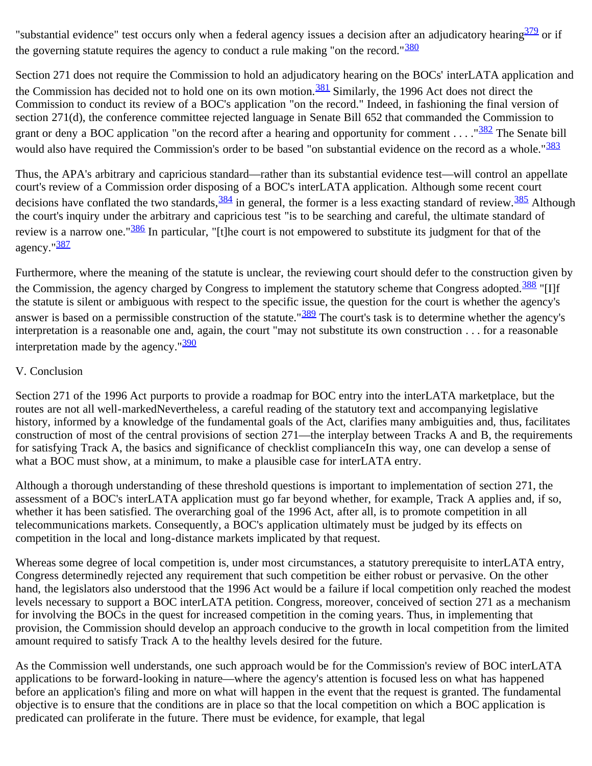"substantial evidence" test occurs only when a federal agency issues a decision after an adjudicatory hearing  $\frac{379}{10}$  or if the governing statute requires the agency to conduct a rule making "on the record." $\frac{380}{250}$  $\frac{380}{250}$  $\frac{380}{250}$ 

Section 271 does not require the Commission to hold an adjudicatory hearing on the BOCs' interLATA application and the Commission has decided not to hold one on its own motion.<sup>381</sup> Similarly, the 1996 Act does not direct the Commission to conduct its review of a BOC's application "on the record." Indeed, in fashioning the final version of section 271(d), the conference committee rejected language in Senate Bill 652 that commanded the Commission to grant or deny a BOC application "on the record after a hearing and opportunity for comment . . . . " $\frac{382}{352}$  $\frac{382}{352}$  $\frac{382}{352}$  The Senate bill would also have required the Commission's order to be based "on substantial evidence on the record as a whole."<sup>[383](#page-66-11)</sup>

Thus, the APA's arbitrary and capricious standard—rather than its substantial evidence test—will control an appellate court's review of a Commission order disposing of a BOC's interLATA application. Although some recent court decisions have conflated the two standards,  $\frac{384}{10}$  $\frac{384}{10}$  $\frac{384}{10}$  in general, the former is a less exacting standard of review.  $\frac{385}{10}$  $\frac{385}{10}$  $\frac{385}{10}$  Although the court's inquiry under the arbitrary and capricious test "is to be searching and careful, the ultimate standard of review is a narrow one."<sup>[386](#page-67-0)</sup> In particular, "[t]he court is not empowered to substitute its judgment for that of the agency."[387](#page-67-1)

Furthermore, where the meaning of the statute is unclear, the reviewing court should defer to the construction given by the Commission, the agency charged by Congress to implement the statutory scheme that Congress adopted.<sup>[388](#page-67-2)</sup> "[I]f the statute is silent or ambiguous with respect to the specific issue, the question for the court is whether the agency's answer is based on a permissible construction of the statute."<sup>[389](#page-67-3)</sup> The court's task is to determine whether the agency's interpretation is a reasonable one and, again, the court "may not substitute its own construction . . . for a reasonable interpretation made by the agency." $\frac{390}{290}$  $\frac{390}{290}$  $\frac{390}{290}$ 

#### V. Conclusion

Section 271 of the 1996 Act purports to provide a roadmap for BOC entry into the interLATA marketplace, but the routes are not all well-markedNevertheless, a careful reading of the statutory text and accompanying legislative history, informed by a knowledge of the fundamental goals of the Act, clarifies many ambiguities and, thus, facilitates construction of most of the central provisions of section 271—the interplay between Tracks A and B, the requirements for satisfying Track A, the basics and significance of checklist complianceIn this way, one can develop a sense of what a BOC must show, at a minimum, to make a plausible case for interLATA entry.

Although a thorough understanding of these threshold questions is important to implementation of section 271, the assessment of a BOC's interLATA application must go far beyond whether, for example, Track A applies and, if so, whether it has been satisfied. The overarching goal of the 1996 Act, after all, is to promote competition in all telecommunications markets. Consequently, a BOC's application ultimately must be judged by its effects on competition in the local and long-distance markets implicated by that request.

Whereas some degree of local competition is, under most circumstances, a statutory prerequisite to interLATA entry, Congress determinedly rejected any requirement that such competition be either robust or pervasive. On the other hand, the legislators also understood that the 1996 Act would be a failure if local competition only reached the modest levels necessary to support a BOC interLATA petition. Congress, moreover, conceived of section 271 as a mechanism for involving the BOCs in the quest for increased competition in the coming years. Thus, in implementing that provision, the Commission should develop an approach conducive to the growth in local competition from the limited amount required to satisfy Track A to the healthy levels desired for the future.

As the Commission well understands, one such approach would be for the Commission's review of BOC interLATA applications to be forward-looking in nature—where the agency's attention is focused less on what has happened before an application's filing and more on what will happen in the event that the request is granted. The fundamental objective is to ensure that the conditions are in place so that the local competition on which a BOC application is predicated can proliferate in the future. There must be evidence, for example, that legal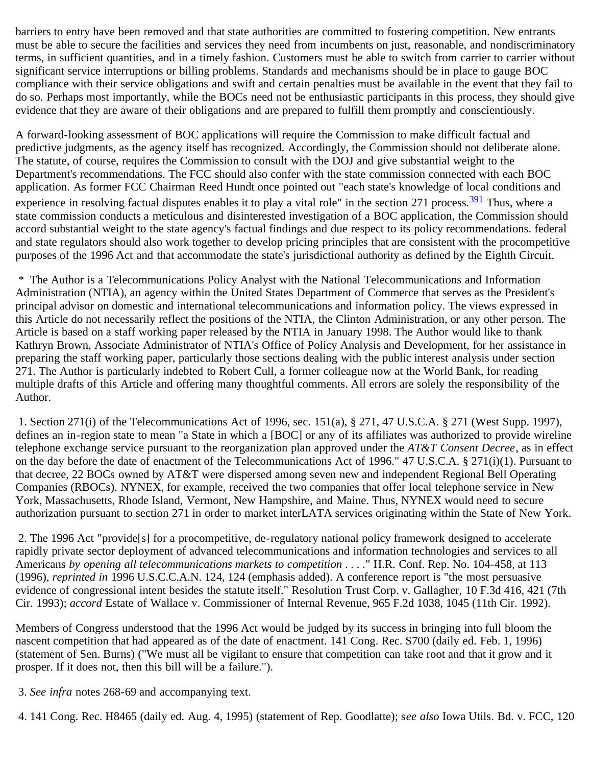barriers to entry have been removed and that state authorities are committed to fostering competition. New entrants must be able to secure the facilities and services they need from incumbents on just, reasonable, and nondiscriminatory terms, in sufficient quantities, and in a timely fashion. Customers must be able to switch from carrier to carrier without significant service interruptions or billing problems. Standards and mechanisms should be in place to gauge BOC compliance with their service obligations and swift and certain penalties must be available in the event that they fail to do so. Perhaps most importantly, while the BOCs need not be enthusiastic participants in this process, they should give evidence that they are aware of their obligations and are prepared to fulfill them promptly and conscientiously.

A forward-looking assessment of BOC applications will require the Commission to make difficult factual and predictive judgments, as the agency itself has recognized. Accordingly, the Commission should not deliberate alone. The statute, of course, requires the Commission to consult with the DOJ and give substantial weight to the Department's recommendations. The FCC should also confer with the state commission connected with each BOC application. As former FCC Chairman Reed Hundt once pointed out "each state's knowledge of local conditions and experience in resolving factual disputes enables it to play a vital role" in the section 271 process.<sup>391</sup> Thus, where a state commission conducts a meticulous and disinterested investigation of a BOC application, the Commission should accord substantial weight to the state agency's factual findings and due respect to its policy recommendations. federal and state regulators should also work together to develop pricing principles that are consistent with the procompetitive purposes of the 1996 Act and that accommodate the state's jurisdictional authority as defined by the Eighth Circuit.

<span id="page-31-0"></span> \* The Author is a Telecommunications Policy Analyst with the National Telecommunications and Information Administration (NTIA), an agency within the United States Department of Commerce that serves as the President's principal advisor on domestic and international telecommunications and information policy. The views expressed in this Article do not necessarily reflect the positions of the NTIA, the Clinton Administration, or any other person. The Article is based on a staff working paper released by the NTIA in January 1998. The Author would like to thank Kathryn Brown, Associate Administrator of NTIA's Office of Policy Analysis and Development, for her assistance in preparing the staff working paper, particularly those sections dealing with the public interest analysis under section 271. The Author is particularly indebted to Robert Cull, a former colleague now at the World Bank, for reading multiple drafts of this Article and offering many thoughtful comments. All errors are solely the responsibility of the Author.

<span id="page-31-1"></span> 1. Section 271(i) of the Telecommunications Act of 1996, sec. 151(a), § 271, 47 U.S.C.A. § 271 (West Supp. 1997), defines an in-region state to mean "a State in which a [BOC] or any of its affiliates was authorized to provide wireline telephone exchange service pursuant to the reorganization plan approved under the *AT&T Consent Decree*, as in effect on the day before the date of enactment of the Telecommunications Act of 1996." 47 U.S.C.A. § 271(i)(1). Pursuant to that decree, 22 BOCs owned by AT&T were dispersed among seven new and independent Regional Bell Operating Companies (RBOCs). NYNEX, for example, received the two companies that offer local telephone service in New York, Massachusetts, Rhode Island, Vermont, New Hampshire, and Maine. Thus, NYNEX would need to secure authorization pursuant to section 271 in order to market interLATA services originating within the State of New York.

<span id="page-31-2"></span> 2. The 1996 Act "provide[s] for a procompetitive, de-regulatory national policy framework designed to accelerate rapidly private sector deployment of advanced telecommunications and information technologies and services to all Americans *by opening all telecommunications markets to competition . . . .*" H.R. Conf. Rep. No. 104-458, at 113 (1996), *reprinted in* 1996 U.S.C.C.A.N. 124, 124 (emphasis added). A conference report is "the most persuasive evidence of congressional intent besides the statute itself." Resolution Trust Corp. v. Gallagher, 10 F.3d 416, 421 (7th Cir. 1993); *accord* Estate of Wallace v. Commissioner of Internal Revenue, 965 F.2d 1038, 1045 (11th Cir. 1992).

Members of Congress understood that the 1996 Act would be judged by its success in bringing into full bloom the nascent competition that had appeared as of the date of enactment. 141 Cong. Rec. S700 (daily ed. Feb. 1, 1996) (statement of Sen. Burns) ("We must all be vigilant to ensure that competition can take root and that it grow and it prosper. If it does not, then this bill will be a failure.").

<span id="page-31-3"></span>3. *See infra* notes 268-69 and accompanying text.

<span id="page-31-4"></span>4. 141 Cong. Rec. H8465 (daily ed. Aug. 4, 1995) (statement of Rep. Goodlatte); s*ee also* Iowa Utils. Bd. v. FCC, 120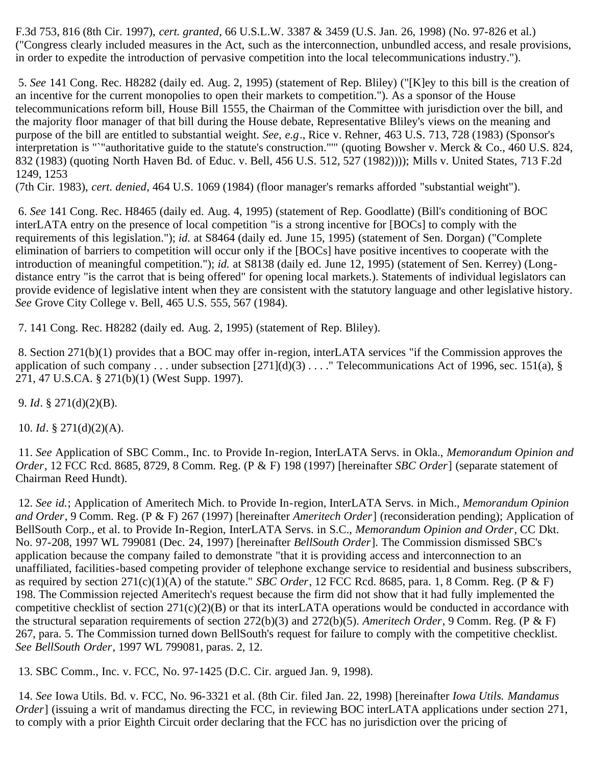F.3d 753, 816 (8th Cir. 1997), *cert. granted*, 66 U.S.L.W. 3387 & 3459 (U.S. Jan. 26, 1998) (No. 97-826 et al.) ("Congress clearly included measures in the Act, such as the interconnection, unbundled access, and resale provisions, in order to expedite the introduction of pervasive competition into the local telecommunications industry.").

<span id="page-32-0"></span> 5. *See* 141 Cong. Rec. H8282 (daily ed. Aug. 2, 1995) (statement of Rep. Bliley) ("[K]ey to this bill is the creation of an incentive for the current monopolies to open their markets to competition."). As a sponsor of the House telecommunications reform bill, House Bill 1555, the Chairman of the Committee with jurisdiction over the bill, and the majority floor manager of that bill during the House debate, Representative Bliley's views on the meaning and purpose of the bill are entitled to substantial weight. *See, e.g*., Rice v. Rehner, 463 U.S. 713, 728 (1983) (Sponsor's interpretation is "`"authoritative guide to the statute's construction."'" (quoting Bowsher v. Merck & Co., 460 U.S. 824, 832 (1983) (quoting North Haven Bd. of Educ. v. Bell, 456 U.S. 512, 527 (1982)))); Mills v. United States, 713 F.2d 1249, 1253

(7th Cir. 1983), *cert. denied*, 464 U.S. 1069 (1984) (floor manager's remarks afforded "substantial weight").

<span id="page-32-1"></span> 6. *See* 141 Cong. Rec. H8465 (daily ed. Aug. 4, 1995) (statement of Rep. Goodlatte) (Bill's conditioning of BOC interLATA entry on the presence of local competition "is a strong incentive for [BOCs] to comply with the requirements of this legislation."); *id.* at S8464 (daily ed. June 15, 1995) (statement of Sen. Dorgan) ("Complete elimination of barriers to competition will occur only if the [BOCs] have positive incentives to cooperate with the introduction of meaningful competition."); *id.* at S8138 (daily ed. June 12, 1995) (statement of Sen. Kerrey) (Longdistance entry "is the carrot that is being offered" for opening local markets.). Statements of individual legislators can provide evidence of legislative intent when they are consistent with the statutory language and other legislative history. *See* Grove City College v. Bell, 465 U.S. 555, 567 (1984).

<span id="page-32-2"></span>7. 141 Cong. Rec. H8282 (daily ed. Aug. 2, 1995) (statement of Rep. Bliley).

<span id="page-32-3"></span> 8. Section 271(b)(1) provides that a BOC may offer in-region, interLATA services "if the Commission approves the application of such company . . . under subsection  $[271](d)(3)$  . . . . " Telecommunications Act of 1996, sec. 151(a), § 271, 47 U.S.CA. § 271(b)(1) (West Supp. 1997).

<span id="page-32-4"></span>9. *Id*. § 271(d)(2)(B).

<span id="page-32-5"></span>10. *Id*. § 271(d)(2)(A).

<span id="page-32-6"></span> 11. *See* Application of SBC Comm., Inc. to Provide In-region, InterLATA Servs. in Okla., *Memorandum Opinion and Order*, 12 FCC Rcd. 8685, 8729, 8 Comm. Reg. (P & F) 198 (1997) [hereinafter *SBC Order*] (separate statement of Chairman Reed Hundt).

<span id="page-32-7"></span> 12. *See id.*; Application of Ameritech Mich. to Provide In-region, InterLATA Servs. in Mich., *Memorandum Opinion and Order*, 9 Comm. Reg. (P & F) 267 (1997) [hereinafter *Ameritech Order*] (reconsideration pending); Application of BellSouth Corp., et al. to Provide In-Region, InterLATA Servs. in S.C., *Memorandum Opinion and Order*, CC Dkt. No. 97-208, 1997 WL 799081 (Dec. 24, 1997) [hereinafter *BellSouth Order*]. The Commission dismissed SBC's application because the company failed to demonstrate "that it is providing access and interconnection to an unaffiliated, facilities-based competing provider of telephone exchange service to residential and business subscribers, as required by section 271(c)(1)(A) of the statute." *SBC Order*, 12 FCC Rcd. 8685, para. 1, 8 Comm. Reg. (P & F) 198. The Commission rejected Ameritech's request because the firm did not show that it had fully implemented the competitive checklist of section  $271(c)(2)(B)$  or that its interLATA operations would be conducted in accordance with the structural separation requirements of section 272(b)(3) and 272(b)(5). *Ameritech Order*, 9 Comm. Reg. (P & F) 267, para. 5. The Commission turned down BellSouth's request for failure to comply with the competitive checklist. *See BellSouth Order*, 1997 WL 799081, paras. 2, 12.

<span id="page-32-8"></span>13. SBC Comm., Inc. v. FCC, No. 97-1425 (D.C. Cir. argued Jan. 9, 1998).

<span id="page-32-9"></span> 14. *See* Iowa Utils. Bd. v. FCC, No. 96-3321 et al. (8th Cir. filed Jan. 22, 1998) [hereinafter *Iowa Utils. Mandamus Order*] (issuing a writ of mandamus directing the FCC, in reviewing BOC interLATA applications under section 271, to comply with a prior Eighth Circuit order declaring that the FCC has no jurisdiction over the pricing of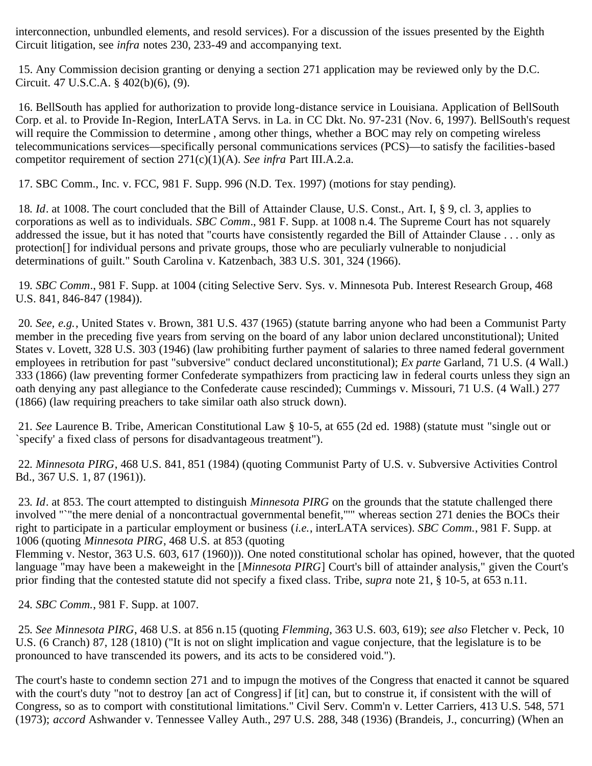interconnection, unbundled elements, and resold services). For a discussion of the issues presented by the Eighth Circuit litigation, see *infra* notes 230, 233-49 and accompanying text.

<span id="page-33-0"></span> 15. Any Commission decision granting or denying a section 271 application may be reviewed only by the D.C. Circuit. 47 U.S.C.A. § 402(b)(6), (9).

<span id="page-33-1"></span> 16. BellSouth has applied for authorization to provide long-distance service in Louisiana. Application of BellSouth Corp. et al. to Provide In-Region, InterLATA Servs. in La. in CC Dkt. No. 97-231 (Nov. 6, 1997). BellSouth's request will require the Commission to determine, among other things, whether a BOC may rely on competing wireless telecommunications services—specifically personal communications services (PCS)—to satisfy the facilities-based competitor requirement of section 271(c)(1)(A). *See infra* Part III.A.2.a.

<span id="page-33-2"></span>17. SBC Comm., Inc. v. FCC, 981 F. Supp. 996 (N.D. Tex. 1997) (motions for stay pending).

<span id="page-33-3"></span>18*. Id*. at 1008. The court concluded that the Bill of Attainder Clause, U.S. Const., Art. I, § 9, cl. 3, applies to corporations as well as to individuals. *SBC Comm*., 981 F. Supp. at 1008 n.4. The Supreme Court has not squarely addressed the issue, but it has noted that "courts have consistently regarded the Bill of Attainder Clause . . . only as protection[] for individual persons and private groups, those who are peculiarly vulnerable to nonjudicial determinations of guilt." South Carolina v. Katzenbach, 383 U.S. 301, 324 (1966).

<span id="page-33-4"></span>19*. SBC Comm*., 981 F. Supp. at 1004 (citing Selective Serv. Sys. v. Minnesota Pub. Interest Research Group, 468 U.S. 841, 846-847 (1984)).

<span id="page-33-5"></span>20*. See, e.g.*, United States v. Brown, 381 U.S. 437 (1965) (statute barring anyone who had been a Communist Party member in the preceding five years from serving on the board of any labor union declared unconstitutional); United States v. Lovett, 328 U.S. 303 (1946) (law prohibiting further payment of salaries to three named federal government employees in retribution for past "subversive" conduct declared unconstitutional); *Ex parte* Garland, 71 U.S. (4 Wall.) 333 (1866) (law preventing former Confederate sympathizers from practicing law in federal courts unless they sign an oath denying any past allegiance to the Confederate cause rescinded); Cummings v. Missouri, 71 U.S. (4 Wall.) 277 (1866) (law requiring preachers to take similar oath also struck down).

<span id="page-33-6"></span>21*. See* Laurence B. Tribe, American Constitutional Law § 10-5, at 655 (2d ed. 1988) (statute must "single out or `specify' a fixed class of persons for disadvantageous treatment").

<span id="page-33-7"></span>22*. Minnesota PIRG*, 468 U.S. 841, 851 (1984) (quoting Communist Party of U.S. v. Subversive Activities Control Bd., 367 U.S. 1, 87 (1961)).

<span id="page-33-8"></span>23*. Id*. at 853. The court attempted to distinguish *Minnesota PIRG* on the grounds that the statute challenged there involved "`"the mere denial of a noncontractual governmental benefit,"'" whereas section 271 denies the BOCs their right to participate in a particular employment or business (*i.e.*, interLATA services). *SBC Comm.*, 981 F. Supp. at 1006 (quoting *Minnesota PIRG*, 468 U.S. at 853 (quoting

Flemming v. Nestor, 363 U.S. 603, 617 (1960))). One noted constitutional scholar has opined, however, that the quoted language "may have been a makeweight in the [*Minnesota PIRG*] Court's bill of attainder analysis," given the Court's prior finding that the contested statute did not specify a fixed class. Tribe, *supra* note 21, § 10-5, at 653 n.11.

<span id="page-33-9"></span>24*. SBC Comm.*, 981 F. Supp. at 1007.

<span id="page-33-10"></span>25*. See Minnesota PIRG*, 468 U.S. at 856 n.15 (quoting *Flemming*, 363 U.S. 603, 619); *see also* Fletcher v. Peck, 10 U.S. (6 Cranch) 87, 128 (1810) ("It is not on slight implication and vague conjecture, that the legislature is to be pronounced to have transcended its powers, and its acts to be considered void.").

The court's haste to condemn section 271 and to impugn the motives of the Congress that enacted it cannot be squared with the court's duty "not to destroy [an act of Congress] if [it] can, but to construe it, if consistent with the will of Congress, so as to comport with constitutional limitations." Civil Serv. Comm'n v. Letter Carriers, 413 U.S. 548, 571 (1973); *accord* Ashwander v. Tennessee Valley Auth., 297 U.S. 288, 348 (1936) (Brandeis, J., concurring) (When an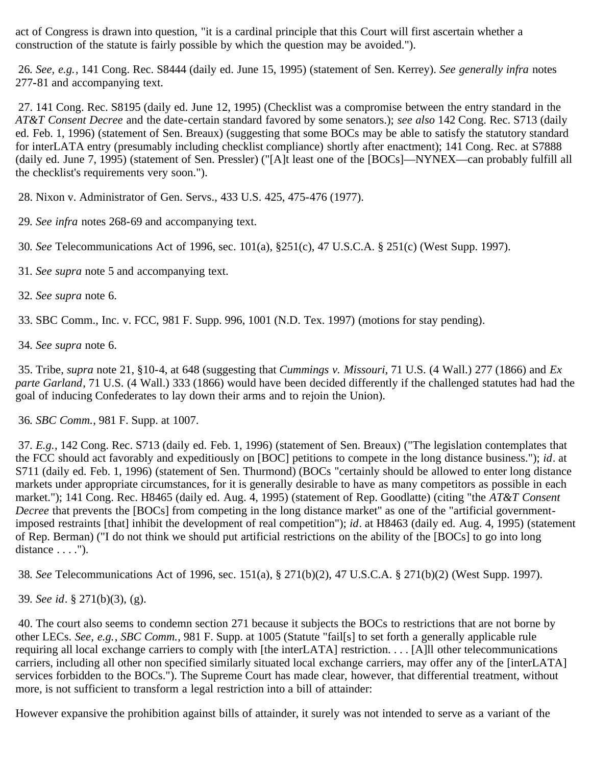act of Congress is drawn into question, "it is a cardinal principle that this Court will first ascertain whether a construction of the statute is fairly possible by which the question may be avoided.").

<span id="page-34-0"></span>26*. See, e.g.*, 141 Cong. Rec. S8444 (daily ed. June 15, 1995) (statement of Sen. Kerrey). *See generally infra* notes 277**-**81 and accompanying text.

<span id="page-34-1"></span> 27. 141 Cong. Rec. S8195 (daily ed. June 12, 1995) (Checklist was a compromise between the entry standard in the *AT&T Consent Decree* and the date-certain standard favored by some senators.); *see also* 142 Cong. Rec. S713 (daily ed. Feb. 1, 1996) (statement of Sen. Breaux) (suggesting that some BOCs may be able to satisfy the statutory standard for interLATA entry (presumably including checklist compliance) shortly after enactment); 141 Cong. Rec. at S7888 (daily ed. June 7, 1995) (statement of Sen. Pressler) ("[A]t least one of the [BOCs]—NYNEX—can probably fulfill all the checklist's requirements very soon.").

<span id="page-34-2"></span>28. Nixon v. Administrator of Gen. Servs., 433 U.S. 425, 475-476 (1977).

<span id="page-34-3"></span>29*. See infra* notes 268-69 and accompanying text.

<span id="page-34-4"></span>30*. See* Telecommunications Act of 1996, sec. 101(a), §251(c), 47 U.S.C.A. § 251(c) (West Supp. 1997).

- <span id="page-34-5"></span>31*. See supra* note 5 and accompanying text.
- <span id="page-34-6"></span>32*. See supra* note 6.

<span id="page-34-7"></span>33. SBC Comm., Inc. v. FCC, 981 F. Supp. 996, 1001 (N.D. Tex. 1997) (motions for stay pending).

<span id="page-34-8"></span>34*. See supra* note 6.

<span id="page-34-9"></span> 35. Tribe, *supra* note 21, §10-4, at 648 (suggesting that *Cummings v. Missouri*, 71 U.S. (4 Wall.) 277 (1866) and *Ex parte Garland*, 71 U.S. (4 Wall.) 333 (1866) would have been decided differently if the challenged statutes had had the goal of inducing Confederates to lay down their arms and to rejoin the Union).

<span id="page-34-10"></span>36*. SBC Comm.*, 981 F. Supp. at 1007.

<span id="page-34-11"></span>37*. E.g.*, 142 Cong. Rec. S713 (daily ed. Feb. 1, 1996) (statement of Sen. Breaux) ("The legislation contemplates that the FCC should act favorably and expeditiously on [BOC] petitions to compete in the long distance business."); *id*. at S711 (daily ed. Feb. 1, 1996) (statement of Sen. Thurmond) (BOCs "certainly should be allowed to enter long distance markets under appropriate circumstances, for it is generally desirable to have as many competitors as possible in each market."); 141 Cong. Rec. H8465 (daily ed. Aug. 4, 1995) (statement of Rep. Goodlatte) (citing "the *AT&T Consent Decree* that prevents the [BOCs] from competing in the long distance market" as one of the "artificial governmentimposed restraints [that] inhibit the development of real competition"); *id*. at H8463 (daily ed. Aug. 4, 1995) (statement of Rep. Berman) ("I do not think we should put artificial restrictions on the ability of the [BOCs] to go into long distance  $\dots$ .").

<span id="page-34-12"></span>38*. See* Telecommunications Act of 1996, sec. 151(a), § 271(b)(2), 47 U.S.C.A. § 271(b)(2) (West Supp. 1997).

<span id="page-34-13"></span>39*. See id*. § 271(b)(3), (g).

<span id="page-34-14"></span> 40. The court also seems to condemn section 271 because it subjects the BOCs to restrictions that are not borne by other LECs. *See, e.g.*, *SBC Comm.*, 981 F. Supp. at 1005 (Statute "fail[s] to set forth a generally applicable rule requiring all local exchange carriers to comply with [the interLATA] restriction. . . . [A]ll other telecommunications carriers, including all other non specified similarly situated local exchange carriers, may offer any of the [interLATA] services forbidden to the BOCs."). The Supreme Court has made clear, however, that differential treatment, without more, is not sufficient to transform a legal restriction into a bill of attainder:

However expansive the prohibition against bills of attainder, it surely was not intended to serve as a variant of the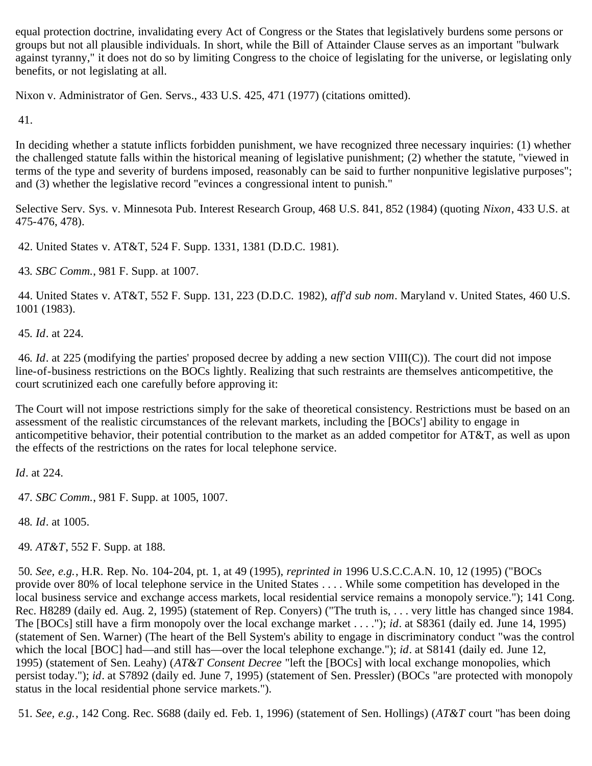equal protection doctrine, invalidating every Act of Congress or the States that legislatively burdens some persons or groups but not all plausible individuals. In short, while the Bill of Attainder Clause serves as an important "bulwark against tyranny," it does not do so by limiting Congress to the choice of legislating for the universe, or legislating only benefits, or not legislating at all.

Nixon v. Administrator of Gen. Servs., 433 U.S. 425, 471 (1977) (citations omitted).

<span id="page-35-0"></span>41.

In deciding whether a statute inflicts forbidden punishment, we have recognized three necessary inquiries: (1) whether the challenged statute falls within the historical meaning of legislative punishment; (2) whether the statute, "viewed in terms of the type and severity of burdens imposed, reasonably can be said to further nonpunitive legislative purposes"; and (3) whether the legislative record "evinces a congressional intent to punish."

Selective Serv. Sys. v. Minnesota Pub. Interest Research Group, 468 U.S. 841, 852 (1984) (quoting *Nixon*, 433 U.S. at 475-476, 478).

<span id="page-35-1"></span>42. United States v. AT&T, 524 F. Supp. 1331, 1381 (D.D.C. 1981).

<span id="page-35-2"></span>43*. SBC Comm.*, 981 F. Supp. at 1007.

<span id="page-35-3"></span> 44. United States v. AT&T, 552 F. Supp. 131, 223 (D.D.C. 1982), *aff'd sub nom*. Maryland v. United States, 460 U.S. 1001 (1983).

<span id="page-35-4"></span>45*. Id*. at 224.

<span id="page-35-5"></span>46*. Id*. at 225 (modifying the parties' proposed decree by adding a new section VIII(C)). The court did not impose line-of-business restrictions on the BOCs lightly. Realizing that such restraints are themselves anticompetitive, the court scrutinized each one carefully before approving it:

The Court will not impose restrictions simply for the sake of theoretical consistency. Restrictions must be based on an assessment of the realistic circumstances of the relevant markets, including the [BOCs'] ability to engage in anticompetitive behavior, their potential contribution to the market as an added competitor for AT&T, as well as upon the effects of the restrictions on the rates for local telephone service.

*Id*. at 224.

<span id="page-35-6"></span>47*. SBC Comm.*, 981 F. Supp. at 1005, 1007.

<span id="page-35-7"></span>48*. Id*. at 1005.

<span id="page-35-8"></span>49*. AT&T*, 552 F. Supp. at 188.

<span id="page-35-9"></span>50*. See, e.g.*, H.R. Rep. No. 104-204, pt. 1, at 49 (1995), *reprinted in* 1996 U.S.C.C.A.N. 10, 12 (1995) ("BOCs provide over 80% of local telephone service in the United States . . . . While some competition has developed in the local business service and exchange access markets, local residential service remains a monopoly service."); 141 Cong. Rec. H8289 (daily ed. Aug. 2, 1995) (statement of Rep. Conyers) ("The truth is, . . . very little has changed since 1984. The [BOCs] still have a firm monopoly over the local exchange market . . . ."); *id*. at S8361 (daily ed. June 14, 1995) (statement of Sen. Warner) (The heart of the Bell System's ability to engage in discriminatory conduct "was the control which the local [BOC] had—and still has—over the local telephone exchange."); *id.* at S8141 (daily ed. June 12, 1995) (statement of Sen. Leahy) (*AT&T Consent Decree* "left the [BOCs] with local exchange monopolies, which persist today."); *id*. at S7892 (daily ed. June 7, 1995) (statement of Sen. Pressler) (BOCs "are protected with monopoly status in the local residential phone service markets.").

<span id="page-35-10"></span>51*. See, e.g.*, 142 Cong. Rec. S688 (daily ed. Feb. 1, 1996) (statement of Sen. Hollings) (*AT&T* court "has been doing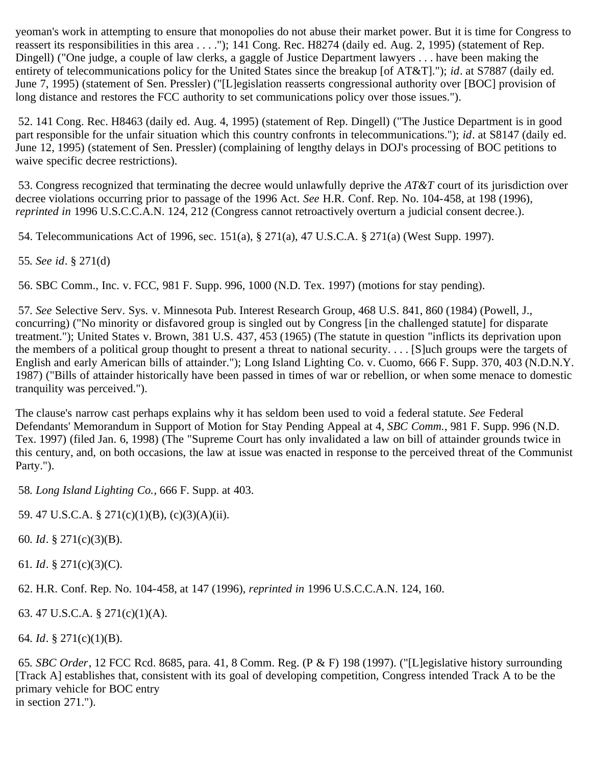yeoman's work in attempting to ensure that monopolies do not abuse their market power. But it is time for Congress to reassert its responsibilities in this area . . . ."); 141 Cong. Rec. H8274 (daily ed. Aug. 2, 1995) (statement of Rep. Dingell) ("One judge, a couple of law clerks, a gaggle of Justice Department lawyers . . . have been making the entirety of telecommunications policy for the United States since the breakup [of AT&T]."); *id*. at S7887 (daily ed. June 7, 1995) (statement of Sen. Pressler) ("[L]egislation reasserts congressional authority over [BOC] provision of long distance and restores the FCC authority to set communications policy over those issues.").

<span id="page-36-0"></span> 52. 141 Cong. Rec. H8463 (daily ed. Aug. 4, 1995) (statement of Rep. Dingell) ("The Justice Department is in good part responsible for the unfair situation which this country confronts in telecommunications."); *id*. at S8147 (daily ed. June 12, 1995) (statement of Sen. Pressler) (complaining of lengthy delays in DOJ's processing of BOC petitions to waive specific decree restrictions).

<span id="page-36-1"></span> 53. Congress recognized that terminating the decree would unlawfully deprive the *AT&T* court of its jurisdiction over decree violations occurring prior to passage of the 1996 Act. *See* H.R. Conf. Rep. No. 104-458, at 198 (1996), *reprinted in* 1996 U.S.C.C.A.N. 124, 212 (Congress cannot retroactively overturn a judicial consent decree.).

<span id="page-36-2"></span>54. Telecommunications Act of 1996, sec. 151(a), § 271(a), 47 U.S.C.A. § 271(a) (West Supp. 1997).

<span id="page-36-3"></span>55*. See id*. § 271(d)

<span id="page-36-4"></span>56. SBC Comm., Inc. v. FCC, 981 F. Supp. 996, 1000 (N.D. Tex. 1997) (motions for stay pending).

<span id="page-36-5"></span>57*. See* Selective Serv. Sys. v. Minnesota Pub. Interest Research Group, 468 U.S. 841, 860 (1984) (Powell, J., concurring) ("No minority or disfavored group is singled out by Congress [in the challenged statute] for disparate treatment."); United States v. Brown, 381 U.S. 437, 453 (1965) (The statute in question "inflicts its deprivation upon the members of a political group thought to present a threat to national security. . . . [S]uch groups were the targets of English and early American bills of attainder."); Long Island Lighting Co. v. Cuomo, 666 F. Supp. 370, 403 (N.D.N.Y. 1987) ("Bills of attainder historically have been passed in times of war or rebellion, or when some menace to domestic tranquility was perceived.").

The clause's narrow cast perhaps explains why it has seldom been used to void a federal statute. *See* Federal Defendants' Memorandum in Support of Motion for Stay Pending Appeal at 4, *SBC Comm.*, 981 F. Supp. 996 (N.D. Tex. 1997) (filed Jan. 6, 1998) (The "Supreme Court has only invalidated a law on bill of attainder grounds twice in this century, and, on both occasions, the law at issue was enacted in response to the perceived threat of the Communist Party.").

<span id="page-36-6"></span>58*. Long Island Lighting Co.*, 666 F. Supp. at 403.

<span id="page-36-7"></span>59. 47 U.S.C.A. § 271(c)(1)(B), (c)(3)(A)(ii).

<span id="page-36-8"></span>60*. Id*. § 271(c)(3)(B).

<span id="page-36-9"></span>61*. Id*. § 271(c)(3)(C).

<span id="page-36-10"></span>62. H.R. Conf. Rep. No. 104-458, at 147 (1996), *reprinted in* 1996 U.S.C.C.A.N. 124, 160.

<span id="page-36-11"></span>63. 47 U.S.C.A. § 271(c)(1)(A).

<span id="page-36-12"></span>64*. Id*. § 271(c)(1)(B).

<span id="page-36-13"></span>65*. SBC Order*, 12 FCC Rcd. 8685, para. 41, 8 Comm. Reg. (P & F) 198 (1997). ("[L]egislative history surrounding [Track A] establishes that, consistent with its goal of developing competition, Congress intended Track A to be the primary vehicle for BOC entry in section 271.").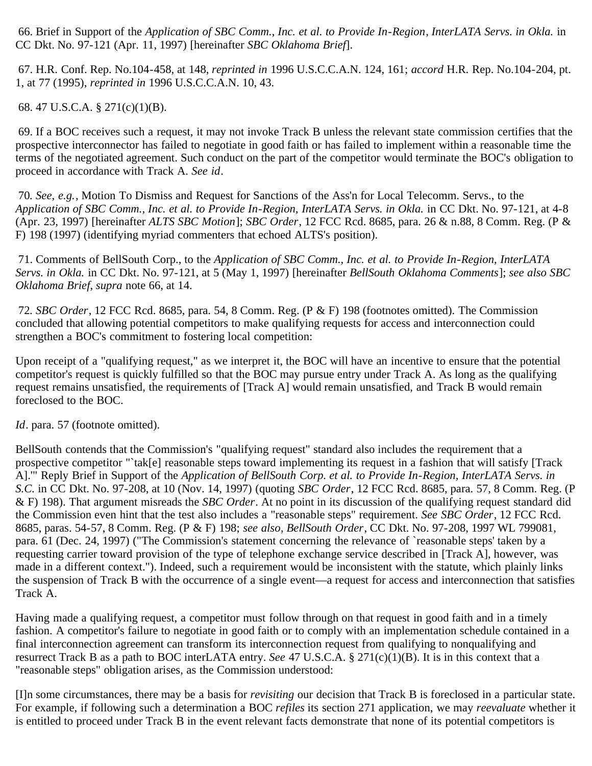<span id="page-37-0"></span> 66. Brief in Support of the *Application of SBC Comm., Inc. et al. to Provide In-Region*, *InterLATA Servs. in Okla.* in CC Dkt. No. 97-121 (Apr. 11, 1997) [hereinafter *SBC Oklahoma Brief*].

<span id="page-37-1"></span> 67. H.R. Conf. Rep. No.104-458, at 148, *reprinted in* 1996 U.S.C.C.A.N. 124, 161; *accord* H.R. Rep. No.104-204, pt. 1, at 77 (1995), *reprinted in* 1996 U.S.C.C.A.N. 10, 43.

<span id="page-37-2"></span>68. 47 U.S.C.A. § 271(c)(1)(B).

<span id="page-37-3"></span> 69. If a BOC receives such a request, it may not invoke Track B unless the relevant state commission certifies that the prospective interconnector has failed to negotiate in good faith or has failed to implement within a reasonable time the terms of the negotiated agreement. Such conduct on the part of the competitor would terminate the BOC's obligation to proceed in accordance with Track A. *See id*.

<span id="page-37-4"></span>70*. See, e.g.*, Motion To Dismiss and Request for Sanctions of the Ass'n for Local Telecomm. Servs., to the *Application of SBC Comm., Inc. et al. to Provide In-Region, InterLATA Servs. in Okla.* in CC Dkt. No. 97-121, at 4-8 (Apr. 23, 1997) [hereinafter *ALTS SBC Motion*]; *SBC Order*, 12 FCC Rcd. 8685, para. 26 & n.88, 8 Comm. Reg. (P & F) 198 (1997) (identifying myriad commenters that echoed ALTS's position).

<span id="page-37-5"></span> 71. Comments of BellSouth Corp., to the *Application of SBC Comm., Inc. et al. to Provide In-Region, InterLATA Servs. in Okla.* in CC Dkt. No. 97-121, at 5 (May 1, 1997) [hereinafter *BellSouth Oklahoma Comments*]; *see also SBC Oklahoma Brief*, *supra* note 66, at 14.

<span id="page-37-6"></span>72*. SBC Order*, 12 FCC Rcd. 8685, para. 54, 8 Comm. Reg. (P & F) 198 (footnotes omitted). The Commission concluded that allowing potential competitors to make qualifying requests for access and interconnection could strengthen a BOC's commitment to fostering local competition:

Upon receipt of a "qualifying request," as we interpret it, the BOC will have an incentive to ensure that the potential competitor's request is quickly fulfilled so that the BOC may pursue entry under Track A. As long as the qualifying request remains unsatisfied, the requirements of [Track A] would remain unsatisfied, and Track B would remain foreclosed to the BOC.

*Id*. para. 57 (footnote omitted).

BellSouth contends that the Commission's "qualifying request" standard also includes the requirement that a prospective competitor "`tak[e] reasonable steps toward implementing its request in a fashion that will satisfy [Track A].'" Reply Brief in Support of the *Application of BellSouth Corp. et al. to Provide In-Region, InterLATA Servs. in S.C.* in CC Dkt. No. 97-208, at 10 (Nov. 14, 1997) (quoting *SBC Order*, 12 FCC Rcd. 8685, para. 57, 8 Comm. Reg. (P & F) 198). That argument misreads the *SBC Order*. At no point in its discussion of the qualifying request standard did the Commission even hint that the test also includes a "reasonable steps" requirement. *See SBC Order*, 12 FCC Rcd. 8685, paras. 54-57, 8 Comm. Reg. (P & F) 198; *see also*, *BellSouth Order*, CC Dkt. No. 97-208, 1997 WL 799081, para. 61 (Dec. 24, 1997) ("The Commission's statement concerning the relevance of `reasonable steps' taken by a requesting carrier toward provision of the type of telephone exchange service described in [Track A], however, was made in a different context."). Indeed, such a requirement would be inconsistent with the statute, which plainly links the suspension of Track B with the occurrence of a single event—a request for access and interconnection that satisfies Track A.

Having made a qualifying request, a competitor must follow through on that request in good faith and in a timely fashion. A competitor's failure to negotiate in good faith or to comply with an implementation schedule contained in a final interconnection agreement can transform its interconnection request from qualifying to nonqualifying and resurrect Track B as a path to BOC interLATA entry. *See* 47 U.S.C.A. § 271(c)(1)(B). It is in this context that a "reasonable steps" obligation arises, as the Commission understood:

[I]n some circumstances, there may be a basis for *revisiting* our decision that Track B is foreclosed in a particular state. For example, if following such a determination a BOC *refiles* its section 271 application, we may *reevaluate* whether it is entitled to proceed under Track B in the event relevant facts demonstrate that none of its potential competitors is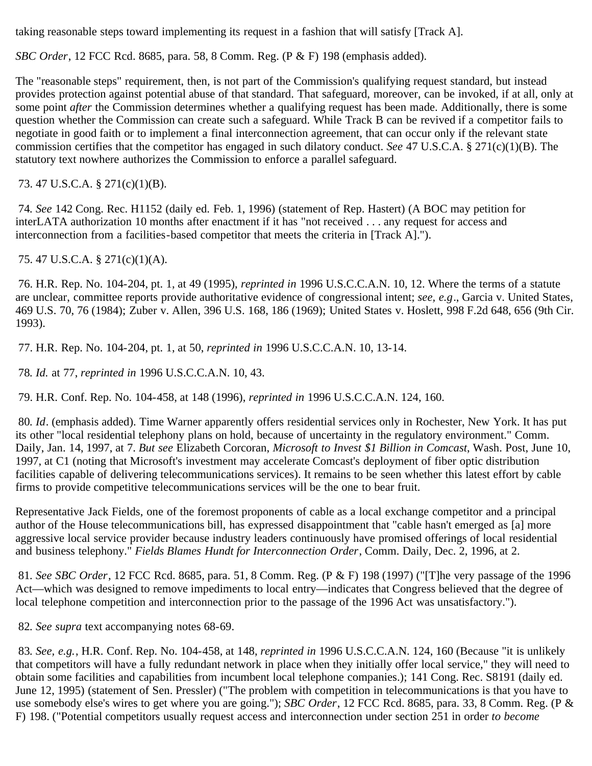taking reasonable steps toward implementing its request in a fashion that will satisfy [Track A].

*SBC Order*, 12 FCC Rcd. 8685, para. 58, 8 Comm. Reg. (P & F) 198 (emphasis added).

The "reasonable steps" requirement, then, is not part of the Commission's qualifying request standard, but instead provides protection against potential abuse of that standard. That safeguard, moreover, can be invoked, if at all, only at some point *after* the Commission determines whether a qualifying request has been made. Additionally, there is some question whether the Commission can create such a safeguard. While Track B can be revived if a competitor fails to negotiate in good faith or to implement a final interconnection agreement, that can occur only if the relevant state commission certifies that the competitor has engaged in such dilatory conduct. *See* 47 U.S.C.A. § 271(c)(1)(B). The statutory text nowhere authorizes the Commission to enforce a parallel safeguard.

<span id="page-38-0"></span>73. 47 U.S.C.A. § 271(c)(1)(B).

<span id="page-38-1"></span>74*. See* 142 Cong. Rec. H1152 (daily ed. Feb. 1, 1996) (statement of Rep. Hastert) (A BOC may petition for interLATA authorization 10 months after enactment if it has "not received . . . any request for access and interconnection from a facilities-based competitor that meets the criteria in [Track A].").

<span id="page-38-2"></span>75. 47 U.S.C.A. § 271(c)(1)(A).

<span id="page-38-3"></span> 76. H.R. Rep. No. 104-204, pt. 1, at 49 (1995), *reprinted in* 1996 U.S.C.C.A.N. 10, 12. Where the terms of a statute are unclear, committee reports provide authoritative evidence of congressional intent; *see, e.g*., Garcia v. United States, 469 U.S. 70, 76 (1984); Zuber v. Allen, 396 U.S. 168, 186 (1969); United States v. Hoslett, 998 F.2d 648, 656 (9th Cir. 1993).

<span id="page-38-4"></span>77. H.R. Rep. No. 104-204, pt. 1, at 50, *reprinted in* 1996 U.S.C.C.A.N. 10, 13-14.

<span id="page-38-5"></span>78*. Id.* at 77, *reprinted in* 1996 U.S.C.C.A.N. 10, 43.

<span id="page-38-6"></span>79. H.R. Conf. Rep. No. 104-458, at 148 (1996), *reprinted in* 1996 U.S.C.C.A.N. 124, 160.

<span id="page-38-7"></span>80*. Id*. (emphasis added). Time Warner apparently offers residential services only in Rochester, New York. It has put its other "local residential telephony plans on hold, because of uncertainty in the regulatory environment." Comm. Daily, Jan. 14, 1997, at 7. *But see* Elizabeth Corcoran, *Microsoft to Invest \$1 Billion in Comcast*, Wash. Post, June 10, 1997, at C1 (noting that Microsoft's investment may accelerate Comcast's deployment of fiber optic distribution facilities capable of delivering telecommunications services). It remains to be seen whether this latest effort by cable firms to provide competitive telecommunications services will be the one to bear fruit.

Representative Jack Fields, one of the foremost proponents of cable as a local exchange competitor and a principal author of the House telecommunications bill, has expressed disappointment that "cable hasn't emerged as [a] more aggressive local service provider because industry leaders continuously have promised offerings of local residential and business telephony." *Fields Blames Hundt for Interconnection Order*, Comm. Daily, Dec. 2, 1996, at 2.

<span id="page-38-8"></span>81*. See SBC Order*, 12 FCC Rcd. 8685, para. 51, 8 Comm. Reg. (P & F) 198 (1997) ("[T]he very passage of the 1996 Act—which was designed to remove impediments to local entry—indicates that Congress believed that the degree of local telephone competition and interconnection prior to the passage of the 1996 Act was unsatisfactory.").

<span id="page-38-9"></span>82*. See supra* text accompanying notes 68-69.

<span id="page-38-10"></span>83*. See, e.g.*, H.R. Conf. Rep. No. 104-458, at 148, *reprinted in* 1996 U.S.C.C.A.N. 124, 160 (Because "it is unlikely that competitors will have a fully redundant network in place when they initially offer local service," they will need to obtain some facilities and capabilities from incumbent local telephone companies.); 141 Cong. Rec. S8191 (daily ed. June 12, 1995) (statement of Sen. Pressler) ("The problem with competition in telecommunications is that you have to use somebody else's wires to get where you are going."); *SBC Order*, 12 FCC Rcd. 8685, para. 33, 8 Comm. Reg. (P & F) 198. ("Potential competitors usually request access and interconnection under section 251 in order *to become*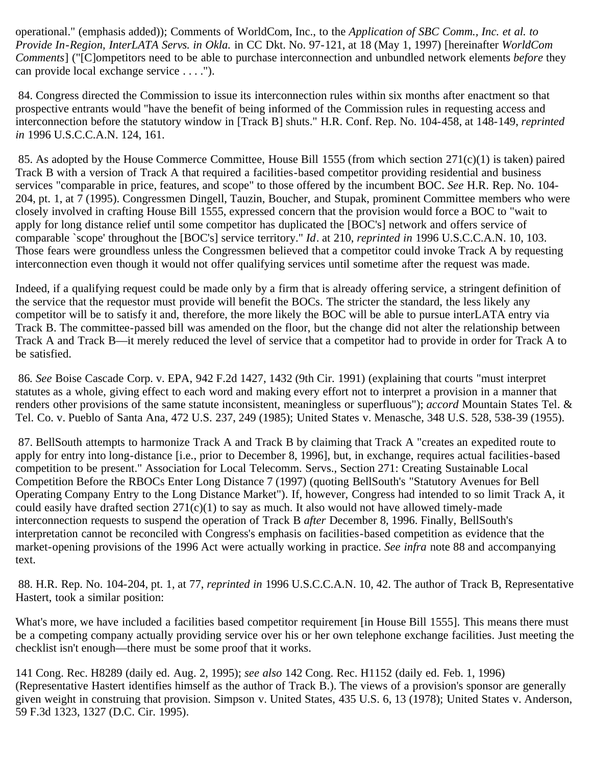operational." (emphasis added)); Comments of WorldCom, Inc., to the *Application of SBC Comm., Inc. et al. to Provide In-Region, InterLATA Servs. in Okla.* in CC Dkt. No. 97-121, at 18 (May 1, 1997) [hereinafter *WorldCom Comments*] ("[C]ompetitors need to be able to purchase interconnection and unbundled network elements *before* they can provide local exchange service . . . .").

<span id="page-39-0"></span> 84. Congress directed the Commission to issue its interconnection rules within six months after enactment so that prospective entrants would "have the benefit of being informed of the Commission rules in requesting access and interconnection before the statutory window in [Track B] shuts." H.R. Conf. Rep. No. 104-458, at 148-149, *reprinted in* 1996 U.S.C.C.A.N. 124, 161.

<span id="page-39-1"></span> 85. As adopted by the House Commerce Committee, House Bill 1555 (from which section 271(c)(1) is taken) paired Track B with a version of Track A that required a facilities-based competitor providing residential and business services "comparable in price, features, and scope" to those offered by the incumbent BOC. *See* H.R. Rep. No. 104- 204, pt. 1, at 7 (1995). Congressmen Dingell, Tauzin, Boucher, and Stupak, prominent Committee members who were closely involved in crafting House Bill 1555, expressed concern that the provision would force a BOC to "wait to apply for long distance relief until some competitor has duplicated the [BOC's] network and offers service of comparable `scope' throughout the [BOC's] service territory." *Id*. at 210, *reprinted in* 1996 U.S.C.C.A.N. 10, 103. Those fears were groundless unless the Congressmen believed that a competitor could invoke Track A by requesting interconnection even though it would not offer qualifying services until sometime after the request was made.

Indeed, if a qualifying request could be made only by a firm that is already offering service, a stringent definition of the service that the requestor must provide will benefit the BOCs. The stricter the standard, the less likely any competitor will be to satisfy it and, therefore, the more likely the BOC will be able to pursue interLATA entry via Track B. The committee-passed bill was amended on the floor, but the change did not alter the relationship between Track A and Track B—it merely reduced the level of service that a competitor had to provide in order for Track A to be satisfied.

<span id="page-39-2"></span>86*. See* Boise Cascade Corp. v. EPA, 942 F.2d 1427, 1432 (9th Cir. 1991) (explaining that courts "must interpret statutes as a whole, giving effect to each word and making every effort not to interpret a provision in a manner that renders other provisions of the same statute inconsistent, meaningless or superfluous"); *accord* Mountain States Tel. & Tel. Co. v. Pueblo of Santa Ana, 472 U.S. 237, 249 (1985); United States v. Menasche, 348 U.S. 528, 538-39 (1955).

<span id="page-39-3"></span> 87. BellSouth attempts to harmonize Track A and Track B by claiming that Track A "creates an expedited route to apply for entry into long-distance [i.e*.*, prior to December 8, 1996], but, in exchange, requires actual facilities-based competition to be present." Association for Local Telecomm. Servs., Section 271: Creating Sustainable Local Competition Before the RBOCs Enter Long Distance 7 (1997) (quoting BellSouth's "Statutory Avenues for Bell Operating Company Entry to the Long Distance Market"). If, however, Congress had intended to so limit Track A, it could easily have drafted section  $271(c)(1)$  to say as much. It also would not have allowed timely-made interconnection requests to suspend the operation of Track B *after* December 8, 1996. Finally, BellSouth's interpretation cannot be reconciled with Congress's emphasis on facilities-based competition as evidence that the market-opening provisions of the 1996 Act were actually working in practice. *See infra* note 88 and accompanying text.

<span id="page-39-4"></span> 88. H.R. Rep. No. 104-204, pt. 1, at 77, *reprinted in* 1996 U.S.C.C.A.N. 10, 42. The author of Track B, Representative Hastert, took a similar position:

What's more, we have included a facilities based competitor requirement [in House Bill 1555]. This means there must be a competing company actually providing service over his or her own telephone exchange facilities. Just meeting the checklist isn't enough—there must be some proof that it works.

141 Cong. Rec. H8289 (daily ed. Aug. 2, 1995); *see also* 142 Cong. Rec. H1152 (daily ed. Feb. 1, 1996) (Representative Hastert identifies himself as the author of Track B.). The views of a provision's sponsor are generally given weight in construing that provision. Simpson v. United States, 435 U.S. 6, 13 (1978); United States v. Anderson, 59 F.3d 1323, 1327 (D.C. Cir. 1995).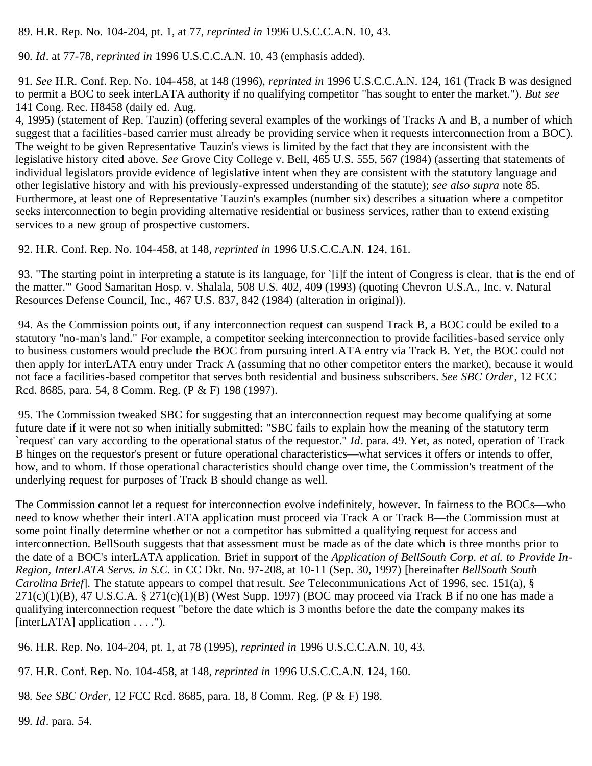<span id="page-40-0"></span>89. H.R. Rep. No. 104-204, pt. 1, at 77, *reprinted in* 1996 U.S.C.C.A.N. 10, 43.

<span id="page-40-1"></span>90*. Id*. at 77-78, *reprinted in* 1996 U.S.C.C.A.N. 10, 43 (emphasis added).

<span id="page-40-2"></span>91*. See* H.R. Conf. Rep. No. 104-458, at 148 (1996), *reprinted in* 1996 U.S.C.C.A.N. 124, 161 (Track B was designed to permit a BOC to seek interLATA authority if no qualifying competitor "has sought to enter the market."). *But see* 141 Cong. Rec. H8458 (daily ed. Aug.

4, 1995) (statement of Rep. Tauzin) (offering several examples of the workings of Tracks A and B, a number of which suggest that a facilities-based carrier must already be providing service when it requests interconnection from a BOC). The weight to be given Representative Tauzin's views is limited by the fact that they are inconsistent with the legislative history cited above. *See* Grove City College v. Bell, 465 U.S. 555, 567 (1984) (asserting that statements of individual legislators provide evidence of legislative intent when they are consistent with the statutory language and other legislative history and with his previously-expressed understanding of the statute); *see also supra* note 85. Furthermore, at least one of Representative Tauzin's examples (number six) describes a situation where a competitor seeks interconnection to begin providing alternative residential or business services, rather than to extend existing services to a new group of prospective customers.

<span id="page-40-3"></span>92. H.R. Conf. Rep. No. 104-458, at 148, *reprinted in* 1996 U.S.C.C.A.N. 124, 161.

<span id="page-40-4"></span> 93. "The starting point in interpreting a statute is its language, for `[i]f the intent of Congress is clear, that is the end of the matter.'" Good Samaritan Hosp. v. Shalala, 508 U.S. 402, 409 (1993) (quoting Chevron U.S.A., Inc. v. Natural Resources Defense Council, Inc., 467 U.S. 837, 842 (1984) (alteration in original)).

<span id="page-40-5"></span> 94. As the Commission points out, if any interconnection request can suspend Track B, a BOC could be exiled to a statutory "no-man's land." For example, a competitor seeking interconnection to provide facilities-based service only to business customers would preclude the BOC from pursuing interLATA entry via Track B. Yet, the BOC could not then apply for interLATA entry under Track A (assuming that no other competitor enters the market), because it would not face a facilities-based competitor that serves both residential and business subscribers. *See SBC Order*, 12 FCC Rcd. 8685, para. 54, 8 Comm. Reg. (P & F) 198 (1997).

<span id="page-40-6"></span> 95. The Commission tweaked SBC for suggesting that an interconnection request may become qualifying at some future date if it were not so when initially submitted: "SBC fails to explain how the meaning of the statutory term `request' can vary according to the operational status of the requestor." *Id*. para. 49. Yet, as noted, operation of Track B hinges on the requestor's present or future operational characteristics—what services it offers or intends to offer, how, and to whom. If those operational characteristics should change over time, the Commission's treatment of the underlying request for purposes of Track B should change as well.

The Commission cannot let a request for interconnection evolve indefinitely, however. In fairness to the BOCs—who need to know whether their interLATA application must proceed via Track A or Track B—the Commission must at some point finally determine whether or not a competitor has submitted a qualifying request for access and interconnection. BellSouth suggests that that assessment must be made as of the date which is three months prior to the date of a BOC's interLATA application. Brief in support of the *Application of BellSouth Corp. et al. to Provide In-Region, InterLATA Servs. in S.C.* in CC Dkt. No. 97-208, at 10-11 (Sep. 30, 1997) [hereinafter *BellSouth South Carolina Brief*]. The statute appears to compel that result. *See* Telecommunications Act of 1996, sec. 151(a), §  $271(c)(1)(B)$ , 47 U.S.C.A. § 271(c)(1)(B) (West Supp. 1997) (BOC may proceed via Track B if no one has made a qualifying interconnection request "before the date which is 3 months before the date the company makes its [interLATA] application . . . .").

<span id="page-40-7"></span>96. H.R. Rep. No. 104-204, pt. 1, at 78 (1995), *reprinted in* 1996 U.S.C.C.A.N. 10, 43.

<span id="page-40-8"></span>97. H.R. Conf. Rep. No. 104-458, at 148, *reprinted in* 1996 U.S.C.C.A.N. 124, 160.

<span id="page-40-9"></span>98*. See SBC Order*, 12 FCC Rcd. 8685, para. 18, 8 Comm. Reg. (P & F) 198.

<span id="page-40-10"></span>99*. Id*. para. 54.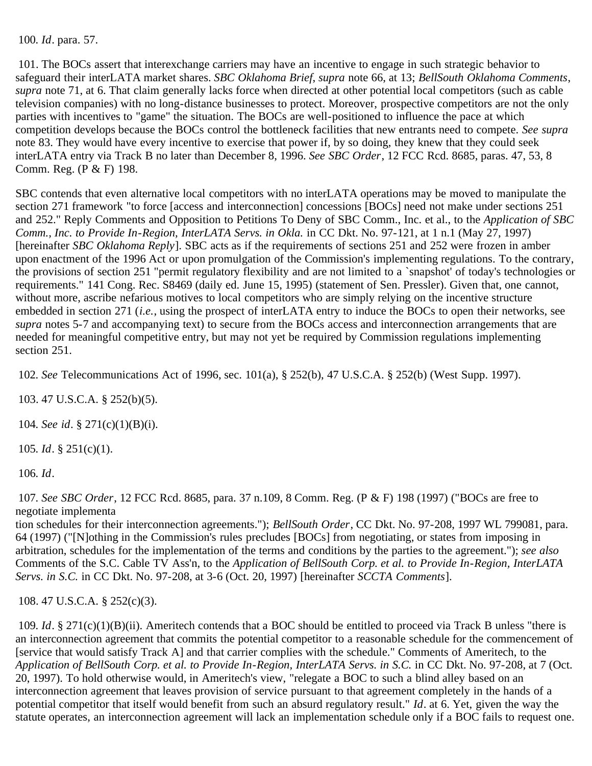<span id="page-41-0"></span>100*. Id*. para. 57.

<span id="page-41-1"></span> 101. The BOCs assert that interexchange carriers may have an incentive to engage in such strategic behavior to safeguard their interLATA market shares. *SBC Oklahoma Brief*, *supra* note 66, at 13; *BellSouth Oklahoma Comments*, *supra* note 71, at 6. That claim generally lacks force when directed at other potential local competitors (such as cable television companies) with no long-distance businesses to protect. Moreover, prospective competitors are not the only parties with incentives to "game" the situation. The BOCs are well-positioned to influence the pace at which competition develops because the BOCs control the bottleneck facilities that new entrants need to compete. *See supra* note 83. They would have every incentive to exercise that power if, by so doing, they knew that they could seek interLATA entry via Track B no later than December 8, 1996. *See SBC Order*, 12 FCC Rcd. 8685, paras. 47, 53, 8 Comm. Reg. (P & F) 198.

SBC contends that even alternative local competitors with no interLATA operations may be moved to manipulate the section 271 framework "to force [access and interconnection] concessions [BOCs] need not make under sections 251 and 252." Reply Comments and Opposition to Petitions To Deny of SBC Comm., Inc. et al., to the *Application of SBC Comm., Inc. to Provide In-Region, InterLATA Servs. in Okla.* in CC Dkt. No. 97-121, at 1 n.1 (May 27, 1997) [hereinafter *SBC Oklahoma Reply*]. SBC acts as if the requirements of sections 251 and 252 were frozen in amber upon enactment of the 1996 Act or upon promulgation of the Commission's implementing regulations. To the contrary, the provisions of section 251 "permit regulatory flexibility and are not limited to a `snapshot' of today's technologies or requirements." 141 Cong. Rec. S8469 (daily ed. June 15, 1995) (statement of Sen. Pressler). Given that, one cannot, without more, ascribe nefarious motives to local competitors who are simply relying on the incentive structure embedded in section 271 (*i.e.*, using the prospect of interLATA entry to induce the BOCs to open their networks, see *supra* notes 5-7 and accompanying text) to secure from the BOCs access and interconnection arrangements that are needed for meaningful competitive entry, but may not yet be required by Commission regulations implementing section 251.

<span id="page-41-2"></span>102*. See* Telecommunications Act of 1996, sec. 101(a), § 252(b), 47 U.S.C.A. § 252(b) (West Supp. 1997).

<span id="page-41-3"></span>103. 47 U.S.C.A. § 252(b)(5).

<span id="page-41-4"></span>104*. See id*. § 271(c)(1)(B)(i).

<span id="page-41-5"></span>105*. Id*. § 251(c)(1).

<span id="page-41-6"></span>106*. Id*.

<span id="page-41-7"></span>107*. See SBC Order*, 12 FCC Rcd. 8685, para. 37 n.109, 8 Comm. Reg. (P & F) 198 (1997) ("BOCs are free to negotiate implementa

tion schedules for their interconnection agreements."); *BellSouth Order*, CC Dkt. No. 97-208, 1997 WL 799081, para. 64 (1997) ("[N]othing in the Commission's rules precludes [BOCs] from negotiating, or states from imposing in arbitration, schedules for the implementation of the terms and conditions by the parties to the agreement."); *see also* Comments of the S.C. Cable TV Ass'n, to the *Application of BellSouth Corp. et al. to Provide In-Region, InterLATA Servs. in S.C.* in CC Dkt. No. 97-208, at 3-6 (Oct. 20, 1997) [hereinafter *SCCTA Comments*].

<span id="page-41-8"></span>108. 47 U.S.C.A. § 252(c)(3).

<span id="page-41-9"></span>109*. Id*. § 271(c)(1)(B)(ii). Ameritech contends that a BOC should be entitled to proceed via Track B unless "there is an interconnection agreement that commits the potential competitor to a reasonable schedule for the commencement of [service that would satisfy Track A] and that carrier complies with the schedule." Comments of Ameritech, to the *Application of BellSouth Corp. et al. to Provide In-Region, InterLATA Servs. in S.C.* in CC Dkt. No. 97-208, at 7 (Oct. 20, 1997). To hold otherwise would, in Ameritech's view, "relegate a BOC to such a blind alley based on an interconnection agreement that leaves provision of service pursuant to that agreement completely in the hands of a potential competitor that itself would benefit from such an absurd regulatory result." *Id*. at 6. Yet, given the way the statute operates, an interconnection agreement will lack an implementation schedule only if a BOC fails to request one.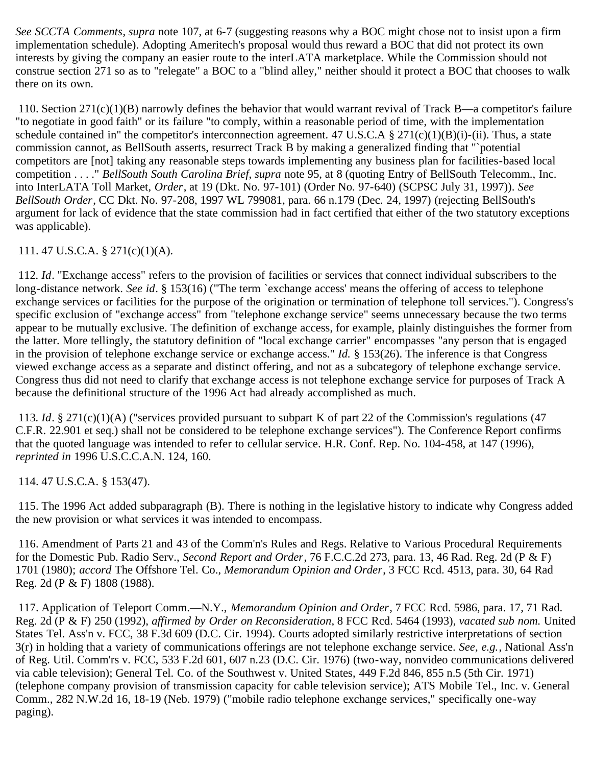*See SCCTA Comments*, *supra* note 107, at 6-7 (suggesting reasons why a BOC might chose not to insist upon a firm implementation schedule). Adopting Ameritech's proposal would thus reward a BOC that did not protect its own interests by giving the company an easier route to the interLATA marketplace. While the Commission should not construe section 271 so as to "relegate" a BOC to a "blind alley," neither should it protect a BOC that chooses to walk there on its own.

<span id="page-42-0"></span> 110. Section 271(c)(1)(B) narrowly defines the behavior that would warrant revival of Track B—a competitor's failure "to negotiate in good faith" or its failure "to comply, within a reasonable period of time, with the implementation schedule contained in" the competitor's interconnection agreement. 47 U.S.C.A  $\S 271(c)(1)(B)(i)-(ii)$ . Thus, a state commission cannot, as BellSouth asserts, resurrect Track B by making a generalized finding that "`potential competitors are [not] taking any reasonable steps towards implementing any business plan for facilities-based local competition . . . ." *BellSouth South Carolina Brief*, *supra* note 95, at 8 (quoting Entry of BellSouth Telecomm., Inc. into InterLATA Toll Market, *Order*, at 19 (Dkt. No. 97-101) (Order No. 97-640) (SCPSC July 31, 1997)). *See BellSouth Order*, CC Dkt. No. 97-208, 1997 WL 799081, para. 66 n.179 (Dec. 24, 1997) (rejecting BellSouth's argument for lack of evidence that the state commission had in fact certified that either of the two statutory exceptions was applicable).

<span id="page-42-1"></span>111. 47 U.S.C.A. § 271(c)(1)(A).

<span id="page-42-2"></span>112*. Id*. "Exchange access" refers to the provision of facilities or services that connect individual subscribers to the long-distance network. *See id*. § 153(16) ("The term `exchange access' means the offering of access to telephone exchange services or facilities for the purpose of the origination or termination of telephone toll services."). Congress's specific exclusion of "exchange access" from "telephone exchange service" seems unnecessary because the two terms appear to be mutually exclusive. The definition of exchange access, for example, plainly distinguishes the former from the latter. More tellingly, the statutory definition of "local exchange carrier" encompasses "any person that is engaged in the provision of telephone exchange service or exchange access." *Id.* § 153(26). The inference is that Congress viewed exchange access as a separate and distinct offering, and not as a subcategory of telephone exchange service. Congress thus did not need to clarify that exchange access is not telephone exchange service for purposes of Track A because the definitional structure of the 1996 Act had already accomplished as much.

<span id="page-42-3"></span>113*. Id*. § 271(c)(1)(A) ("services provided pursuant to subpart K of part 22 of the Commission's regulations (47 C.F.R. 22.901 et seq.) shall not be considered to be telephone exchange services"). The Conference Report confirms that the quoted language was intended to refer to cellular service. H.R. Conf. Rep. No. 104-458, at 147 (1996), *reprinted in* 1996 U.S.C.C.A.N. 124, 160.

<span id="page-42-4"></span>114. 47 U.S.C.A. § 153(47).

<span id="page-42-5"></span> 115. The 1996 Act added subparagraph (B). There is nothing in the legislative history to indicate why Congress added the new provision or what services it was intended to encompass.

<span id="page-42-6"></span> 116. Amendment of Parts 21 and 43 of the Comm'n's Rules and Regs. Relative to Various Procedural Requirements for the Domestic Pub. Radio Serv., *Second Report and Order*, 76 F.C.C.2d 273, para. 13, 46 Rad. Reg. 2d (P & F) 1701 (1980); *accord* The Offshore Tel. Co., *Memorandum Opinion and Order*, 3 FCC Rcd. 4513, para. 30, 64 Rad Reg. 2d (P & F) 1808 (1988).

<span id="page-42-7"></span> 117. Application of Teleport Comm.—N.Y., *Memorandum Opinion and Order*, 7 FCC Rcd. 5986, para. 17, 71 Rad. Reg. 2d (P & F) 250 (1992), *affirmed by Order on Reconsideration*, 8 FCC Rcd. 5464 (1993), *vacated sub nom.* United States Tel. Ass'n v. FCC, 38 F.3d 609 (D.C. Cir. 1994). Courts adopted similarly restrictive interpretations of section 3(r) in holding that a variety of communications offerings are not telephone exchange service. *See, e.g.*, National Ass'n of Reg. Util. Comm'rs v. FCC, 533 F.2d 601, 607 n.23 (D.C. Cir. 1976) (two-way, nonvideo communications delivered via cable television); General Tel. Co. of the Southwest v. United States, 449 F.2d 846, 855 n.5 (5th Cir. 1971) (telephone company provision of transmission capacity for cable television service); ATS Mobile Tel., Inc. v. General Comm., 282 N.W.2d 16, 18-19 (Neb. 1979) ("mobile radio telephone exchange services," specifically one-way paging).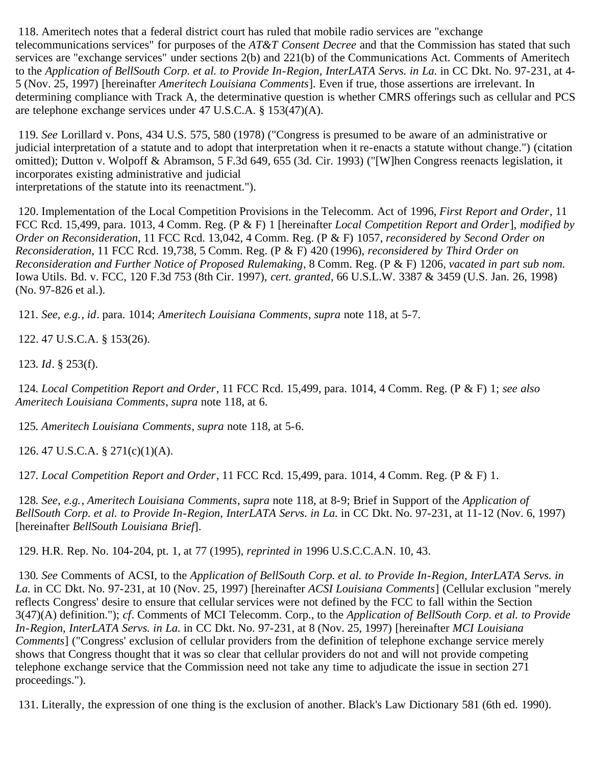<span id="page-43-0"></span> 118. Ameritech notes that a federal district court has ruled that mobile radio services are "exchange telecommunications services" for purposes of the *AT&T Consent Decree* and that the Commission has stated that such services are "exchange services" under sections 2(b) and 221(b) of the Communications Act. Comments of Ameritech to the *Application of BellSouth Corp. et al. to Provide In-Region, InterLATA Servs. in La.* in CC Dkt. No. 97-231, at 4-5 (Nov. 25, 1997) [hereinafter *Ameritech Louisiana Comments*]. Even if true, those assertions are irrelevant. In determining compliance with Track A, the determinative question is whether CMRS offerings such as cellular and PCS are telephone exchange services under 47 U.S.C.A. § 153(47)(A).

<span id="page-43-1"></span>119*. See* Lorillard v. Pons, 434 U.S. 575, 580 (1978) ("Congress is presumed to be aware of an administrative or judicial interpretation of a statute and to adopt that interpretation when it re-enacts a statute without change.") (citation omitted); Dutton v. Wolpoff & Abramson, 5 F.3d 649, 655 (3d. Cir. 1993) ("[W]hen Congress reenacts legislation, it incorporates existing administrative and judicial interpretations of the statute into its reenactment.").

<span id="page-43-2"></span> 120. Implementation of the Local Competition Provisions in the Telecomm. Act of 1996, *First Report and Order*, 11 FCC Rcd. 15,499, para. 1013, 4 Comm. Reg. (P & F) 1 [hereinafter *Local Competition Report and Order*], *modified by Order on Reconsideration*, 11 FCC Rcd. 13,042, 4 Comm. Reg. (P & F) 1057, *reconsidered by Second Order on Reconsideration*, 11 FCC Rcd. 19,738, 5 Comm. Reg. (P & F) 420 (1996), *reconsidered by Third Order on Reconsideration and Further Notice of Proposed Rulemaking*, 8 Comm. Reg. (P & F) 1206, *vacated in part sub nom.* Iowa Utils. Bd. v. FCC, 120 F.3d 753 (8th Cir. 1997), *cert. granted*, 66 U.S.L.W. 3387 & 3459 (U.S. Jan. 26, 1998) (No. 97-826 et al.).

<span id="page-43-3"></span>121*. See, e.g.*, *id*. para. 1014; *Ameritech Louisiana Comments*, *supra* note 118, at 5-7.

<span id="page-43-4"></span>122. 47 U.S.C.A. § 153(26).

<span id="page-43-5"></span>123*. Id*. § 253(f).

<span id="page-43-6"></span>124*. Local Competition Report and Order*, 11 FCC Rcd. 15,499, para. 1014, 4 Comm. Reg. (P & F) 1; *see also Ameritech Louisiana Comments*, *supra* note 118, at 6.

<span id="page-43-7"></span>125*. Ameritech Louisiana Comments*, *supra* note 118, at 5-6.

<span id="page-43-8"></span>126. 47 U.S.C.A. § 271(c)(1)(A).

<span id="page-43-9"></span>127*. Local Competition Report and Order*, 11 FCC Rcd. 15,499, para. 1014, 4 Comm. Reg. (P & F) 1.

<span id="page-43-10"></span>128*. See, e.g.*, *Ameritech Louisiana Comments*, *supra* note 118, at 8-9; Brief in Support of the *Application of BellSouth Corp. et al. to Provide In-Region, InterLATA Servs. in La.* in CC Dkt. No. 97-231, at 11-12 (Nov. 6, 1997) [hereinafter *BellSouth Louisiana Brief*].

<span id="page-43-11"></span>129. H.R. Rep. No. 104-204, pt. 1, at 77 (1995), *reprinted in* 1996 U.S.C.C.A.N. 10, 43.

<span id="page-43-12"></span>130*. See* Comments of ACSI, to the *Application of BellSouth Corp. et al. to Provide In-Region, InterLATA Servs. in La.* in CC Dkt. No. 97-231, at 10 (Nov. 25, 1997) [hereinafter *ACSI Louisiana Comments*] (Cellular exclusion "merely reflects Congress' desire to ensure that cellular services were not defined by the FCC to fall within the Section 3(47)(A) definition."); *cf*. Comments of MCI Telecomm. Corp., to the *Application of BellSouth Corp. et al. to Provide In-Region, InterLATA Servs. in La.* in CC Dkt. No. 97-231, at 8 (Nov. 25, 1997) [hereinafter *MCI Louisiana Comments*] ("Congress' exclusion of cellular providers from the definition of telephone exchange service merely shows that Congress thought that it was so clear that cellular providers do not and will not provide competing telephone exchange service that the Commission need not take any time to adjudicate the issue in section 271 proceedings.").

<span id="page-43-13"></span>131. Literally, the expression of one thing is the exclusion of another. Black's Law Dictionary 581 (6th ed. 1990).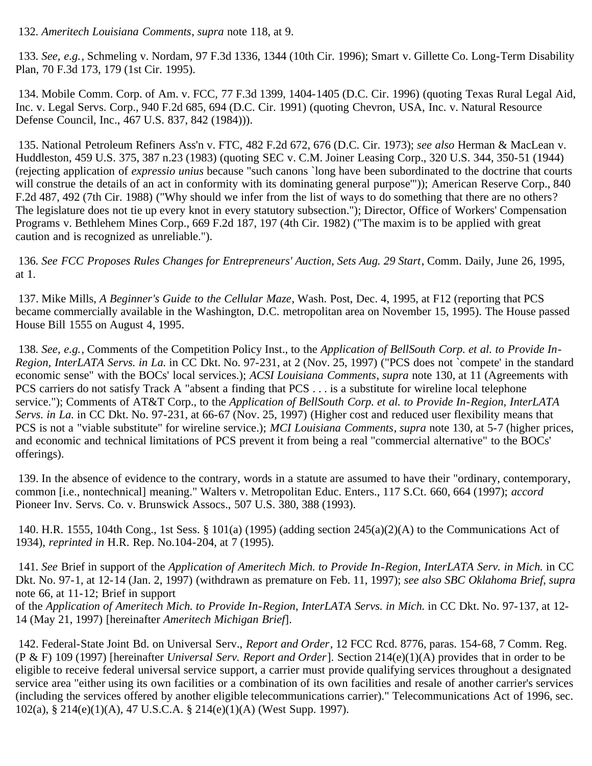<span id="page-44-1"></span><span id="page-44-0"></span>133*. See, e.g.*, Schmeling v. Nordam, 97 F.3d 1336, 1344 (10th Cir. 1996); Smart v. Gillette Co. Long-Term Disability Plan, 70 F.3d 173, 179 (1st Cir. 1995).

<span id="page-44-2"></span> 134. Mobile Comm. Corp. of Am. v. FCC, 77 F.3d 1399, 1404-1405 (D.C. Cir. 1996) (quoting Texas Rural Legal Aid, Inc. v. Legal Servs. Corp., 940 F.2d 685, 694 (D.C. Cir. 1991) (quoting Chevron, USA, Inc. v. Natural Resource Defense Council, Inc., 467 U.S. 837, 842 (1984))).

<span id="page-44-3"></span> 135. National Petroleum Refiners Ass'n v. FTC, 482 F.2d 672, 676 (D.C. Cir. 1973); *see also* Herman & MacLean v. Huddleston, 459 U.S. 375, 387 n.23 (1983) (quoting SEC v. C.M. Joiner Leasing Corp., 320 U.S. 344, 350-51 (1944) (rejecting application of *expressio unius* because "such canons `long have been subordinated to the doctrine that courts will construe the details of an act in conformity with its dominating general purpose")); American Reserve Corp., 840 F.2d 487, 492 (7th Cir. 1988) ("Why should we infer from the list of ways to do something that there are no others? The legislature does not tie up every knot in every statutory subsection."); Director, Office of Workers' Compensation Programs v. Bethlehem Mines Corp., 669 F.2d 187, 197 (4th Cir. 1982) ("The maxim is to be applied with great caution and is recognized as unreliable.").

<span id="page-44-4"></span>136*. See FCC Proposes Rules Changes for Entrepreneurs' Auction, Sets Aug. 29 Start*, Comm. Daily, June 26, 1995, at 1.

<span id="page-44-5"></span> 137. Mike Mills, *A Beginner's Guide to the Cellular Maze*, Wash. Post, Dec. 4, 1995, at F12 (reporting that PCS became commercially available in the Washington, D.C. metropolitan area on November 15, 1995). The House passed House Bill 1555 on August 4, 1995.

<span id="page-44-6"></span>138*. See, e.g.*, Comments of the Competition Policy Inst., to the *Application of BellSouth Corp. et al. to Provide In-Region, InterLATA Servs. in La.* in CC Dkt. No. 97-231, at 2 (Nov. 25, 1997) ("PCS does not `compete' in the standard economic sense" with the BOCs' local services.); *ACSI Louisiana Comments*, *supra* note 130, at 11 (Agreements with PCS carriers do not satisfy Track A "absent a finding that PCS . . . is a substitute for wireline local telephone service."); Comments of AT&T Corp., to the *Application of BellSouth Corp. et al. to Provide In-Region, InterLATA Servs. in La.* in CC Dkt. No. 97-231, at 66-67 (Nov. 25, 1997) (Higher cost and reduced user flexibility means that PCS is not a "viable substitute" for wireline service.); *MCI Louisiana Comments*, *supra* note 130, at 5-7 (higher prices, and economic and technical limitations of PCS prevent it from being a real "commercial alternative" to the BOCs' offerings).

<span id="page-44-7"></span> 139. In the absence of evidence to the contrary, words in a statute are assumed to have their "ordinary, contemporary, common [i.e., nontechnical] meaning." Walters v. Metropolitan Educ. Enters., 117 S.Ct. 660, 664 (1997); *accord* Pioneer Inv. Servs. Co. v. Brunswick Assocs., 507 U.S. 380, 388 (1993).

<span id="page-44-8"></span> 140. H.R. 1555, 104th Cong., 1st Sess. § 101(a) (1995) (adding section 245(a)(2)(A) to the Communications Act of 1934), *reprinted in* H.R. Rep. No.104-204, at 7 (1995).

<span id="page-44-9"></span>141*. See* Brief in support of the *Application of Ameritech Mich. to Provide In-Region, InterLATA Serv. in Mich.* in CC Dkt. No. 97-1, at 12-14 (Jan. 2, 1997) (withdrawn as premature on Feb. 11, 1997); *see also SBC Oklahoma Brief*, *supra* note 66, at 11-12; Brief in support

of the *Application of Ameritech Mich. to Provide In-Region, InterLATA Servs. in Mich.* in CC Dkt. No. 97-137, at 12- 14 (May 21, 1997) [hereinafter *Ameritech Michigan Brief*].

<span id="page-44-10"></span> 142. Federal-State Joint Bd. on Universal Serv., *Report and Order*, 12 FCC Rcd. 8776, paras. 154-68, 7 Comm. Reg. (P & F) 109 (1997) [hereinafter *Universal Serv. Report and Order*]. Section 214(e)(1)(A) provides that in order to be eligible to receive federal universal service support, a carrier must provide qualifying services throughout a designated service area "either using its own facilities or a combination of its own facilities and resale of another carrier's services (including the services offered by another eligible telecommunications carrier)." Telecommunications Act of 1996, sec. 102(a), § 214(e)(1)(A), 47 U.S.C.A. § 214(e)(1)(A) (West Supp. 1997).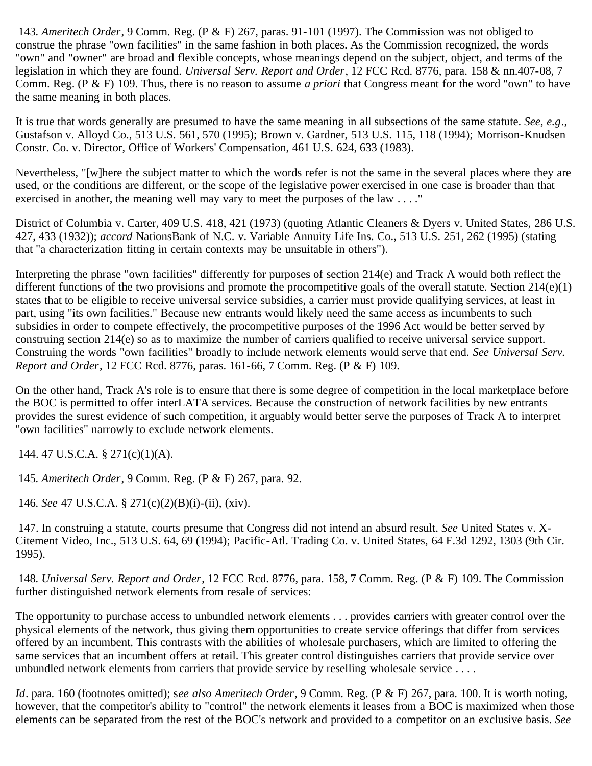<span id="page-45-0"></span>143*. Ameritech Order*, 9 Comm. Reg. (P & F) 267, paras. 91-101 (1997). The Commission was not obliged to construe the phrase "own facilities" in the same fashion in both places. As the Commission recognized, the words "own" and "owner" are broad and flexible concepts, whose meanings depend on the subject, object, and terms of the legislation in which they are found. *Universal Serv. Report and Order*, 12 FCC Rcd. 8776, para. 158 & nn.407-08, 7 Comm. Reg. (P & F) 109. Thus, there is no reason to assume *a priori* that Congress meant for the word "own" to have the same meaning in both places.

It is true that words generally are presumed to have the same meaning in all subsections of the same statute. *See, e.g*., Gustafson v. Alloyd Co., 513 U.S. 561, 570 (1995); Brown v. Gardner, 513 U.S. 115, 118 (1994); Morrison-Knudsen Constr. Co. v. Director, Office of Workers' Compensation, 461 U.S. 624, 633 (1983).

Nevertheless, "[w]here the subject matter to which the words refer is not the same in the several places where they are used, or the conditions are different, or the scope of the legislative power exercised in one case is broader than that exercised in another, the meaning well may vary to meet the purposes of the law . . . ."

District of Columbia v. Carter, 409 U.S. 418, 421 (1973) (quoting Atlantic Cleaners & Dyers v. United States, 286 U.S. 427, 433 (1932)); *accord* NationsBank of N.C. v. Variable Annuity Life Ins. Co., 513 U.S. 251, 262 (1995) (stating that "a characterization fitting in certain contexts may be unsuitable in others").

Interpreting the phrase "own facilities" differently for purposes of section 214(e) and Track A would both reflect the different functions of the two provisions and promote the procompetitive goals of the overall statute. Section 214(e)(1) states that to be eligible to receive universal service subsidies, a carrier must provide qualifying services, at least in part, using "its own facilities." Because new entrants would likely need the same access as incumbents to such subsidies in order to compete effectively, the procompetitive purposes of the 1996 Act would be better served by construing section 214(e) so as to maximize the number of carriers qualified to receive universal service support. Construing the words "own facilities" broadly to include network elements would serve that end. *See Universal Serv. Report and Order*, 12 FCC Rcd. 8776, paras. 161-66, 7 Comm. Reg. (P & F) 109.

On the other hand, Track A's role is to ensure that there is some degree of competition in the local marketplace before the BOC is permitted to offer interLATA services. Because the construction of network facilities by new entrants provides the surest evidence of such competition, it arguably would better serve the purposes of Track A to interpret "own facilities" narrowly to exclude network elements.

<span id="page-45-1"></span>144. 47 U.S.C.A. § 271(c)(1)(A).

<span id="page-45-2"></span>145*. Ameritech Order*, 9 Comm. Reg. (P & F) 267, para. 92.

<span id="page-45-3"></span>146*. See* 47 U.S.C.A. § 271(c)(2)(B)(i)-(ii), (xiv).

<span id="page-45-4"></span> 147. In construing a statute, courts presume that Congress did not intend an absurd result. *See* United States v. X-Citement Video, Inc., 513 U.S. 64, 69 (1994); Pacific-Atl. Trading Co. v. United States, 64 F.3d 1292, 1303 (9th Cir. 1995).

<span id="page-45-5"></span>148*. Universal Serv. Report and Order*, 12 FCC Rcd. 8776, para. 158, 7 Comm. Reg. (P & F) 109. The Commission further distinguished network elements from resale of services:

The opportunity to purchase access to unbundled network elements . . . provides carriers with greater control over the physical elements of the network, thus giving them opportunities to create service offerings that differ from services offered by an incumbent. This contrasts with the abilities of wholesale purchasers, which are limited to offering the same services that an incumbent offers at retail. This greater control distinguishes carriers that provide service over unbundled network elements from carriers that provide service by reselling wholesale service . . . .

*Id*. para. 160 (footnotes omitted); s*ee also Ameritech Order*, 9 Comm. Reg. (P & F) 267, para. 100. It is worth noting, however, that the competitor's ability to "control" the network elements it leases from a BOC is maximized when those elements can be separated from the rest of the BOC's network and provided to a competitor on an exclusive basis. *See*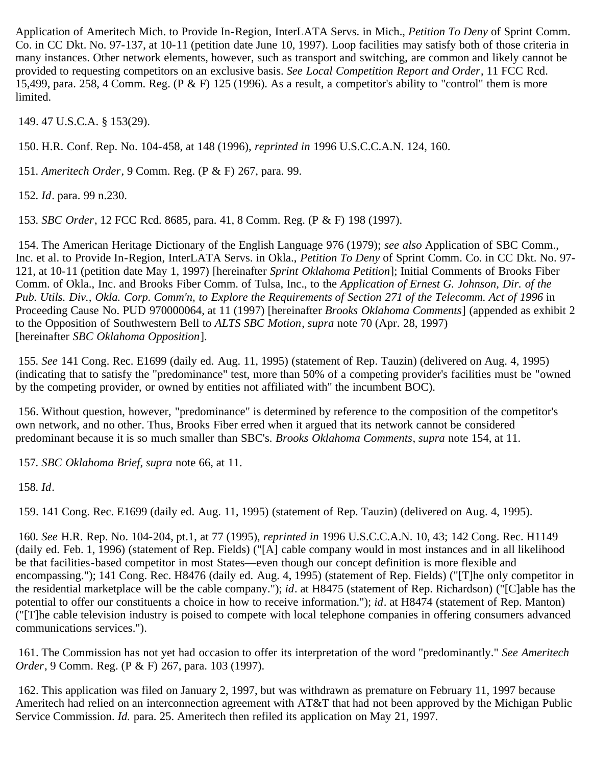Application of Ameritech Mich. to Provide In-Region, InterLATA Servs. in Mich., *Petition To Deny* of Sprint Comm. Co. in CC Dkt. No. 97-137, at 10-11 (petition date June 10, 1997). Loop facilities may satisfy both of those criteria in many instances. Other network elements, however, such as transport and switching, are common and likely cannot be provided to requesting competitors on an exclusive basis. *See Local Competition Report and Order*, 11 FCC Rcd. 15,499, para. 258, 4 Comm. Reg. (P & F) 125 (1996). As a result, a competitor's ability to "control" them is more limited.

<span id="page-46-0"></span>149. 47 U.S.C.A. § 153(29).

<span id="page-46-1"></span>150. H.R. Conf. Rep. No. 104-458, at 148 (1996), *reprinted in* 1996 U.S.C.C.A.N. 124, 160.

<span id="page-46-2"></span>151*. Ameritech Order*, 9 Comm. Reg. (P & F) 267, para. 99.

<span id="page-46-3"></span>152*. Id*. para. 99 n.230.

<span id="page-46-4"></span>153*. SBC Order*, 12 FCC Rcd. 8685, para. 41, 8 Comm. Reg. (P & F) 198 (1997).

<span id="page-46-5"></span> 154. The American Heritage Dictionary of the English Language 976 (1979); *see also* Application of SBC Comm., Inc. et al. to Provide In-Region, InterLATA Servs. in Okla., *Petition To Deny* of Sprint Comm. Co. in CC Dkt. No. 97- 121, at 10-11 (petition date May 1, 1997) [hereinafter *Sprint Oklahoma Petition*]; Initial Comments of Brooks Fiber Comm. of Okla., Inc. and Brooks Fiber Comm. of Tulsa, Inc., to the *Application of Ernest G. Johnson, Dir. of the Pub. Utils. Div., Okla. Corp. Comm'n, to Explore the Requirements of Section 271 of the Telecomm. Act of 1996* in Proceeding Cause No. PUD 970000064, at 11 (1997) [hereinafter *Brooks Oklahoma Comments*] (appended as exhibit 2 to the Opposition of Southwestern Bell to *ALTS SBC Motion*, *supra* note 70 (Apr. 28, 1997) [hereinafter *SBC Oklahoma Opposition*].

<span id="page-46-6"></span>155*. See* 141 Cong. Rec. E1699 (daily ed. Aug. 11, 1995) (statement of Rep. Tauzin) (delivered on Aug. 4, 1995) (indicating that to satisfy the "predominance" test, more than 50% of a competing provider's facilities must be "owned by the competing provider, or owned by entities not affiliated with" the incumbent BOC).

<span id="page-46-7"></span> 156. Without question, however, "predominance" is determined by reference to the composition of the competitor's own network, and no other. Thus, Brooks Fiber erred when it argued that its network cannot be considered predominant because it is so much smaller than SBC's. *Brooks Oklahoma Comments*, *supra* note 154, at 11.

<span id="page-46-8"></span>157*. SBC Oklahoma Brief*, *supra* note 66, at 11.

<span id="page-46-9"></span>158*. Id*.

159. 141 Cong. Rec. E1699 (daily ed. Aug. 11, 1995) (statement of Rep. Tauzin) (delivered on Aug. 4, 1995).

<span id="page-46-10"></span>160*. See* H.R. Rep. No. 104-204, pt.1, at 77 (1995), *reprinted in* 1996 U.S.C.C.A.N. 10, 43; 142 Cong. Rec. H1149 (daily ed. Feb. 1, 1996) (statement of Rep. Fields) ("[A] cable company would in most instances and in all likelihood be that facilities-based competitor in most States—even though our concept definition is more flexible and encompassing."); 141 Cong. Rec. H8476 (daily ed. Aug. 4, 1995) (statement of Rep. Fields) ("[T]he only competitor in the residential marketplace will be the cable company."); *id*. at H8475 (statement of Rep. Richardson) ("[C]able has the potential to offer our constituents a choice in how to receive information."); *id*. at H8474 (statement of Rep. Manton) ("[T]he cable television industry is poised to compete with local telephone companies in offering consumers advanced communications services.").

 161. The Commission has not yet had occasion to offer its interpretation of the word "predominantly." *See Ameritech Order*, 9 Comm. Reg. (P & F) 267, para. 103 (1997).

<span id="page-46-11"></span> 162. This application was filed on January 2, 1997, but was withdrawn as premature on February 11, 1997 because Ameritech had relied on an interconnection agreement with AT&T that had not been approved by the Michigan Public Service Commission. *Id.* para. 25. Ameritech then refiled its application on May 21, 1997.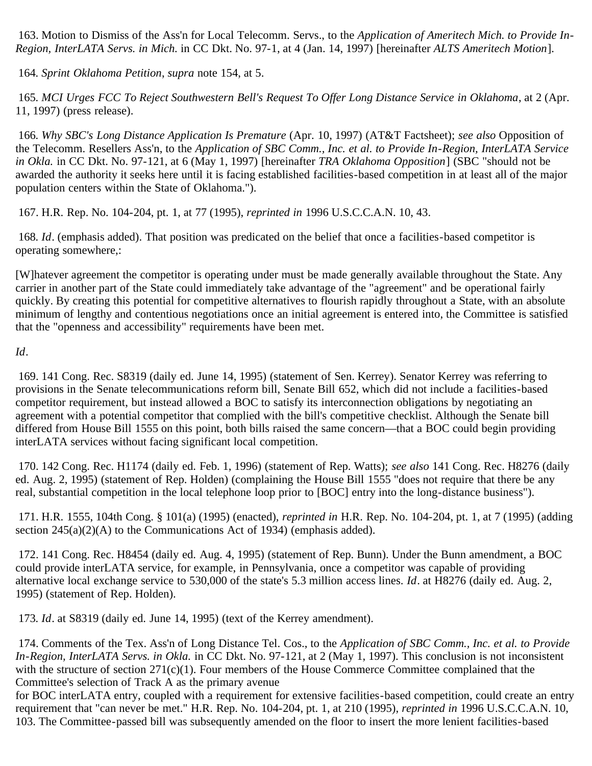<span id="page-47-0"></span> 163. Motion to Dismiss of the Ass'n for Local Telecomm. Servs., to the *Application of Ameritech Mich. to Provide In-Region, InterLATA Servs. in Mich.* in CC Dkt. No. 97-1, at 4 (Jan. 14, 1997) [hereinafter *ALTS Ameritech Motion*].

<span id="page-47-1"></span>164*. Sprint Oklahoma Petition*, *supra* note 154, at 5.

<span id="page-47-2"></span>165*. MCI Urges FCC To Reject Southwestern Bell's Request To Offer Long Distance Service in Oklahoma*, at 2 (Apr. 11, 1997) (press release).

<span id="page-47-3"></span>166*. Why SBC's Long Distance Application Is Premature* (Apr. 10, 1997) (AT&T Factsheet); *see also* Opposition of the Telecomm. Resellers Ass'n, to the *Application of SBC Comm., Inc. et al. to Provide In-Region, InterLATA Service in Okla.* in CC Dkt. No. 97-121, at 6 (May 1, 1997) [hereinafter *TRA Oklahoma Opposition*] (SBC "should not be awarded the authority it seeks here until it is facing established facilities-based competition in at least all of the major population centers within the State of Oklahoma.").

<span id="page-47-4"></span>167. H.R. Rep. No. 104-204, pt. 1, at 77 (1995), *reprinted in* 1996 U.S.C.C.A.N. 10, 43.

<span id="page-47-5"></span>168*. Id*. (emphasis added). That position was predicated on the belief that once a facilities-based competitor is operating somewhere,:

[W]hatever agreement the competitor is operating under must be made generally available throughout the State. Any carrier in another part of the State could immediately take advantage of the "agreement" and be operational fairly quickly. By creating this potential for competitive alternatives to flourish rapidly throughout a State, with an absolute minimum of lengthy and contentious negotiations once an initial agreement is entered into, the Committee is satisfied that the "openness and accessibility" requirements have been met.

*Id*.

<span id="page-47-6"></span> 169. 141 Cong. Rec. S8319 (daily ed. June 14, 1995) (statement of Sen. Kerrey). Senator Kerrey was referring to provisions in the Senate telecommunications reform bill, Senate Bill 652, which did not include a facilities-based competitor requirement, but instead allowed a BOC to satisfy its interconnection obligations by negotiating an agreement with a potential competitor that complied with the bill's competitive checklist. Although the Senate bill differed from House Bill 1555 on this point, both bills raised the same concern—that a BOC could begin providing interLATA services without facing significant local competition.

<span id="page-47-7"></span> 170. 142 Cong. Rec. H1174 (daily ed. Feb. 1, 1996) (statement of Rep. Watts); *see also* 141 Cong. Rec. H8276 (daily ed. Aug. 2, 1995) (statement of Rep. Holden) (complaining the House Bill 1555 "does not require that there be any real, substantial competition in the local telephone loop prior to [BOC] entry into the long-distance business").

<span id="page-47-8"></span> 171. H.R. 1555, 104th Cong. § 101(a) (1995) (enacted), *reprinted in* H.R. Rep. No. 104-204, pt. 1, at 7 (1995) (adding section  $245(a)(2)(A)$  to the Communications Act of 1934) (emphasis added).

<span id="page-47-9"></span> 172. 141 Cong. Rec. H8454 (daily ed. Aug. 4, 1995) (statement of Rep. Bunn). Under the Bunn amendment, a BOC could provide interLATA service, for example, in Pennsylvania, once a competitor was capable of providing alternative local exchange service to 530,000 of the state's 5.3 million access lines. *Id*. at H8276 (daily ed. Aug. 2, 1995) (statement of Rep. Holden).

<span id="page-47-10"></span>173*. Id*. at S8319 (daily ed. June 14, 1995) (text of the Kerrey amendment).

<span id="page-47-11"></span> 174. Comments of the Tex. Ass'n of Long Distance Tel. Cos., to the *Application of SBC Comm., Inc. et al. to Provide In-Region, InterLATA Servs. in Okla.* in CC Dkt. No. 97-121, at 2 (May 1, 1997). This conclusion is not inconsistent with the structure of section 271(c)(1). Four members of the House Commerce Committee complained that the Committee's selection of Track A as the primary avenue

for BOC interLATA entry, coupled with a requirement for extensive facilities-based competition, could create an entry requirement that "can never be met." H.R. Rep. No. 104-204, pt. 1, at 210 (1995), *reprinted in* 1996 U.S.C.C.A.N. 10, 103. The Committee-passed bill was subsequently amended on the floor to insert the more lenient facilities-based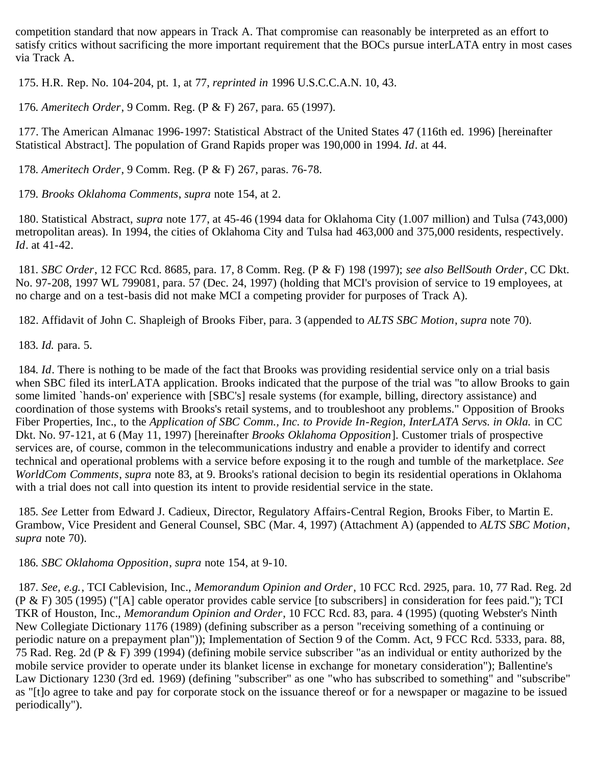competition standard that now appears in Track A. That compromise can reasonably be interpreted as an effort to satisfy critics without sacrificing the more important requirement that the BOCs pursue interLATA entry in most cases via Track A.

<span id="page-48-0"></span>175. H.R. Rep. No. 104-204, pt. 1, at 77, *reprinted in* 1996 U.S.C.C.A.N. 10, 43.

<span id="page-48-1"></span>176*. Ameritech Order*, 9 Comm. Reg. (P & F) 267, para. 65 (1997).

<span id="page-48-2"></span> 177. The American Almanac 1996-1997: Statistical Abstract of the United States 47 (116th ed. 1996) [hereinafter Statistical Abstract]. The population of Grand Rapids proper was 190,000 in 1994. *Id*. at 44.

<span id="page-48-3"></span>178*. Ameritech Order*, 9 Comm. Reg. (P & F) 267, paras. 76-78.

<span id="page-48-4"></span>179*. Brooks Oklahoma Comments*, *supra* note 154, at 2.

<span id="page-48-5"></span> 180. Statistical Abstract, *supra* note 177, at 45-46 (1994 data for Oklahoma City (1.007 million) and Tulsa (743,000) metropolitan areas). In 1994, the cities of Oklahoma City and Tulsa had 463,000 and 375,000 residents, respectively. *Id*. at 41-42.

<span id="page-48-6"></span>181*. SBC Order*, 12 FCC Rcd. 8685, para. 17, 8 Comm. Reg. (P & F) 198 (1997); *see also BellSouth Order*, CC Dkt. No. 97-208, 1997 WL 799081, para. 57 (Dec. 24, 1997) (holding that MCI's provision of service to 19 employees, at no charge and on a test-basis did not make MCI a competing provider for purposes of Track A).

<span id="page-48-7"></span>182. Affidavit of John C. Shapleigh of Brooks Fiber, para. 3 (appended to *ALTS SBC Motion*, *supra* note 70).

<span id="page-48-8"></span>183*. Id.* para*.* 5.

<span id="page-48-9"></span>184*. Id*. There is nothing to be made of the fact that Brooks was providing residential service only on a trial basis when SBC filed its interLATA application. Brooks indicated that the purpose of the trial was "to allow Brooks to gain some limited `hands-on' experience with [SBC's] resale systems (for example, billing, directory assistance) and coordination of those systems with Brooks's retail systems, and to troubleshoot any problems." Opposition of Brooks Fiber Properties, Inc., to the *Application of SBC Comm., Inc. to Provide In-Region, InterLATA Servs. in Okla.* in CC Dkt. No. 97-121, at 6 (May 11, 1997) [hereinafter *Brooks Oklahoma Opposition*]. Customer trials of prospective services are, of course, common in the telecommunications industry and enable a provider to identify and correct technical and operational problems with a service before exposing it to the rough and tumble of the marketplace. *See WorldCom Comments*, *supra* note 83, at 9. Brooks's rational decision to begin its residential operations in Oklahoma with a trial does not call into question its intent to provide residential service in the state.

<span id="page-48-10"></span>185*. See* Letter from Edward J. Cadieux, Director, Regulatory Affairs-Central Region, Brooks Fiber, to Martin E. Grambow, Vice President and General Counsel, SBC (Mar. 4, 1997) (Attachment A) (appended to *ALTS SBC Motion*, *supra* note 70).

<span id="page-48-11"></span>186*. SBC Oklahoma Opposition*, *supra* note 154, at 9-10.

<span id="page-48-12"></span>187*. See, e.g.*, TCI Cablevision, Inc., *Memorandum Opinion and Order*, 10 FCC Rcd. 2925, para. 10, 77 Rad. Reg. 2d (P & F) 305 (1995) ("[A] cable operator provides cable service [to subscribers] in consideration for fees paid."); TCI TKR of Houston, Inc., *Memorandum Opinion and Order*, 10 FCC Rcd. 83, para. 4 (1995) (quoting Webster's Ninth New Collegiate Dictionary 1176 (1989) (defining subscriber as a person "receiving something of a continuing or periodic nature on a prepayment plan")); Implementation of Section 9 of the Comm. Act, 9 FCC Rcd. 5333, para. 88, 75 Rad. Reg. 2d (P & F) 399 (1994) (defining mobile service subscriber "as an individual or entity authorized by the mobile service provider to operate under its blanket license in exchange for monetary consideration"); Ballentine's Law Dictionary 1230 (3rd ed. 1969) (defining "subscriber" as one "who has subscribed to something" and "subscribe" as "[t]o agree to take and pay for corporate stock on the issuance thereof or for a newspaper or magazine to be issued periodically").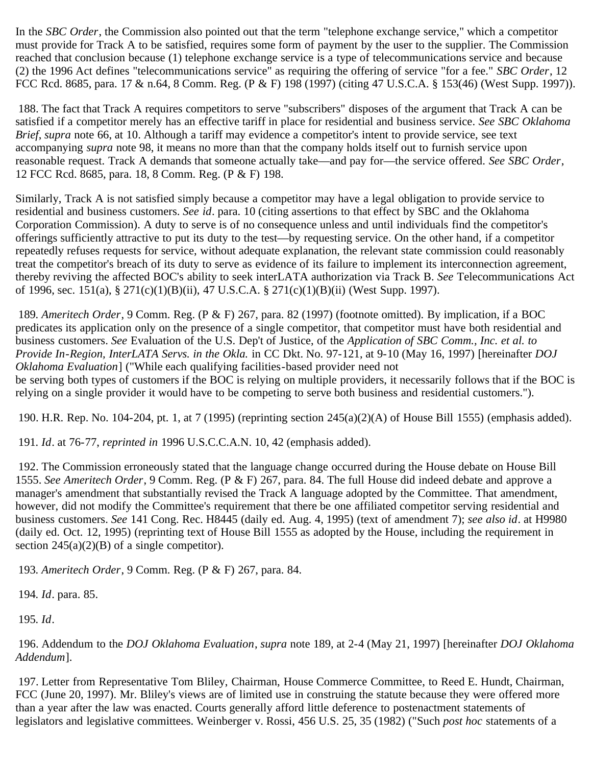In the *SBC Order*, the Commission also pointed out that the term "telephone exchange service," which a competitor must provide for Track A to be satisfied, requires some form of payment by the user to the supplier. The Commission reached that conclusion because (1) telephone exchange service is a type of telecommunications service and because (2) the 1996 Act defines "telecommunications service" as requiring the offering of service "for a fee." *SBC Order*, 12 FCC Rcd. 8685, para. 17 & n.64, 8 Comm. Reg. (P & F) 198 (1997) (citing 47 U.S.C.A. § 153(46) (West Supp. 1997)).

<span id="page-49-0"></span> 188. The fact that Track A requires competitors to serve "subscribers" disposes of the argument that Track A can be satisfied if a competitor merely has an effective tariff in place for residential and business service. *See SBC Oklahoma Brief*, *supra* note 66, at 10. Although a tariff may evidence a competitor's intent to provide service, see text accompanying *supra* note 98, it means no more than that the company holds itself out to furnish service upon reasonable request. Track A demands that someone actually take—and pay for—the service offered. *See SBC Order*, 12 FCC Rcd. 8685, para. 18, 8 Comm. Reg. (P & F) 198.

Similarly, Track A is not satisfied simply because a competitor may have a legal obligation to provide service to residential and business customers. *See id*. para. 10 (citing assertions to that effect by SBC and the Oklahoma Corporation Commission). A duty to serve is of no consequence unless and until individuals find the competitor's offerings sufficiently attractive to put its duty to the test—by requesting service. On the other hand, if a competitor repeatedly refuses requests for service, without adequate explanation, the relevant state commission could reasonably treat the competitor's breach of its duty to serve as evidence of its failure to implement its interconnection agreement, thereby reviving the affected BOC's ability to seek interLATA authorization via Track B. *See* Telecommunications Act of 1996, sec. 151(a), § 271(c)(1)(B)(ii), 47 U.S.C.A. § 271(c)(1)(B)(ii) (West Supp. 1997).

<span id="page-49-1"></span>189*. Ameritech Order*, 9 Comm. Reg. (P & F) 267, para. 82 (1997) (footnote omitted). By implication, if a BOC predicates its application only on the presence of a single competitor, that competitor must have both residential and business customers. *See* Evaluation of the U.S. Dep't of Justice, of the *Application of SBC Comm., Inc. et al. to Provide In-Region, InterLATA Servs. in the Okla.* in CC Dkt. No. 97-121, at 9-10 (May 16, 1997) [hereinafter *DOJ Oklahoma Evaluation*] ("While each qualifying facilities-based provider need not be serving both types of customers if the BOC is relying on multiple providers, it necessarily follows that if the BOC is relying on a single provider it would have to be competing to serve both business and residential customers.").

<span id="page-49-2"></span>190. H.R. Rep. No. 104-204, pt. 1, at 7 (1995) (reprinting section 245(a)(2)(A) of House Bill 1555) (emphasis added).

<span id="page-49-3"></span>191*. Id*. at 76-77, *reprinted in* 1996 U.S.C.C.A.N. 10, 42 (emphasis added).

<span id="page-49-4"></span> 192. The Commission erroneously stated that the language change occurred during the House debate on House Bill 1555. *See Ameritech Order*, 9 Comm. Reg. (P & F) 267, para. 84. The full House did indeed debate and approve a manager's amendment that substantially revised the Track A language adopted by the Committee. That amendment, however, did not modify the Committee's requirement that there be one affiliated competitor serving residential and business customers. *See* 141 Cong. Rec. H8445 (daily ed. Aug. 4, 1995) (text of amendment 7); *see also id*. at H9980 (daily ed. Oct. 12, 1995) (reprinting text of House Bill 1555 as adopted by the House, including the requirement in section  $245(a)(2)(B)$  of a single competitor).

<span id="page-49-5"></span>193*. Ameritech Order*, 9 Comm. Reg. (P & F) 267, para. 84.

<span id="page-49-6"></span>194*. Id*. para. 85.

<span id="page-49-7"></span>195*. Id*.

<span id="page-49-8"></span> 196. Addendum to the *DOJ Oklahoma Evaluation*, *supra* note 189, at 2-4 (May 21, 1997) [hereinafter *DOJ Oklahoma Addendum*].

<span id="page-49-9"></span> 197. Letter from Representative Tom Bliley, Chairman, House Commerce Committee, to Reed E. Hundt, Chairman, FCC (June 20, 1997). Mr. Bliley's views are of limited use in construing the statute because they were offered more than a year after the law was enacted. Courts generally afford little deference to postenactment statements of legislators and legislative committees. Weinberger v. Rossi, 456 U.S. 25, 35 (1982) ("Such *post hoc* statements of a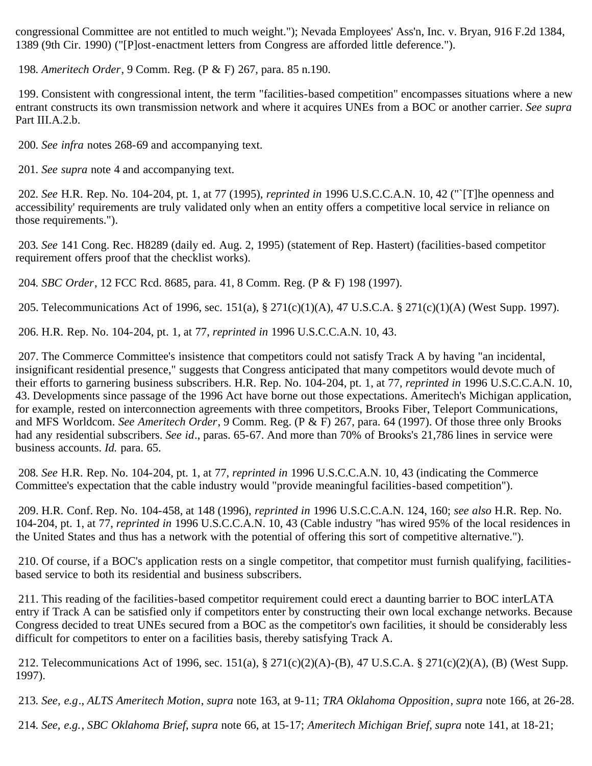congressional Committee are not entitled to much weight."); Nevada Employees' Ass'n, Inc. v. Bryan, 916 F.2d 1384, 1389 (9th Cir. 1990) ("[P]ost-enactment letters from Congress are afforded little deference.").

<span id="page-50-0"></span>198*. Ameritech Order*, 9 Comm. Reg. (P & F) 267, para. 85 n.190.

<span id="page-50-1"></span> 199. Consistent with congressional intent, the term "facilities-based competition" encompasses situations where a new entrant constructs its own transmission network and where it acquires UNEs from a BOC or another carrier. *See supra* Part III.A.2.b.

<span id="page-50-2"></span>200*. See infra* notes 268-69 and accompanying text.

<span id="page-50-3"></span>201*. See supra* note 4 and accompanying text.

<span id="page-50-4"></span>202*. See* H.R. Rep. No. 104-204, pt. 1, at 77 (1995), *reprinted in* 1996 U.S.C.C.A.N. 10, 42 ("`[T]he openness and accessibility' requirements are truly validated only when an entity offers a competitive local service in reliance on those requirements.").

<span id="page-50-5"></span>203*. See* 141 Cong. Rec. H8289 (daily ed. Aug. 2, 1995) (statement of Rep. Hastert) (facilities-based competitor requirement offers proof that the checklist works).

<span id="page-50-6"></span>204*. SBC Order*, 12 FCC Rcd. 8685, para. 41, 8 Comm. Reg. (P & F) 198 (1997).

<span id="page-50-7"></span>205. Telecommunications Act of 1996, sec. 151(a), § 271(c)(1)(A), 47 U.S.C.A. § 271(c)(1)(A) (West Supp. 1997).

<span id="page-50-8"></span>206. H.R. Rep. No. 104-204, pt. 1, at 77, *reprinted in* 1996 U.S.C.C.A.N. 10, 43.

<span id="page-50-9"></span> 207. The Commerce Committee's insistence that competitors could not satisfy Track A by having "an incidental, insignificant residential presence," suggests that Congress anticipated that many competitors would devote much of their efforts to garnering business subscribers. H.R. Rep. No. 104-204, pt. 1, at 77, *reprinted in* 1996 U.S.C.C.A.N. 10, 43. Developments since passage of the 1996 Act have borne out those expectations. Ameritech's Michigan application, for example, rested on interconnection agreements with three competitors, Brooks Fiber, Teleport Communications, and MFS Worldcom. *See Ameritech Order*, 9 Comm. Reg. (P & F) 267, para. 64 (1997). Of those three only Brooks had any residential subscribers. *See id*., paras. 65-67. And more than 70% of Brooks's 21,786 lines in service were business accounts. *Id.* para*.* 65.

<span id="page-50-10"></span>208*. See* H.R. Rep. No. 104-204, pt. 1, at 77, *reprinted in* 1996 U.S.C.C.A.N. 10, 43 (indicating the Commerce Committee's expectation that the cable industry would "provide meaningful facilities-based competition").

<span id="page-50-11"></span> 209. H.R. Conf. Rep. No. 104-458, at 148 (1996), *reprinted in* 1996 U.S.C.C.A.N. 124, 160; *see also* H.R. Rep. No. 104-204, pt. 1, at 77, *reprinted in* 1996 U.S.C.C.A.N. 10, 43 (Cable industry "has wired 95% of the local residences in the United States and thus has a network with the potential of offering this sort of competitive alternative.").

<span id="page-50-12"></span> 210. Of course, if a BOC's application rests on a single competitor, that competitor must furnish qualifying, facilitiesbased service to both its residential and business subscribers.

<span id="page-50-13"></span> 211. This reading of the facilities-based competitor requirement could erect a daunting barrier to BOC interLATA entry if Track A can be satisfied only if competitors enter by constructing their own local exchange networks. Because Congress decided to treat UNEs secured from a BOC as the competitor's own facilities, it should be considerably less difficult for competitors to enter on a facilities basis, thereby satisfying Track A.

<span id="page-50-14"></span> 212. Telecommunications Act of 1996, sec. 151(a), § 271(c)(2)(A)-(B), 47 U.S.C.A. § 271(c)(2)(A), (B) (West Supp. 1997).

<span id="page-50-15"></span>213*. See, e.g*., *ALTS Ameritech Motion*, *supra* note 163, at 9-11; *TRA Oklahoma Opposition*, *supra* note 166, at 26-28.

<span id="page-50-16"></span>214*. See, e.g.*, *SBC Oklahoma Brief*, *supra* note 66, at 15-17; *Ameritech Michigan Brief*, *supra* note 141, at 18-21;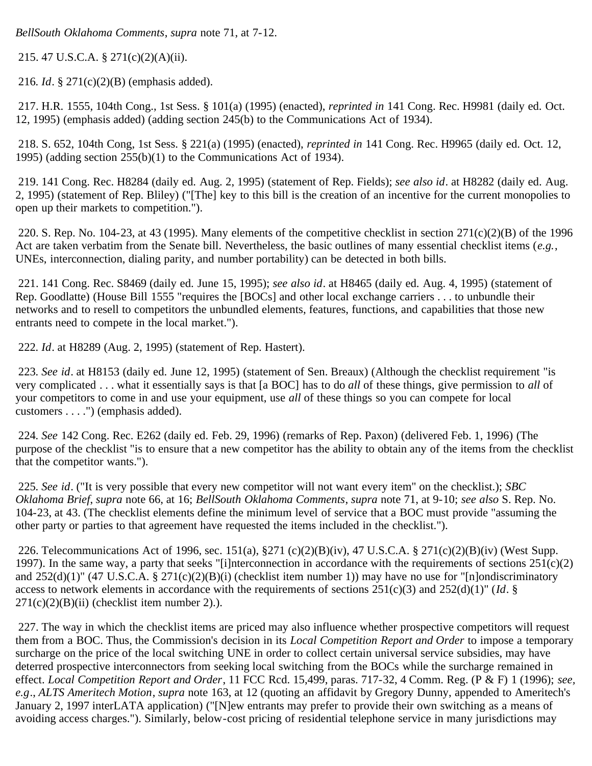*BellSouth Oklahoma Comments*, *supra* note 71, at 7-12.

<span id="page-51-0"></span>215. 47 U.S.C.A. § 271(c)(2)(A)(ii).

<span id="page-51-1"></span>216*. Id*. § 271(c)(2)(B) (emphasis added).

<span id="page-51-2"></span> 217. H.R. 1555, 104th Cong., 1st Sess. § 101(a) (1995) (enacted), *reprinted in* 141 Cong. Rec. H9981 (daily ed. Oct. 12, 1995) (emphasis added) (adding section 245(b) to the Communications Act of 1934).

<span id="page-51-3"></span> 218. S. 652, 104th Cong, 1st Sess. § 221(a) (1995) (enacted), *reprinted in* 141 Cong. Rec. H9965 (daily ed. Oct. 12, 1995) (adding section 255(b)(1) to the Communications Act of 1934).

<span id="page-51-4"></span> 219. 141 Cong. Rec. H8284 (daily ed. Aug. 2, 1995) (statement of Rep. Fields); *see also id*. at H8282 (daily ed. Aug. 2, 1995) (statement of Rep. Bliley) ("[The] key to this bill is the creation of an incentive for the current monopolies to open up their markets to competition.").

<span id="page-51-5"></span> 220. S. Rep. No. 104-23, at 43 (1995). Many elements of the competitive checklist in section 271(c)(2)(B) of the 1996 Act are taken verbatim from the Senate bill. Nevertheless, the basic outlines of many essential checklist items (*e.g.*, UNEs, interconnection, dialing parity, and number portability) can be detected in both bills.

<span id="page-51-6"></span> 221. 141 Cong. Rec. S8469 (daily ed. June 15, 1995); *see also id*. at H8465 (daily ed. Aug. 4, 1995) (statement of Rep. Goodlatte) (House Bill 1555 "requires the [BOCs] and other local exchange carriers . . . to unbundle their networks and to resell to competitors the unbundled elements, features, functions, and capabilities that those new entrants need to compete in the local market.").

<span id="page-51-7"></span>222*. Id*. at H8289 (Aug. 2, 1995) (statement of Rep. Hastert).

<span id="page-51-8"></span>223*. See id*. at H8153 (daily ed. June 12, 1995) (statement of Sen. Breaux) (Although the checklist requirement "is very complicated . . . what it essentially says is that [a BOC] has to do *all* of these things, give permission to *all* of your competitors to come in and use your equipment, use *all* of these things so you can compete for local customers . . . .") (emphasis added).

<span id="page-51-9"></span>224*. See* 142 Cong. Rec. E262 (daily ed. Feb. 29, 1996) (remarks of Rep. Paxon) (delivered Feb. 1, 1996) (The purpose of the checklist "is to ensure that a new competitor has the ability to obtain any of the items from the checklist that the competitor wants.").

<span id="page-51-10"></span>225*. See id*. ("It is very possible that every new competitor will not want every item" on the checklist.); *SBC Oklahoma Brief*, *supra* note 66, at 16; *BellSouth Oklahoma Comments*, *supra* note 71, at 9-10; *see also* S. Rep. No. 104-23, at 43. (The checklist elements define the minimum level of service that a BOC must provide "assuming the other party or parties to that agreement have requested the items included in the checklist.").

<span id="page-51-11"></span> 226. Telecommunications Act of 1996, sec. 151(a), §271 (c)(2)(B)(iv), 47 U.S.C.A. § 271(c)(2)(B)(iv) (West Supp. 1997). In the same way, a party that seeks "[i]nterconnection in accordance with the requirements of sections  $251(c)(2)$ and  $252(d)(1)$ " (47 U.S.C.A. § 271(c)(2)(B)(i) (checklist item number 1)) may have no use for "[n]ondiscriminatory access to network elements in accordance with the requirements of sections 251(c)(3) and 252(d)(1)" (*Id*. §  $271(c)(2)(B)(ii)$  (checklist item number 2).).

<span id="page-51-12"></span> 227. The way in which the checklist items are priced may also influence whether prospective competitors will request them from a BOC. Thus, the Commission's decision in its *Local Competition Report and Order* to impose a temporary surcharge on the price of the local switching UNE in order to collect certain universal service subsidies, may have deterred prospective interconnectors from seeking local switching from the BOCs while the surcharge remained in effect. *Local Competition Report and Order*, 11 FCC Rcd. 15,499, paras. 717-32, 4 Comm. Reg. (P & F) 1 (1996); *see, e.g*., *ALTS Ameritech Motion*, *supra* note 163, at 12 (quoting an affidavit by Gregory Dunny, appended to Ameritech's January 2, 1997 interLATA application) ("[N]ew entrants may prefer to provide their own switching as a means of avoiding access charges."). Similarly, below-cost pricing of residential telephone service in many jurisdictions may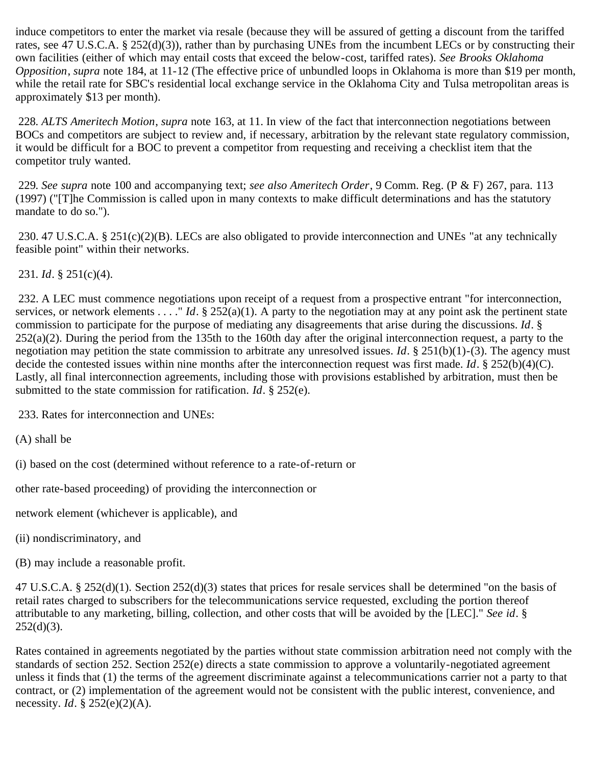induce competitors to enter the market via resale (because they will be assured of getting a discount from the tariffed rates, see 47 U.S.C.A. § 252(d)(3)), rather than by purchasing UNEs from the incumbent LECs or by constructing their own facilities (either of which may entail costs that exceed the below-cost, tariffed rates). *See Brooks Oklahoma Opposition*, *supra* note 184, at 11-12 (The effective price of unbundled loops in Oklahoma is more than \$19 per month, while the retail rate for SBC's residential local exchange service in the Oklahoma City and Tulsa metropolitan areas is approximately \$13 per month).

<span id="page-52-0"></span>228*. ALTS Ameritech Motion*, *supra* note 163, at 11. In view of the fact that interconnection negotiations between BOCs and competitors are subject to review and, if necessary, arbitration by the relevant state regulatory commission, it would be difficult for a BOC to prevent a competitor from requesting and receiving a checklist item that the competitor truly wanted.

<span id="page-52-1"></span>229*. See supra* note 100 and accompanying text; *see also Ameritech Order*, 9 Comm. Reg. (P & F) 267, para. 113 (1997) ("[T]he Commission is called upon in many contexts to make difficult determinations and has the statutory mandate to do so.").

<span id="page-52-2"></span> 230. 47 U.S.C.A. § 251(c)(2)(B). LECs are also obligated to provide interconnection and UNEs "at any technically feasible point" within their networks.

<span id="page-52-3"></span>231*. Id*. § 251(c)(4).

<span id="page-52-4"></span> 232. A LEC must commence negotiations upon receipt of a request from a prospective entrant "for interconnection, services, or network elements . . . . " *Id*. § 252(a)(1). A party to the negotiation may at any point ask the pertinent state commission to participate for the purpose of mediating any disagreements that arise during the discussions. *Id*. §  $252(a)(2)$ . During the period from the 135th to the 160th day after the original interconnection request, a party to the negotiation may petition the state commission to arbitrate any unresolved issues. *Id*. § 251(b)(1)-(3). The agency must decide the contested issues within nine months after the interconnection request was first made. *Id*. § 252(b)(4)(C). Lastly, all final interconnection agreements, including those with provisions established by arbitration, must then be submitted to the state commission for ratification. *Id*. § 252(e).

<span id="page-52-5"></span>233. Rates for interconnection and UNEs:

(A) shall be

(i) based on the cost (determined without reference to a rate-of-return or

other rate-based proceeding) of providing the interconnection or

network element (whichever is applicable), and

- (ii) nondiscriminatory, and
- (B) may include a reasonable profit.

47 U.S.C.A. § 252(d)(1). Section 252(d)(3) states that prices for resale services shall be determined "on the basis of retail rates charged to subscribers for the telecommunications service requested, excluding the portion thereof attributable to any marketing, billing, collection, and other costs that will be avoided by the [LEC]." *See id*. §  $252(d)(3)$ .

Rates contained in agreements negotiated by the parties without state commission arbitration need not comply with the standards of section 252. Section 252(e) directs a state commission to approve a voluntarily-negotiated agreement unless it finds that (1) the terms of the agreement discriminate against a telecommunications carrier not a party to that contract, or (2) implementation of the agreement would not be consistent with the public interest, convenience, and necessity. *Id*. § 252(e)(2)(A).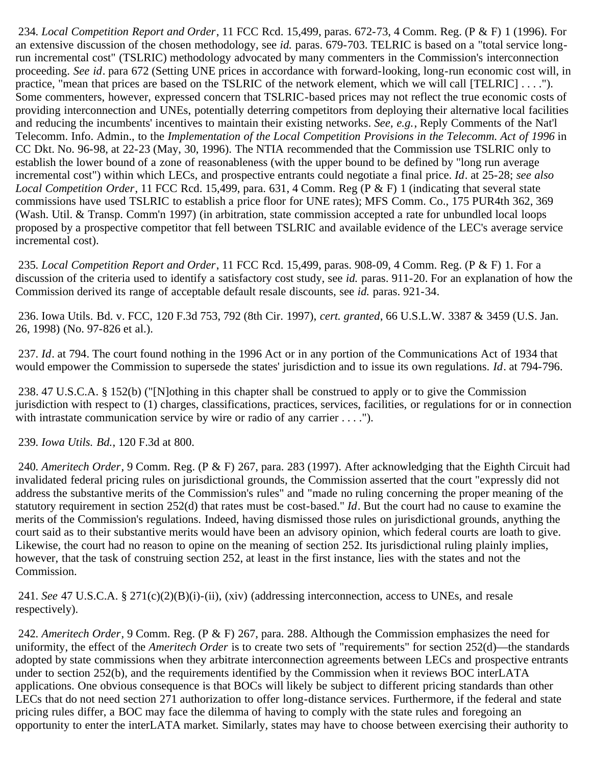<span id="page-53-0"></span>234*. Local Competition Report and Order*, 11 FCC Rcd. 15,499, paras. 672-73, 4 Comm. Reg. (P & F) 1 (1996). For an extensive discussion of the chosen methodology, see *id.* paras. 679-703. TELRIC is based on a "total service longrun incremental cost" (TSLRIC) methodology advocated by many commenters in the Commission's interconnection proceeding. *See id*. para 672 (Setting UNE prices in accordance with forward-looking, long-run economic cost will, in practice, "mean that prices are based on the TSLRIC of the network element, which we will call [TELRIC] . . . ."). Some commenters, however, expressed concern that TSLRIC-based prices may not reflect the true economic costs of providing interconnection and UNEs, potentially deterring competitors from deploying their alternative local facilities and reducing the incumbents' incentives to maintain their existing networks. *See, e.g.*, Reply Comments of the Nat'l Telecomm. Info. Admin., to the *Implementation of the Local Competition Provisions in the Telecomm. Act of 1996* in CC Dkt. No. 96-98, at 22-23 (May, 30, 1996). The NTIA recommended that the Commission use TSLRIC only to establish the lower bound of a zone of reasonableness (with the upper bound to be defined by "long run average incremental cost") within which LECs, and prospective entrants could negotiate a final price. *Id*. at 25-28; *see also Local Competition Order*, 11 FCC Rcd. 15,499, para. 631, 4 Comm. Reg (P & F) 1 (indicating that several state commissions have used TSLRIC to establish a price floor for UNE rates); MFS Comm. Co., 175 PUR4th 362, 369 (Wash. Util. & Transp. Comm'n 1997) (in arbitration, state commission accepted a rate for unbundled local loops proposed by a prospective competitor that fell between TSLRIC and available evidence of the LEC's average service incremental cost).

<span id="page-53-1"></span>235*. Local Competition Report and Order*, 11 FCC Rcd. 15,499, paras. 908-09, 4 Comm. Reg. (P & F) 1. For a discussion of the criteria used to identify a satisfactory cost study, see *id.* paras. 911-20. For an explanation of how the Commission derived its range of acceptable default resale discounts, see *id.* paras. 921-34.

<span id="page-53-2"></span> 236. Iowa Utils. Bd. v. FCC, 120 F.3d 753, 792 (8th Cir. 1997), *cert. granted*, 66 U.S.L.W. 3387 & 3459 (U.S. Jan. 26, 1998) (No. 97-826 et al.).

<span id="page-53-3"></span>237*. Id*. at 794. The court found nothing in the 1996 Act or in any portion of the Communications Act of 1934 that would empower the Commission to supersede the states' jurisdiction and to issue its own regulations. *Id*. at 794-796.

<span id="page-53-4"></span> 238. 47 U.S.C.A. § 152(b) ("[N]othing in this chapter shall be construed to apply or to give the Commission jurisdiction with respect to (1) charges, classifications, practices, services, facilities, or regulations for or in connection with intrastate communication service by wire or radio of any carrier . . . . ").

<span id="page-53-5"></span>239*. Iowa Utils. Bd.*, 120 F.3d at 800.

<span id="page-53-6"></span>240*. Ameritech Order*, 9 Comm. Reg. (P & F) 267, para. 283 (1997). After acknowledging that the Eighth Circuit had invalidated federal pricing rules on jurisdictional grounds, the Commission asserted that the court "expressly did not address the substantive merits of the Commission's rules" and "made no ruling concerning the proper meaning of the statutory requirement in section 252(d) that rates must be cost-based." *Id*. But the court had no cause to examine the merits of the Commission's regulations. Indeed, having dismissed those rules on jurisdictional grounds, anything the court said as to their substantive merits would have been an advisory opinion, which federal courts are loath to give. Likewise, the court had no reason to opine on the meaning of section 252. Its jurisdictional ruling plainly implies, however, that the task of construing section 252, at least in the first instance, lies with the states and not the Commission.

<span id="page-53-7"></span>241*. See* 47 U.S.C.A. § 271(c)(2)(B)(i)-(ii), (xiv) (addressing interconnection, access to UNEs, and resale respectively).

<span id="page-53-8"></span>242*. Ameritech Order*, 9 Comm. Reg. (P & F) 267, para. 288. Although the Commission emphasizes the need for uniformity, the effect of the *Ameritech Order* is to create two sets of "requirements" for section 252(d)—the standards adopted by state commissions when they arbitrate interconnection agreements between LECs and prospective entrants under to section 252(b), and the requirements identified by the Commission when it reviews BOC interLATA applications. One obvious consequence is that BOCs will likely be subject to different pricing standards than other LECs that do not need section 271 authorization to offer long-distance services. Furthermore, if the federal and state pricing rules differ, a BOC may face the dilemma of having to comply with the state rules and foregoing an opportunity to enter the interLATA market. Similarly, states may have to choose between exercising their authority to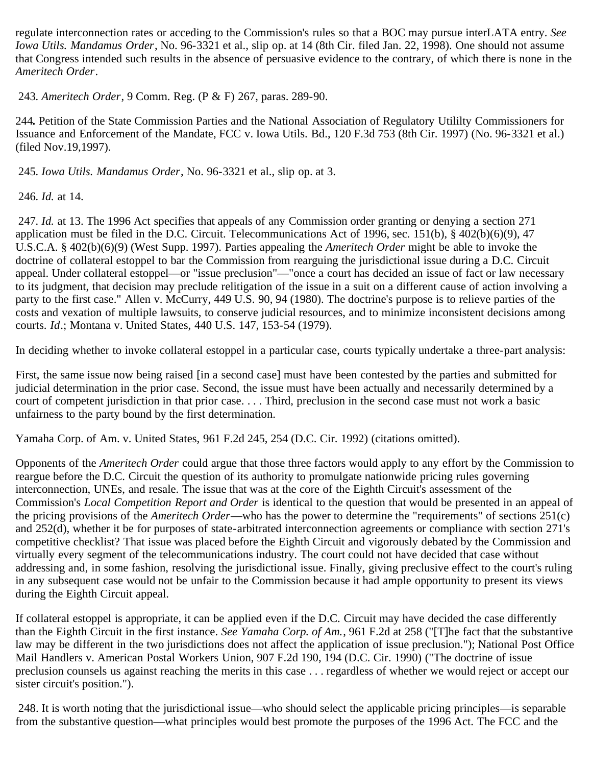regulate interconnection rates or acceding to the Commission's rules so that a BOC may pursue interLATA entry. *See Iowa Utils. Mandamus Order*, No. 96-3321 et al., slip op. at 14 (8th Cir. filed Jan. 22, 1998). One should not assume that Congress intended such results in the absence of persuasive evidence to the contrary, of which there is none in the *Ameritech Order*.

<span id="page-54-0"></span>243*. Ameritech Order*, 9 Comm. Reg. (P & F) 267, paras. 289-90.

244*.* Petition of the State Commission Parties and the National Association of Regulatory Utililty Commissioners for Issuance and Enforcement of the Mandate, FCC v. Iowa Utils. Bd., 120 F.3d 753 (8th Cir. 1997) (No. 96-3321 et al.) (filed Nov.19,1997).

<span id="page-54-1"></span>245*. Iowa Utils. Mandamus Order*, No. 96-3321 et al., slip op. at 3.

<span id="page-54-2"></span>246*. Id.* at 14.

<span id="page-54-3"></span>247*. Id.* at 13. The 1996 Act specifies that appeals of any Commission order granting or denying a section 271 application must be filed in the D.C. Circuit. Telecommunications Act of 1996, sec. 151(b), § 402(b)(6)(9), 47 U.S.C.A. § 402(b)(6)(9) (West Supp. 1997). Parties appealing the *Ameritech Order* might be able to invoke the doctrine of collateral estoppel to bar the Commission from rearguing the jurisdictional issue during a D.C. Circuit appeal. Under collateral estoppel—or "issue preclusion"—"once a court has decided an issue of fact or law necessary to its judgment, that decision may preclude relitigation of the issue in a suit on a different cause of action involving a party to the first case." Allen v. McCurry, 449 U.S. 90, 94 (1980). The doctrine's purpose is to relieve parties of the costs and vexation of multiple lawsuits, to conserve judicial resources, and to minimize inconsistent decisions among courts. *Id*.; Montana v. United States, 440 U.S. 147, 153-54 (1979).

In deciding whether to invoke collateral estoppel in a particular case, courts typically undertake a three-part analysis:

First, the same issue now being raised [in a second case] must have been contested by the parties and submitted for judicial determination in the prior case. Second, the issue must have been actually and necessarily determined by a court of competent jurisdiction in that prior case. . . . Third, preclusion in the second case must not work a basic unfairness to the party bound by the first determination.

Yamaha Corp. of Am. v. United States, 961 F.2d 245, 254 (D.C. Cir. 1992) (citations omitted).

Opponents of the *Ameritech Order* could argue that those three factors would apply to any effort by the Commission to reargue before the D.C. Circuit the question of its authority to promulgate nationwide pricing rules governing interconnection, UNEs, and resale. The issue that was at the core of the Eighth Circuit's assessment of the Commission's *Local Competition Report and Order* is identical to the question that would be presented in an appeal of the pricing provisions of the *Ameritech Order*—who has the power to determine the "requirements" of sections 251(c) and 252(d), whether it be for purposes of state-arbitrated interconnection agreements or compliance with section 271's competitive checklist? That issue was placed before the Eighth Circuit and vigorously debated by the Commission and virtually every segment of the telecommunications industry. The court could not have decided that case without addressing and, in some fashion, resolving the jurisdictional issue. Finally, giving preclusive effect to the court's ruling in any subsequent case would not be unfair to the Commission because it had ample opportunity to present its views during the Eighth Circuit appeal.

If collateral estoppel is appropriate, it can be applied even if the D.C. Circuit may have decided the case differently than the Eighth Circuit in the first instance. *See Yamaha Corp. of Am.*, 961 F.2d at 258 ("[T]he fact that the substantive law may be different in the two jurisdictions does not affect the application of issue preclusion."); National Post Office Mail Handlers v. American Postal Workers Union, 907 F.2d 190, 194 (D.C. Cir. 1990) ("The doctrine of issue preclusion counsels us against reaching the merits in this case . . . regardless of whether we would reject or accept our sister circuit's position.").

<span id="page-54-4"></span> 248. It is worth noting that the jurisdictional issue—who should select the applicable pricing principles—is separable from the substantive question—what principles would best promote the purposes of the 1996 Act. The FCC and the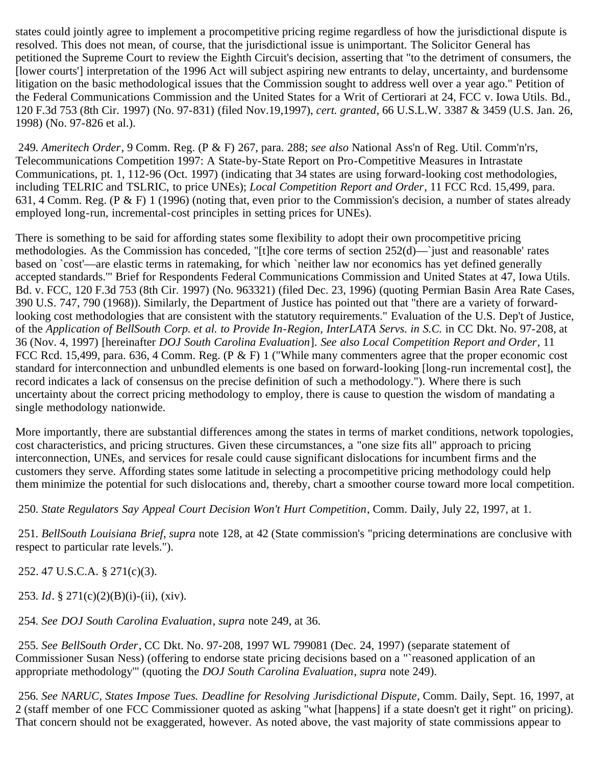states could jointly agree to implement a procompetitive pricing regime regardless of how the jurisdictional dispute is resolved. This does not mean, of course, that the jurisdictional issue is unimportant. The Solicitor General has petitioned the Supreme Court to review the Eighth Circuit's decision, asserting that "to the detriment of consumers, the [lower courts'] interpretation of the 1996 Act will subject aspiring new entrants to delay, uncertainty, and burdensome litigation on the basic methodological issues that the Commission sought to address well over a year ago." Petition of the Federal Communications Commission and the United States for a Writ of Certiorari at 24, FCC v. Iowa Utils. Bd., 120 F.3d 753 (8th Cir. 1997) (No. 97-831) (filed Nov.19,1997), *cert. granted*, 66 U.S.L.W. 3387 & 3459 (U.S. Jan. 26, 1998) (No. 97-826 et al.).

<span id="page-55-0"></span>249*. Ameritech Order*, 9 Comm. Reg. (P & F) 267, para. 288; *see also* National Ass'n of Reg. Util. Comm'n'rs, Telecommunications Competition 1997: A State-by-State Report on Pro-Competitive Measures in Intrastate Communications, pt. 1, 112-96 (Oct. 1997) (indicating that 34 states are using forward-looking cost methodologies, including TELRIC and TSLRIC, to price UNEs); *Local Competition Report and Order*, 11 FCC Rcd. 15,499, para. 631, 4 Comm. Reg. (P & F) 1 (1996) (noting that, even prior to the Commission's decision, a number of states already employed long-run, incremental-cost principles in setting prices for UNEs).

There is something to be said for affording states some flexibility to adopt their own procompetitive pricing methodologies. As the Commission has conceded, "[t]he core terms of section 252(d)—`just and reasonable' rates based on `cost'—are elastic terms in ratemaking, for which `neither law nor economics has yet defined generally accepted standards.'" Brief for Respondents Federal Communications Commission and United States at 47, Iowa Utils. Bd. v. FCC, 120 F.3d 753 (8th Cir. 1997) (No. 963321) (filed Dec. 23, 1996) (quoting Permian Basin Area Rate Cases, 390 U.S. 747, 790 (1968)). Similarly, the Department of Justice has pointed out that "there are a variety of forwardlooking cost methodologies that are consistent with the statutory requirements." Evaluation of the U.S. Dep't of Justice, of the *Application of BellSouth Corp. et al. to Provide In-Region, InterLATA Servs. in S.C.* in CC Dkt. No. 97-208, at 36 (Nov. 4, 1997) [hereinafter *DOJ South Carolina Evaluation*]. *See also Local Competition Report and Order*, 11 FCC Rcd. 15,499, para. 636, 4 Comm. Reg. (P & F) 1 ("While many commenters agree that the proper economic cost standard for interconnection and unbundled elements is one based on forward-looking [long-run incremental cost], the record indicates a lack of consensus on the precise definition of such a methodology."). Where there is such uncertainty about the correct pricing methodology to employ, there is cause to question the wisdom of mandating a single methodology nationwide.

More importantly, there are substantial differences among the states in terms of market conditions, network topologies, cost characteristics, and pricing structures. Given these circumstances, a "one size fits all" approach to pricing interconnection, UNEs, and services for resale could cause significant dislocations for incumbent firms and the customers they serve. Affording states some latitude in selecting a procompetitive pricing methodology could help them minimize the potential for such dislocations and, thereby, chart a smoother course toward more local competition.

<span id="page-55-1"></span>250*. State Regulators Say Appeal Court Decision Won't Hurt Competition*, Comm. Daily, July 22, 1997, at 1.

<span id="page-55-2"></span>251*. BellSouth Louisiana Brief*, *supra* note 128, at 42 (State commission's "pricing determinations are conclusive with respect to particular rate levels.").

<span id="page-55-3"></span>252. 47 U.S.C.A. § 271(c)(3).

<span id="page-55-4"></span>253*. Id*. § 271(c)(2)(B)(i)-(ii), (xiv).

<span id="page-55-5"></span>254*. See DOJ South Carolina Evaluation*, *supra* note 249, at 36.

<span id="page-55-6"></span>255*. See BellSouth Order*, CC Dkt. No. 97-208, 1997 WL 799081 (Dec. 24, 1997) (separate statement of Commissioner Susan Ness) (offering to endorse state pricing decisions based on a "`reasoned application of an appropriate methodology'" (quoting the *DOJ South Carolina Evaluation*, *supra* note 249).

<span id="page-55-7"></span>256*. See NARUC, States Impose Tues. Deadline for Resolving Jurisdictional Dispute*, Comm. Daily, Sept. 16, 1997, at 2 (staff member of one FCC Commissioner quoted as asking "what [happens] if a state doesn't get it right" on pricing). That concern should not be exaggerated, however. As noted above, the vast majority of state commissions appear to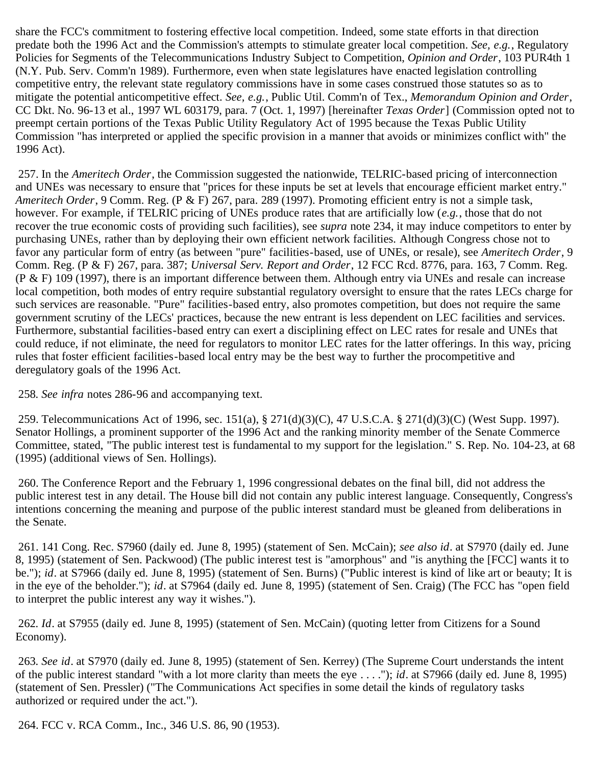share the FCC's commitment to fostering effective local competition. Indeed, some state efforts in that direction predate both the 1996 Act and the Commission's attempts to stimulate greater local competition. *See, e.g.*, Regulatory Policies for Segments of the Telecommunications Industry Subject to Competition, *Opinion and Order*, 103 PUR4th 1 (N.Y. Pub. Serv. Comm'n 1989). Furthermore, even when state legislatures have enacted legislation controlling competitive entry, the relevant state regulatory commissions have in some cases construed those statutes so as to mitigate the potential anticompetitive effect. *See, e.g.*, Public Util. Comm'n of Tex., *Memorandum Opinion and Order*, CC Dkt. No. 96-13 et al., 1997 WL 603179, para. 7 (Oct. 1, 1997) [hereinafter *Texas Order*] (Commission opted not to preempt certain portions of the Texas Public Utility Regulatory Act of 1995 because the Texas Public Utility Commission "has interpreted or applied the specific provision in a manner that avoids or minimizes conflict with" the 1996 Act).

<span id="page-56-0"></span> 257. In the *Ameritech Order*, the Commission suggested the nationwide, TELRIC-based pricing of interconnection and UNEs was necessary to ensure that "prices for these inputs be set at levels that encourage efficient market entry." *Ameritech Order*, 9 Comm. Reg. (P & F) 267, para. 289 (1997). Promoting efficient entry is not a simple task, however. For example, if TELRIC pricing of UNEs produce rates that are artificially low (*e.g.*, those that do not recover the true economic costs of providing such facilities), see *supra* note 234, it may induce competitors to enter by purchasing UNEs, rather than by deploying their own efficient network facilities. Although Congress chose not to favor any particular form of entry (as between "pure" facilities-based, use of UNEs, or resale), see *Ameritech Order*, 9 Comm. Reg. (P & F) 267, para. 387; *Universal Serv. Report and Order*, 12 FCC Rcd. 8776, para. 163, 7 Comm. Reg. (P & F) 109 (1997), there is an important difference between them. Although entry via UNEs and resale can increase local competition, both modes of entry require substantial regulatory oversight to ensure that the rates LECs charge for such services are reasonable. "Pure" facilities-based entry, also promotes competition, but does not require the same government scrutiny of the LECs' practices, because the new entrant is less dependent on LEC facilities and services. Furthermore, substantial facilities-based entry can exert a disciplining effect on LEC rates for resale and UNEs that could reduce, if not eliminate, the need for regulators to monitor LEC rates for the latter offerings. In this way, pricing rules that foster efficient facilities-based local entry may be the best way to further the procompetitive and deregulatory goals of the 1996 Act.

<span id="page-56-1"></span>258*. See infra* notes 286-96 and accompanying text.

<span id="page-56-2"></span> 259. Telecommunications Act of 1996, sec. 151(a), § 271(d)(3)(C), 47 U.S.C.A. § 271(d)(3)(C) (West Supp. 1997). Senator Hollings, a prominent supporter of the 1996 Act and the ranking minority member of the Senate Commerce Committee, stated, "The public interest test is fundamental to my support for the legislation." S. Rep. No. 104-23, at 68 (1995) (additional views of Sen. Hollings).

<span id="page-56-3"></span> 260. The Conference Report and the February 1, 1996 congressional debates on the final bill, did not address the public interest test in any detail. The House bill did not contain any public interest language. Consequently, Congress's intentions concerning the meaning and purpose of the public interest standard must be gleaned from deliberations in the Senate.

<span id="page-56-4"></span> 261. 141 Cong. Rec. S7960 (daily ed. June 8, 1995) (statement of Sen. McCain); *see also id*. at S7970 (daily ed. June 8, 1995) (statement of Sen. Packwood) (The public interest test is "amorphous" and "is anything the [FCC] wants it to be."); *id*. at S7966 (daily ed. June 8, 1995) (statement of Sen. Burns) ("Public interest is kind of like art or beauty; It is in the eye of the beholder."); *id*. at S7964 (daily ed. June 8, 1995) (statement of Sen. Craig) (The FCC has "open field to interpret the public interest any way it wishes.").

<span id="page-56-5"></span>262*. Id*. at S7955 (daily ed. June 8, 1995) (statement of Sen. McCain) (quoting letter from Citizens for a Sound Economy).

<span id="page-56-6"></span>263*. See id*. at S7970 (daily ed. June 8, 1995) (statement of Sen. Kerrey) (The Supreme Court understands the intent of the public interest standard "with a lot more clarity than meets the eye . . . ."); *id*. at S7966 (daily ed. June 8, 1995) (statement of Sen. Pressler) ("The Communications Act specifies in some detail the kinds of regulatory tasks authorized or required under the act.").

<span id="page-56-7"></span>264. FCC v. RCA Comm., Inc., 346 U.S. 86, 90 (1953).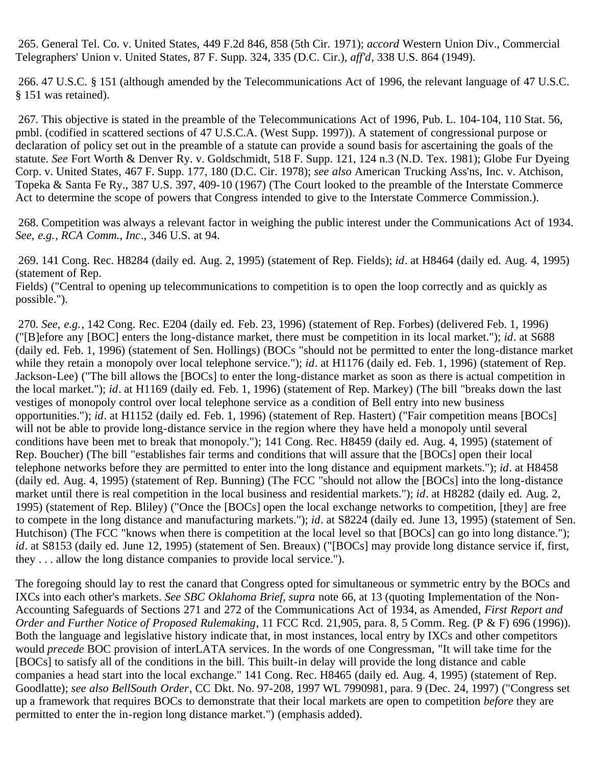<span id="page-57-0"></span> 265. General Tel. Co. v. United States, 449 F.2d 846, 858 (5th Cir. 1971); *accord* Western Union Div., Commercial Telegraphers' Union v. United States, 87 F. Supp. 324, 335 (D.C. Cir.), *aff'd*, 338 U.S. 864 (1949).

<span id="page-57-1"></span> 266. 47 U.S.C. § 151 (although amended by the Telecommunications Act of 1996, the relevant language of 47 U.S.C. § 151 was retained).

<span id="page-57-2"></span>267*.* This objective is stated in the preamble of the Telecommunications Act of 1996, Pub. L. 104-104, 110 Stat. 56, pmbl. (codified in scattered sections of 47 U.S.C.A. (West Supp. 1997)). A statement of congressional purpose or declaration of policy set out in the preamble of a statute can provide a sound basis for ascertaining the goals of the statute. *See* Fort Worth & Denver Ry. v. Goldschmidt, 518 F. Supp. 121, 124 n.3 (N.D. Tex. 1981); Globe Fur Dyeing Corp. v. United States, 467 F. Supp. 177, 180 (D.C. Cir. 1978); *see also* American Trucking Ass'ns, Inc. v. Atchison, Topeka & Santa Fe Ry., 387 U.S. 397, 409-10 (1967) (The Court looked to the preamble of the Interstate Commerce Act to determine the scope of powers that Congress intended to give to the Interstate Commerce Commission.).

<span id="page-57-3"></span> 268. Competition was always a relevant factor in weighing the public interest under the Communications Act of 1934. *See, e.g.*, *RCA Comm., Inc*., 346 U.S. at 94.

<span id="page-57-4"></span> 269. 141 Cong. Rec. H8284 (daily ed. Aug. 2, 1995) (statement of Rep. Fields); *id*. at H8464 (daily ed. Aug. 4, 1995) (statement of Rep.

Fields) ("Central to opening up telecommunications to competition is to open the loop correctly and as quickly as possible.").

<span id="page-57-5"></span>270*. See, e.g.*, 142 Cong. Rec. E204 (daily ed. Feb. 23, 1996) (statement of Rep. Forbes) (delivered Feb. 1, 1996) ("[B]efore any [BOC] enters the long-distance market, there must be competition in its local market."); *id*. at S688 (daily ed. Feb. 1, 1996) (statement of Sen. Hollings) (BOCs "should not be permitted to enter the long-distance market while they retain a monopoly over local telephone service."); *id*. at H1176 (daily ed. Feb. 1, 1996) (statement of Rep. Jackson-Lee) ("The bill allows the [BOCs] to enter the long-distance market as soon as there is actual competition in the local market."); *id*. at H1169 (daily ed. Feb. 1, 1996) (statement of Rep. Markey) (The bill "breaks down the last vestiges of monopoly control over local telephone service as a condition of Bell entry into new business opportunities."); *id*. at H1152 (daily ed. Feb. 1, 1996) (statement of Rep. Hastert) ("Fair competition means [BOCs] will not be able to provide long-distance service in the region where they have held a monopoly until several conditions have been met to break that monopoly."); 141 Cong. Rec. H8459 (daily ed. Aug. 4, 1995) (statement of Rep. Boucher) (The bill "establishes fair terms and conditions that will assure that the [BOCs] open their local telephone networks before they are permitted to enter into the long distance and equipment markets."); *id*. at H8458 (daily ed. Aug. 4, 1995) (statement of Rep. Bunning) (The FCC "should not allow the [BOCs] into the long-distance market until there is real competition in the local business and residential markets."); *id*. at H8282 (daily ed. Aug. 2, 1995) (statement of Rep. Bliley) ("Once the [BOCs] open the local exchange networks to competition, [they] are free to compete in the long distance and manufacturing markets."); *id*. at S8224 (daily ed. June 13, 1995) (statement of Sen. Hutchison) (The FCC "knows when there is competition at the local level so that [BOCs] can go into long distance."); *id*. at S8153 (daily ed. June 12, 1995) (statement of Sen. Breaux) ("[BOCs] may provide long distance service if, first, they . . . allow the long distance companies to provide local service.").

The foregoing should lay to rest the canard that Congress opted for simultaneous or symmetric entry by the BOCs and IXCs into each other's markets. *See SBC Oklahoma Brief*, *supra* note 66, at 13 (quoting Implementation of the Non-Accounting Safeguards of Sections 271 and 272 of the Communications Act of 1934, as Amended, *First Report and Order and Further Notice of Proposed Rulemaking*, 11 FCC Rcd. 21,905, para. 8, 5 Comm. Reg. (P & F) 696 (1996)). Both the language and legislative history indicate that, in most instances, local entry by IXCs and other competitors would *precede* BOC provision of interLATA services. In the words of one Congressman, "It will take time for the [BOCs] to satisfy all of the conditions in the bill. This built-in delay will provide the long distance and cable companies a head start into the local exchange." 141 Cong. Rec. H8465 (daily ed. Aug. 4, 1995) (statement of Rep. Goodlatte); *see also BellSouth Order*, CC Dkt. No. 97-208, 1997 WL 7990981, para. 9 (Dec. 24, 1997) ("Congress set up a framework that requires BOCs to demonstrate that their local markets are open to competition *before* they are permitted to enter the in-region long distance market.") (emphasis added).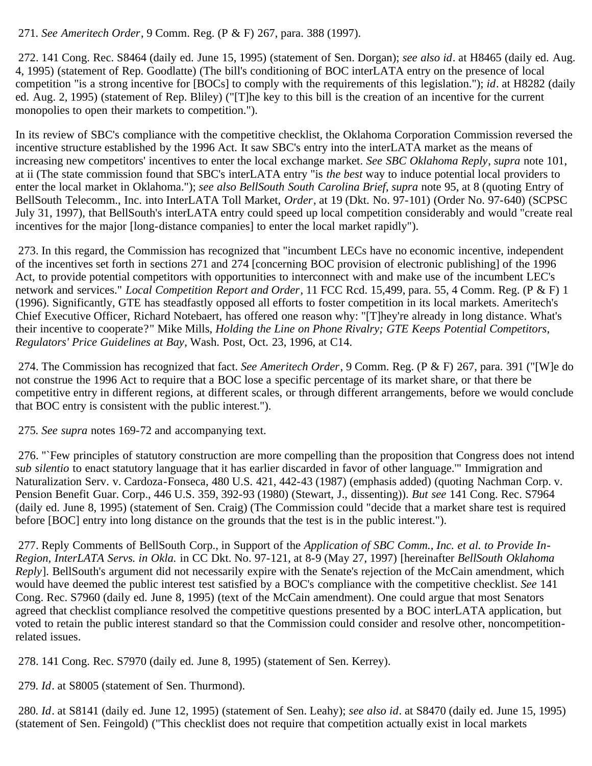<span id="page-58-0"></span>271*. See Ameritech Order*, 9 Comm. Reg. (P & F) 267, para. 388 (1997).

<span id="page-58-1"></span> 272. 141 Cong. Rec. S8464 (daily ed. June 15, 1995) (statement of Sen. Dorgan); *see also id*. at H8465 (daily ed. Aug. 4, 1995) (statement of Rep. Goodlatte) (The bill's conditioning of BOC interLATA entry on the presence of local competition "is a strong incentive for [BOCs] to comply with the requirements of this legislation."); *id*. at H8282 (daily ed. Aug. 2, 1995) (statement of Rep. Bliley) ("[T]he key to this bill is the creation of an incentive for the current monopolies to open their markets to competition.").

In its review of SBC's compliance with the competitive checklist, the Oklahoma Corporation Commission reversed the incentive structure established by the 1996 Act. It saw SBC's entry into the interLATA market as the means of increasing new competitors' incentives to enter the local exchange market. *See SBC Oklahoma Reply*, *supra* note 101, at ii (The state commission found that SBC's interLATA entry "is *the best* way to induce potential local providers to enter the local market in Oklahoma."); *see also BellSouth South Carolina Brief*, *supra* note 95, at 8 (quoting Entry of BellSouth Telecomm., Inc. into InterLATA Toll Market, *Order*, at 19 (Dkt. No. 97-101) (Order No. 97-640) (SCPSC July 31, 1997), that BellSouth's interLATA entry could speed up local competition considerably and would "create real incentives for the major [long-distance companies] to enter the local market rapidly").

<span id="page-58-2"></span> 273. In this regard, the Commission has recognized that "incumbent LECs have no economic incentive, independent of the incentives set forth in sections 271 and 274 [concerning BOC provision of electronic publishing] of the 1996 Act, to provide potential competitors with opportunities to interconnect with and make use of the incumbent LEC's network and services." *Local Competition Report and Order*, 11 FCC Rcd. 15,499, para. 55, 4 Comm. Reg. (P & F) 1 (1996). Significantly, GTE has steadfastly opposed all efforts to foster competition in its local markets. Ameritech's Chief Executive Officer, Richard Notebaert, has offered one reason why: "[T]hey're already in long distance. What's their incentive to cooperate?" Mike Mills, *Holding the Line on Phone Rivalry; GTE Keeps Potential Competitors, Regulators' Price Guidelines at Bay*, Wash. Post, Oct. 23, 1996, at C14.

<span id="page-58-3"></span> 274. The Commission has recognized that fact. *See Ameritech Order*, 9 Comm. Reg. (P & F) 267, para. 391 ("[W]e do not construe the 1996 Act to require that a BOC lose a specific percentage of its market share, or that there be competitive entry in different regions, at different scales, or through different arrangements, before we would conclude that BOC entry is consistent with the public interest.").

<span id="page-58-4"></span>275*. See supra* notes 169-72 and accompanying text.

<span id="page-58-5"></span> 276. "`Few principles of statutory construction are more compelling than the proposition that Congress does not intend *sub silentio* to enact statutory language that it has earlier discarded in favor of other language.'" Immigration and Naturalization Serv. v. Cardoza-Fonseca, 480 U.S. 421, 442-43 (1987) (emphasis added) (quoting Nachman Corp. v. Pension Benefit Guar. Corp., 446 U.S. 359, 392-93 (1980) (Stewart, J., dissenting)). *But see* 141 Cong. Rec. S7964 (daily ed. June 8, 1995) (statement of Sen. Craig) (The Commission could "decide that a market share test is required before [BOC] entry into long distance on the grounds that the test is in the public interest.").

<span id="page-58-6"></span> 277. Reply Comments of BellSouth Corp., in Support of the *Application of SBC Comm., Inc. et al. to Provide In-Region, InterLATA Servs. in Okla.* in CC Dkt. No. 97-121, at 8-9 (May 27, 1997) [hereinafter *BellSouth Oklahoma Reply*]. BellSouth's argument did not necessarily expire with the Senate's rejection of the McCain amendment, which would have deemed the public interest test satisfied by a BOC's compliance with the competitive checklist. *See* 141 Cong. Rec. S7960 (daily ed. June 8, 1995) (text of the McCain amendment). One could argue that most Senators agreed that checklist compliance resolved the competitive questions presented by a BOC interLATA application, but voted to retain the public interest standard so that the Commission could consider and resolve other, noncompetitionrelated issues.

<span id="page-58-7"></span>278. 141 Cong. Rec. S7970 (daily ed. June 8, 1995) (statement of Sen. Kerrey).

<span id="page-58-8"></span>279*. Id*. at S8005 (statement of Sen. Thurmond).

<span id="page-58-9"></span>280*. Id*. at S8141 (daily ed. June 12, 1995) (statement of Sen. Leahy); *see also id*. at S8470 (daily ed. June 15, 1995) (statement of Sen. Feingold) ("This checklist does not require that competition actually exist in local markets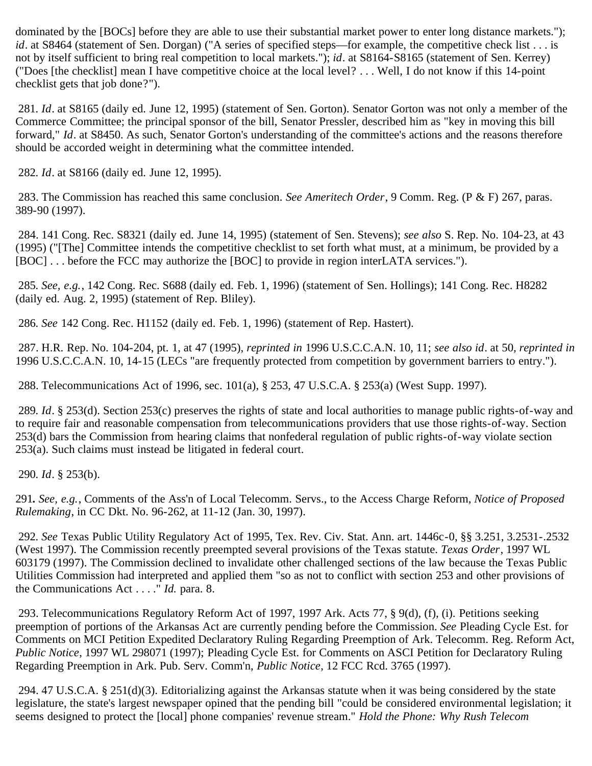dominated by the [BOCs] before they are able to use their substantial market power to enter long distance markets."); *id*. at S8464 (statement of Sen. Dorgan) ("A series of specified steps—for example, the competitive check list . . . is not by itself sufficient to bring real competition to local markets."); *id*. at S8164-S8165 (statement of Sen. Kerrey) ("Does [the checklist] mean I have competitive choice at the local level? . . . Well, I do not know if this 14-point checklist gets that job done?").

<span id="page-59-0"></span>281*. Id*. at S8165 (daily ed. June 12, 1995) (statement of Sen. Gorton). Senator Gorton was not only a member of the Commerce Committee; the principal sponsor of the bill, Senator Pressler, described him as "key in moving this bill forward," *Id*. at S8450. As such, Senator Gorton's understanding of the committee's actions and the reasons therefore should be accorded weight in determining what the committee intended.

<span id="page-59-1"></span>282*. Id*. at S8166 (daily ed. June 12, 1995).

<span id="page-59-2"></span> 283. The Commission has reached this same conclusion. *See Ameritech Order*, 9 Comm. Reg. (P & F) 267, paras. 389-90 (1997).

<span id="page-59-3"></span> 284. 141 Cong. Rec. S8321 (daily ed. June 14, 1995) (statement of Sen. Stevens); *see also* S. Rep. No. 104-23, at 43 (1995) ("[The] Committee intends the competitive checklist to set forth what must, at a minimum, be provided by a [BOC] ... before the FCC may authorize the [BOC] to provide in region interLATA services.").

<span id="page-59-4"></span>285*. See, e.g.*, 142 Cong. Rec. S688 (daily ed. Feb. 1, 1996) (statement of Sen. Hollings); 141 Cong. Rec. H8282 (daily ed. Aug. 2, 1995) (statement of Rep. Bliley).

<span id="page-59-5"></span>286*. See* 142 Cong. Rec. H1152 (daily ed. Feb. 1, 1996) (statement of Rep. Hastert).

<span id="page-59-6"></span> 287. H.R. Rep. No. 104-204, pt. 1, at 47 (1995), *reprinted in* 1996 U.S.C.C.A.N. 10, 11; *see also id*. at 50, *reprinted in* 1996 U.S.C.C.A.N. 10, 14-15 (LECs "are frequently protected from competition by government barriers to entry.").

<span id="page-59-7"></span>288. Telecommunications Act of 1996, sec. 101(a), § 253, 47 U.S.C.A. § 253(a) (West Supp. 1997).

<span id="page-59-8"></span>289*. Id*. § 253(d). Section 253(c) preserves the rights of state and local authorities to manage public rights-of-way and to require fair and reasonable compensation from telecommunications providers that use those rights-of-way. Section 253(d) bars the Commission from hearing claims that nonfederal regulation of public rights-of-way violate section 253(a). Such claims must instead be litigated in federal court.

<span id="page-59-9"></span>290*. Id*. § 253(b).

291*. See, e.g.*, Comments of the Ass'n of Local Telecomm. Servs., to the Access Charge Reform, *Notice of Proposed Rulemaking*, in CC Dkt. No. 96-262, at 11-12 (Jan. 30, 1997).

<span id="page-59-10"></span>292*. See* Texas Public Utility Regulatory Act of 1995, Tex. Rev. Civ. Stat. Ann. art. 1446c-0, §§ 3.251, 3.2531-.2532 (West 1997). The Commission recently preempted several provisions of the Texas statute. *Texas Order*, 1997 WL 603179 (1997). The Commission declined to invalidate other challenged sections of the law because the Texas Public Utilities Commission had interpreted and applied them "so as not to conflict with section 253 and other provisions of the Communications Act . . . ." *Id.* para. 8.

<span id="page-59-11"></span> 293. Telecommunications Regulatory Reform Act of 1997, 1997 Ark. Acts 77, § 9(d), (f), (i). Petitions seeking preemption of portions of the Arkansas Act are currently pending before the Commission. *See* Pleading Cycle Est. for Comments on MCI Petition Expedited Declaratory Ruling Regarding Preemption of Ark. Telecomm. Reg. Reform Act, *Public Notice*, 1997 WL 298071 (1997); Pleading Cycle Est. for Comments on ASCI Petition for Declaratory Ruling Regarding Preemption in Ark. Pub. Serv. Comm'n, *Public Notice*, 12 FCC Rcd. 3765 (1997).

<span id="page-59-12"></span> 294. 47 U.S.C.A. § 251(d)(3). Editorializing against the Arkansas statute when it was being considered by the state legislature, the state's largest newspaper opined that the pending bill "could be considered environmental legislation; it seems designed to protect the [local] phone companies' revenue stream." *Hold the Phone: Why Rush Telecom*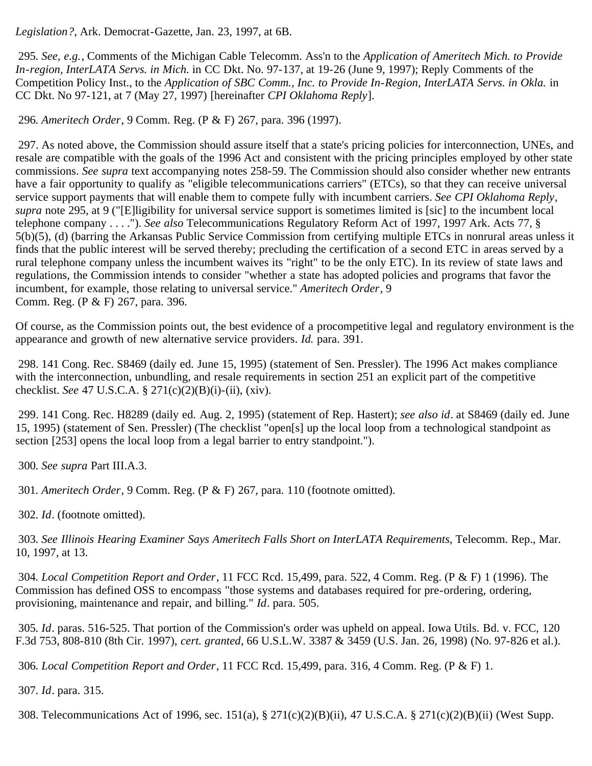*Legislation?*, Ark. Democrat-Gazette, Jan. 23, 1997, at 6B.

<span id="page-60-0"></span>295*. See, e.g.*, Comments of the Michigan Cable Telecomm. Ass'n to the *Application of Ameritech Mich. to Provide In-region, InterLATA Servs. in Mich.* in CC Dkt. No. 97-137, at 19-26 (June 9, 1997); Reply Comments of the Competition Policy Inst., to the *Application of SBC Comm., Inc. to Provide In-Region, InterLATA Servs. in Okla.* in CC Dkt. No 97-121, at 7 (May 27, 1997) [hereinafter *CPI Oklahoma Reply*].

<span id="page-60-1"></span>296*. Ameritech Order*, 9 Comm. Reg. (P & F) 267, para. 396 (1997).

<span id="page-60-2"></span> 297. As noted above, the Commission should assure itself that a state's pricing policies for interconnection, UNEs, and resale are compatible with the goals of the 1996 Act and consistent with the pricing principles employed by other state commissions. *See supra* text accompanying notes 258-59. The Commission should also consider whether new entrants have a fair opportunity to qualify as "eligible telecommunications carriers" (ETCs), so that they can receive universal service support payments that will enable them to compete fully with incumbent carriers. *See CPI Oklahoma Reply*, *supra* note 295, at 9 ("[E]ligibility for universal service support is sometimes limited is [sic] to the incumbent local telephone company . . . ."). *See also* Telecommunications Regulatory Reform Act of 1997, 1997 Ark. Acts 77, § 5(b)(5), (d) (barring the Arkansas Public Service Commission from certifying multiple ETCs in nonrural areas unless it finds that the public interest will be served thereby; precluding the certification of a second ETC in areas served by a rural telephone company unless the incumbent waives its "right" to be the only ETC). In its review of state laws and regulations, the Commission intends to consider "whether a state has adopted policies and programs that favor the incumbent, for example, those relating to universal service." *Ameritech Order*, 9 Comm. Reg. (P & F) 267, para. 396.

Of course, as the Commission points out, the best evidence of a procompetitive legal and regulatory environment is the appearance and growth of new alternative service providers. *Id.* para*.* 391.

<span id="page-60-3"></span> 298. 141 Cong. Rec. S8469 (daily ed. June 15, 1995) (statement of Sen. Pressler). The 1996 Act makes compliance with the interconnection, unbundling, and resale requirements in section 251 an explicit part of the competitive checklist. *See* 47 U.S.C.A. § 271(c)(2)(B)(i)-(ii), (xiv).

<span id="page-60-4"></span> 299. 141 Cong. Rec. H8289 (daily ed. Aug. 2, 1995) (statement of Rep. Hastert); *see also id*. at S8469 (daily ed. June 15, 1995) (statement of Sen. Pressler) (The checklist "open[s] up the local loop from a technological standpoint as section [253] opens the local loop from a legal barrier to entry standpoint.").

<span id="page-60-5"></span>300*. See supra* Part III.A.3.

<span id="page-60-6"></span>301*. Ameritech Order*, 9 Comm. Reg. (P & F) 267, para. 110 (footnote omitted).

302*. Id*. (footnote omitted).

<span id="page-60-7"></span>303*. See Illinois Hearing Examiner Says Ameritech Falls Short on InterLATA Requirements*, Telecomm. Rep., Mar. 10, 1997, at 13.

<span id="page-60-8"></span>304*. Local Competition Report and Order*, 11 FCC Rcd. 15,499, para. 522, 4 Comm. Reg. (P & F) 1 (1996). The Commission has defined OSS to encompass "those systems and databases required for pre-ordering, ordering, provisioning, maintenance and repair, and billing." *Id*. para. 505.

<span id="page-60-9"></span>305*. Id*. paras. 516-525. That portion of the Commission's order was upheld on appeal. Iowa Utils. Bd. v. FCC, 120 F.3d 753, 808-810 (8th Cir. 1997), *cert. granted*, 66 U.S.L.W. 3387 & 3459 (U.S. Jan. 26, 1998) (No. 97-826 et al.).

<span id="page-60-10"></span>306*. Local Competition Report and Order*, 11 FCC Rcd. 15,499, para. 316, 4 Comm. Reg. (P & F) 1.

<span id="page-60-11"></span>307*. Id*. para. 315.

<span id="page-60-12"></span>308. Telecommunications Act of 1996, sec. 151(a), § 271(c)(2)(B)(ii), 47 U.S.C.A. § 271(c)(2)(B)(ii) (West Supp.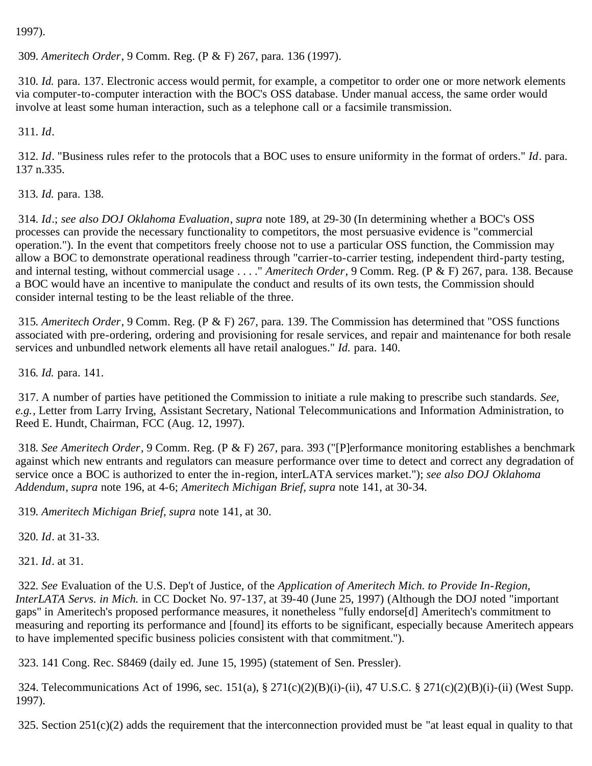1997).

<span id="page-61-0"></span>309*. Ameritech Order*, 9 Comm. Reg. (P & F) 267, para. 136 (1997).

<span id="page-61-1"></span>310*. Id.* para*.* 137. Electronic access would permit, for example, a competitor to order one or more network elements via computer-to-computer interaction with the BOC's OSS database. Under manual access, the same order would involve at least some human interaction, such as a telephone call or a facsimile transmission.

<span id="page-61-2"></span>311*. Id*.

<span id="page-61-3"></span>312*. Id*. "Business rules refer to the protocols that a BOC uses to ensure uniformity in the format of orders." *Id*. para. 137 n.335.

<span id="page-61-4"></span>313*. Id.* para. 138.

<span id="page-61-5"></span>314*. Id*.; *see also DOJ Oklahoma Evaluation*, *supra* note 189, at 29-30 (In determining whether a BOC's OSS processes can provide the necessary functionality to competitors, the most persuasive evidence is "commercial operation."). In the event that competitors freely choose not to use a particular OSS function, the Commission may allow a BOC to demonstrate operational readiness through "carrier-to-carrier testing, independent third-party testing, and internal testing, without commercial usage . . . ." *Ameritech Order*, 9 Comm. Reg. (P & F) 267, para. 138. Because a BOC would have an incentive to manipulate the conduct and results of its own tests, the Commission should consider internal testing to be the least reliable of the three.

<span id="page-61-6"></span>315*. Ameritech Order*, 9 Comm. Reg. (P & F) 267, para. 139. The Commission has determined that "OSS functions associated with pre-ordering, ordering and provisioning for resale services, and repair and maintenance for both resale services and unbundled network elements all have retail analogues." *Id.* para. 140.

<span id="page-61-7"></span>316*. Id.* para*.* 141.

<span id="page-61-8"></span> 317. A number of parties have petitioned the Commission to initiate a rule making to prescribe such standards. *See, e.g.*, Letter from Larry Irving, Assistant Secretary, National Telecommunications and Information Administration, to Reed E. Hundt, Chairman, FCC (Aug. 12, 1997).

<span id="page-61-9"></span>318*. See Ameritech Order*, 9 Comm. Reg. (P & F) 267, para. 393 ("[P]erformance monitoring establishes a benchmark against which new entrants and regulators can measure performance over time to detect and correct any degradation of service once a BOC is authorized to enter the in-region, interLATA services market."); *see also DOJ Oklahoma Addendum*, *supra* note 196, at 4-6; *Ameritech Michigan Brief*, *supra* note 141, at 30-34.

<span id="page-61-10"></span>319*. Ameritech Michigan Brief*, *supra* note 141, at 30.

<span id="page-61-11"></span>320*. Id*. at 31-33.

<span id="page-61-12"></span>321*. Id*. at 31.

<span id="page-61-13"></span>322*. See* Evaluation of the U.S. Dep't of Justice, of the *Application of Ameritech Mich. to Provide In-Region, InterLATA Servs. in Mich.* in CC Docket No. 97-137, at 39-40 (June 25, 1997) (Although the DOJ noted "important gaps" in Ameritech's proposed performance measures, it nonetheless "fully endorse[d] Ameritech's commitment to measuring and reporting its performance and [found] its efforts to be significant, especially because Ameritech appears to have implemented specific business policies consistent with that commitment.").

<span id="page-61-14"></span>323. 141 Cong. Rec. S8469 (daily ed. June 15, 1995) (statement of Sen. Pressler).

<span id="page-61-15"></span> 324. Telecommunications Act of 1996, sec. 151(a), § 271(c)(2)(B)(i)-(ii), 47 U.S.C. § 271(c)(2)(B)(i)-(ii) (West Supp. 1997).

<span id="page-61-16"></span>325. Section  $251(c)(2)$  adds the requirement that the interconnection provided must be "at least equal in quality to that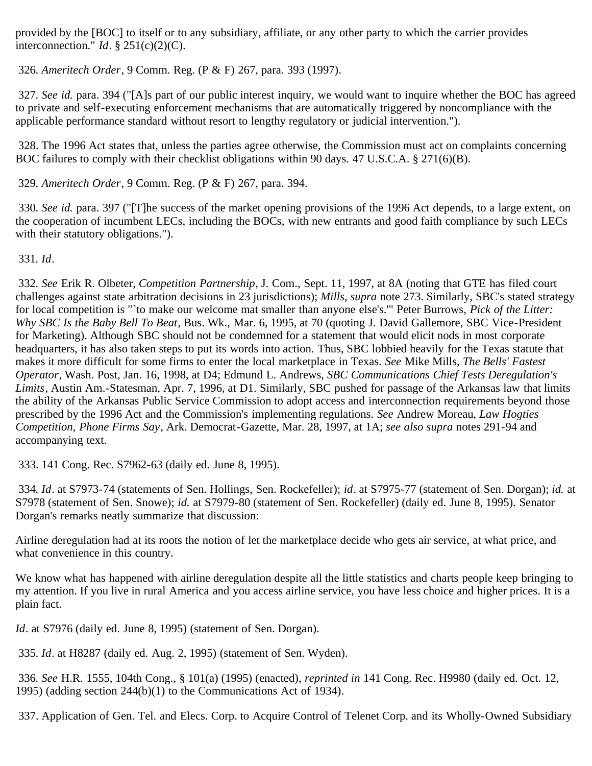provided by the [BOC] to itself or to any subsidiary, affiliate, or any other party to which the carrier provides interconnection." *Id*. § 251(c)(2)(C).

<span id="page-62-0"></span>326*. Ameritech Order*, 9 Comm. Reg. (P & F) 267, para. 393 (1997).

<span id="page-62-1"></span>327*. See id.* para*.* 394 ("[A]s part of our public interest inquiry, we would want to inquire whether the BOC has agreed to private and self-executing enforcement mechanisms that are automatically triggered by noncompliance with the applicable performance standard without resort to lengthy regulatory or judicial intervention.").

<span id="page-62-2"></span> 328. The 1996 Act states that, unless the parties agree otherwise, the Commission must act on complaints concerning BOC failures to comply with their checklist obligations within 90 days. 47 U.S.C.A. § 271(6)(B).

<span id="page-62-3"></span>329*. Ameritech Order*, 9 Comm. Reg. (P & F) 267, para. 394.

<span id="page-62-4"></span>330*. See id.* para*.* 397 ("[T]he success of the market opening provisions of the 1996 Act depends, to a large extent, on the cooperation of incumbent LECs, including the BOCs, with new entrants and good faith compliance by such LECs with their statutory obligations.").

<span id="page-62-5"></span>331*. Id*.

<span id="page-62-6"></span>332*. See* Erik R. Olbeter, *Competition Partnership*, J. Com., Sept. 11, 1997, at 8A (noting that GTE has filed court challenges against state arbitration decisions in 23 jurisdictions); *Mills*, *supra* note 273. Similarly, SBC's stated strategy for local competition is "`to make our welcome mat smaller than anyone else's.'" Peter Burrows, *Pick of the Litter: Why SBC Is the Baby Bell To Beat*, Bus. Wk., Mar. 6, 1995, at 70 (quoting J. David Gallemore, SBC Vice-President for Marketing). Although SBC should not be condemned for a statement that would elicit nods in most corporate headquarters, it has also taken steps to put its words into action. Thus, SBC lobbied heavily for the Texas statute that makes it more difficult for some firms to enter the local marketplace in Texas. *See* Mike Mills, *The Bells' Fastest Operator*, Wash. Post, Jan. 16, 1998, at D4; Edmund L. Andrews, *SBC Communications Chief Tests Deregulation's Limits*, Austin Am.-Statesman, Apr. 7, 1996, at D1. Similarly, SBC pushed for passage of the Arkansas law that limits the ability of the Arkansas Public Service Commission to adopt access and interconnection requirements beyond those prescribed by the 1996 Act and the Commission's implementing regulations. *See* Andrew Moreau, *Law Hogties Competition, Phone Firms Say*, Ark. Democrat-Gazette, Mar. 28, 1997, at 1A; *see also supra* notes 291-94 and accompanying text.

<span id="page-62-7"></span>333. 141 Cong. Rec. S7962-63 (daily ed. June 8, 1995).

<span id="page-62-8"></span>334*. Id*. at S7973-74 (statements of Sen. Hollings, Sen. Rockefeller); *id*. at S7975-77 (statement of Sen. Dorgan); *id.* at S7978 (statement of Sen. Snowe); *id.* at S7979-80 (statement of Sen. Rockefeller) (daily ed. June 8, 1995). Senator Dorgan's remarks neatly summarize that discussion:

Airline deregulation had at its roots the notion of let the marketplace decide who gets air service, at what price, and what convenience in this country.

We know what has happened with airline deregulation despite all the little statistics and charts people keep bringing to my attention. If you live in rural America and you access airline service, you have less choice and higher prices. It is a plain fact.

*Id*. at S7976 (daily ed. June 8, 1995) (statement of Sen. Dorgan).

<span id="page-62-9"></span>335*. Id*. at H8287 (daily ed. Aug. 2, 1995) (statement of Sen. Wyden).

<span id="page-62-10"></span>336*. See* H.R. 1555, 104th Cong., § 101(a) (1995) (enacted), *reprinted in* 141 Cong. Rec. H9980 (daily ed. Oct. 12, 1995) (adding section 244(b)(1) to the Communications Act of 1934).

<span id="page-62-11"></span>337. Application of Gen. Tel. and Elecs. Corp. to Acquire Control of Telenet Corp. and its Wholly-Owned Subsidiary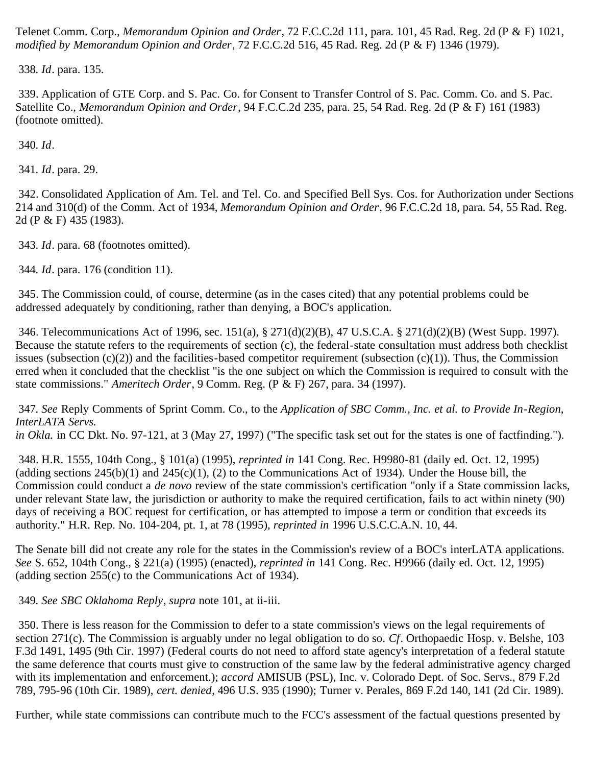Telenet Comm. Corp., *Memorandum Opinion and Order*, 72 F.C.C.2d 111, para. 101, 45 Rad. Reg. 2d (P & F) 1021, *modified by Memorandum Opinion and Order*, 72 F.C.C.2d 516, 45 Rad. Reg. 2d (P & F) 1346 (1979).

<span id="page-63-0"></span>338*. Id*. para. 135.

<span id="page-63-1"></span> 339. Application of GTE Corp. and S. Pac. Co. for Consent to Transfer Control of S. Pac. Comm. Co. and S. Pac. Satellite Co., *Memorandum Opinion and Order*, 94 F.C.C.2d 235, para. 25, 54 Rad. Reg. 2d (P & F) 161 (1983) (footnote omitted).

<span id="page-63-2"></span>340*. Id*.

<span id="page-63-3"></span>341*. Id*. para. 29.

<span id="page-63-4"></span> 342. Consolidated Application of Am. Tel. and Tel. Co. and Specified Bell Sys. Cos. for Authorization under Sections 214 and 310(d) of the Comm. Act of 1934, *Memorandum Opinion and Order*, 96 F.C.C.2d 18, para. 54, 55 Rad. Reg. 2d (P & F) 435 (1983).

<span id="page-63-5"></span>343*. Id*. para. 68 (footnotes omitted).

<span id="page-63-6"></span>344*. Id*. para. 176 (condition 11).

<span id="page-63-7"></span> 345. The Commission could, of course, determine (as in the cases cited) that any potential problems could be addressed adequately by conditioning, rather than denying, a BOC's application.

<span id="page-63-8"></span> 346. Telecommunications Act of 1996, sec. 151(a), § 271(d)(2)(B), 47 U.S.C.A. § 271(d)(2)(B) (West Supp. 1997). Because the statute refers to the requirements of section (c), the federal-state consultation must address both checklist issues (subsection  $(c)(2)$ ) and the facilities-based competitor requirement (subsection  $(c)(1)$ ). Thus, the Commission erred when it concluded that the checklist "is the one subject on which the Commission is required to consult with the state commissions." *Ameritech Order*, 9 Comm. Reg. (P & F) 267, para. 34 (1997).

<span id="page-63-9"></span>347*. See* Reply Comments of Sprint Comm. Co., to the *Application of SBC Comm., Inc. et al. to Provide In-Region, InterLATA Servs. in Okla.* in CC Dkt. No. 97-121, at 3 (May 27, 1997) ("The specific task set out for the states is one of factfinding.").

<span id="page-63-10"></span> 348. H.R. 1555, 104th Cong., § 101(a) (1995), *reprinted in* 141 Cong. Rec. H9980-81 (daily ed. Oct. 12, 1995) (adding sections  $245(b)(1)$  and  $245(c)(1)$ , (2) to the Communications Act of 1934). Under the House bill, the Commission could conduct a *de novo* review of the state commission's certification "only if a State commission lacks, under relevant State law, the jurisdiction or authority to make the required certification, fails to act within ninety (90) days of receiving a BOC request for certification, or has attempted to impose a term or condition that exceeds its authority." H.R. Rep. No. 104-204, pt. 1, at 78 (1995), *reprinted in* 1996 U.S.C.C.A.N. 10, 44.

The Senate bill did not create any role for the states in the Commission's review of a BOC's interLATA applications. *See* S. 652, 104th Cong., § 221(a) (1995) (enacted), *reprinted in* 141 Cong. Rec. H9966 (daily ed. Oct. 12, 1995) (adding section 255(c) to the Communications Act of 1934).

<span id="page-63-11"></span>349*. See SBC Oklahoma Reply*, *supra* note 101, at ii-iii.

<span id="page-63-12"></span> 350. There is less reason for the Commission to defer to a state commission's views on the legal requirements of section 271(c). The Commission is arguably under no legal obligation to do so. *Cf*. Orthopaedic Hosp. v. Belshe, 103 F.3d 1491, 1495 (9th Cir. 1997) (Federal courts do not need to afford state agency's interpretation of a federal statute the same deference that courts must give to construction of the same law by the federal administrative agency charged with its implementation and enforcement.); *accord* AMISUB (PSL), Inc. v. Colorado Dept. of Soc. Servs., 879 F.2d 789, 795-96 (10th Cir. 1989), *cert. denied*, 496 U.S. 935 (1990); Turner v. Perales, 869 F.2d 140, 141 (2d Cir. 1989).

Further, while state commissions can contribute much to the FCC's assessment of the factual questions presented by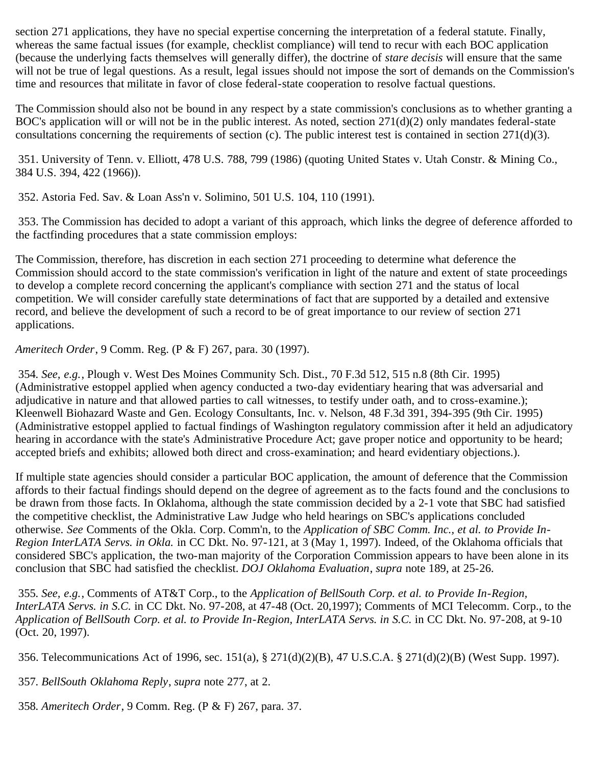section 271 applications, they have no special expertise concerning the interpretation of a federal statute. Finally, whereas the same factual issues (for example, checklist compliance) will tend to recur with each BOC application (because the underlying facts themselves will generally differ), the doctrine of *stare decisis* will ensure that the same will not be true of legal questions. As a result, legal issues should not impose the sort of demands on the Commission's time and resources that militate in favor of close federal-state cooperation to resolve factual questions.

The Commission should also not be bound in any respect by a state commission's conclusions as to whether granting a BOC's application will or will not be in the public interest. As noted, section  $271(d)(2)$  only mandates federal-state consultations concerning the requirements of section (c). The public interest test is contained in section 271(d)(3).

<span id="page-64-0"></span> 351. University of Tenn. v. Elliott, 478 U.S. 788, 799 (1986) (quoting United States v. Utah Constr. & Mining Co., 384 U.S. 394, 422 (1966)).

<span id="page-64-1"></span>352. Astoria Fed. Sav. & Loan Ass'n v. Solimino, 501 U.S. 104, 110 (1991).

<span id="page-64-2"></span> 353. The Commission has decided to adopt a variant of this approach, which links the degree of deference afforded to the factfinding procedures that a state commission employs:

The Commission, therefore, has discretion in each section 271 proceeding to determine what deference the Commission should accord to the state commission's verification in light of the nature and extent of state proceedings to develop a complete record concerning the applicant's compliance with section 271 and the status of local competition. We will consider carefully state determinations of fact that are supported by a detailed and extensive record, and believe the development of such a record to be of great importance to our review of section 271 applications.

*Ameritech Order*, 9 Comm. Reg. (P & F) 267, para. 30 (1997).

<span id="page-64-3"></span>354*. See, e.g.*, Plough v. West Des Moines Community Sch. Dist., 70 F.3d 512, 515 n.8 (8th Cir. 1995) (Administrative estoppel applied when agency conducted a two-day evidentiary hearing that was adversarial and adjudicative in nature and that allowed parties to call witnesses, to testify under oath, and to cross-examine.); Kleenwell Biohazard Waste and Gen. Ecology Consultants, Inc. v. Nelson, 48 F.3d 391, 394-395 (9th Cir. 1995) (Administrative estoppel applied to factual findings of Washington regulatory commission after it held an adjudicatory hearing in accordance with the state's Administrative Procedure Act; gave proper notice and opportunity to be heard; accepted briefs and exhibits; allowed both direct and cross-examination; and heard evidentiary objections.).

If multiple state agencies should consider a particular BOC application, the amount of deference that the Commission affords to their factual findings should depend on the degree of agreement as to the facts found and the conclusions to be drawn from those facts. In Oklahoma, although the state commission decided by a 2-1 vote that SBC had satisfied the competitive checklist, the Administrative Law Judge who held hearings on SBC's applications concluded otherwise. *See* Comments of the Okla. Corp. Comm'n, to the *Application of SBC Comm. Inc., et al. to Provide In-Region InterLATA Servs. in Okla.* in CC Dkt. No. 97-121, at 3 (May 1, 1997). Indeed, of the Oklahoma officials that considered SBC's application, the two-man majority of the Corporation Commission appears to have been alone in its conclusion that SBC had satisfied the checklist. *DOJ Oklahoma Evaluation*, *supra* note 189, at 25-26.

<span id="page-64-4"></span>355*. See, e.g.*, Comments of AT&T Corp., to the *Application of BellSouth Corp. et al. to Provide In-Region, InterLATA Servs. in S.C.* in CC Dkt. No. 97-208, at 47-48 (Oct. 20,1997); Comments of MCI Telecomm. Corp., to the *Application of BellSouth Corp. et al. to Provide In-Region, InterLATA Servs. in S.C.* in CC Dkt. No. 97-208, at 9-10 (Oct. 20, 1997).

<span id="page-64-5"></span>356. Telecommunications Act of 1996, sec. 151(a), § 271(d)(2)(B), 47 U.S.C.A. § 271(d)(2)(B) (West Supp. 1997).

<span id="page-64-6"></span>357*. BellSouth Oklahoma Reply*, *supra* note 277, at 2.

<span id="page-64-7"></span>358*. Ameritech Order*, 9 Comm. Reg. (P & F) 267, para. 37.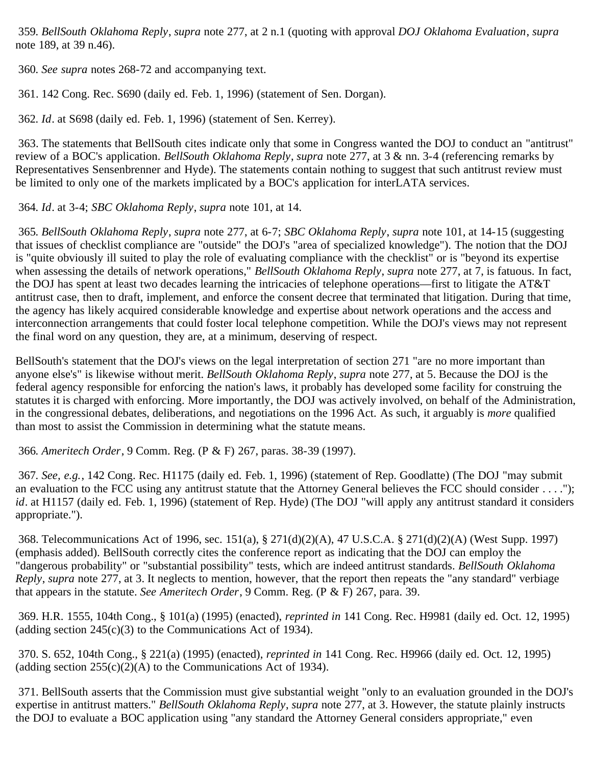<span id="page-65-0"></span>359*. BellSouth Oklahoma Reply*, *supra* note 277, at 2 n.1 (quoting with approval *DOJ Oklahoma Evaluation*, *supra* note 189, at 39 n.46).

<span id="page-65-1"></span>360*. See supra* notes 268-72 and accompanying text.

<span id="page-65-2"></span>361. 142 Cong. Rec. S690 (daily ed. Feb. 1, 1996) (statement of Sen. Dorgan).

<span id="page-65-3"></span>362*. Id*. at S698 (daily ed. Feb. 1, 1996) (statement of Sen. Kerrey).

<span id="page-65-4"></span> 363. The statements that BellSouth cites indicate only that some in Congress wanted the DOJ to conduct an "antitrust" review of a BOC's application. *BellSouth Oklahoma Reply*, *supra* note 277, at 3 & nn. 3-4 (referencing remarks by Representatives Sensenbrenner and Hyde). The statements contain nothing to suggest that such antitrust review must be limited to only one of the markets implicated by a BOC's application for interLATA services.

<span id="page-65-5"></span>364*. Id*. at 3-4; *SBC Oklahoma Reply*, *supra* note 101, at 14.

<span id="page-65-6"></span>365*. BellSouth Oklahoma Reply*, *supra* note 277, at 6-7; *SBC Oklahoma Reply*, *supra* note 101, at 14-15 (suggesting that issues of checklist compliance are "outside" the DOJ's "area of specialized knowledge"). The notion that the DOJ is "quite obviously ill suited to play the role of evaluating compliance with the checklist" or is "beyond its expertise when assessing the details of network operations," *BellSouth Oklahoma Reply*, *supra* note 277, at 7, is fatuous. In fact, the DOJ has spent at least two decades learning the intricacies of telephone operations—first to litigate the AT&T antitrust case, then to draft, implement, and enforce the consent decree that terminated that litigation. During that time, the agency has likely acquired considerable knowledge and expertise about network operations and the access and interconnection arrangements that could foster local telephone competition. While the DOJ's views may not represent the final word on any question, they are, at a minimum, deserving of respect.

BellSouth's statement that the DOJ's views on the legal interpretation of section 271 "are no more important than anyone else's" is likewise without merit. *BellSouth Oklahoma Reply*, *supra* note 277, at 5. Because the DOJ is the federal agency responsible for enforcing the nation's laws, it probably has developed some facility for construing the statutes it is charged with enforcing. More importantly, the DOJ was actively involved, on behalf of the Administration, in the congressional debates, deliberations, and negotiations on the 1996 Act. As such, it arguably is *more* qualified than most to assist the Commission in determining what the statute means.

<span id="page-65-7"></span>366*. Ameritech Order*, 9 Comm. Reg. (P & F) 267, paras. 38-39 (1997).

<span id="page-65-8"></span>367*. See, e.g.*, 142 Cong. Rec. H1175 (daily ed. Feb. 1, 1996) (statement of Rep. Goodlatte) (The DOJ "may submit an evaluation to the FCC using any antitrust statute that the Attorney General believes the FCC should consider . . . ."); *id*. at H1157 (daily ed. Feb. 1, 1996) (statement of Rep. Hyde) (The DOJ "will apply any antitrust standard it considers appropriate.").

<span id="page-65-9"></span> 368. Telecommunications Act of 1996, sec. 151(a), § 271(d)(2)(A), 47 U.S.C.A. § 271(d)(2)(A) (West Supp. 1997) (emphasis added). BellSouth correctly cites the conference report as indicating that the DOJ can employ the "dangerous probability" or "substantial possibility" tests, which are indeed antitrust standards. *BellSouth Oklahoma Reply*, *supra* note 277, at 3. It neglects to mention, however, that the report then repeats the "any standard" verbiage that appears in the statute. *See Ameritech Order*, 9 Comm. Reg. (P & F) 267, para. 39.

<span id="page-65-10"></span> 369. H.R. 1555, 104th Cong., § 101(a) (1995) (enacted), *reprinted in* 141 Cong. Rec. H9981 (daily ed. Oct. 12, 1995) (adding section  $245(c)(3)$  to the Communications Act of 1934).

<span id="page-65-11"></span> 370. S. 652, 104th Cong., § 221(a) (1995) (enacted), *reprinted in* 141 Cong. Rec. H9966 (daily ed. Oct. 12, 1995) (adding section  $255(c)(2)(A)$  to the Communications Act of 1934).

<span id="page-65-12"></span> 371. BellSouth asserts that the Commission must give substantial weight "only to an evaluation grounded in the DOJ's expertise in antitrust matters." *BellSouth Oklahoma Reply*, *supra* note 277, at 3. However, the statute plainly instructs the DOJ to evaluate a BOC application using "any standard the Attorney General considers appropriate," even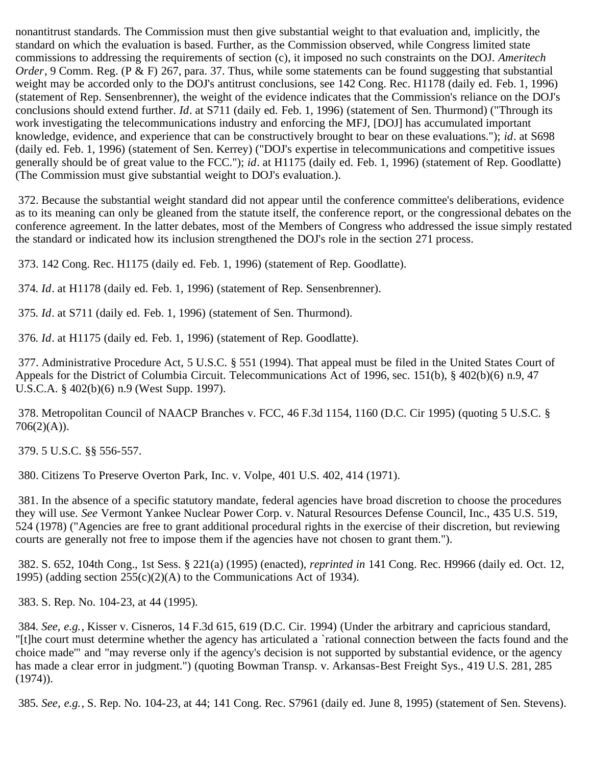nonantitrust standards. The Commission must then give substantial weight to that evaluation and, implicitly, the standard on which the evaluation is based. Further, as the Commission observed, while Congress limited state commissions to addressing the requirements of section (c), it imposed no such constraints on the DOJ. *Ameritech Order*, 9 Comm. Reg. (P & F) 267, para. 37. Thus, while some statements can be found suggesting that substantial weight may be accorded only to the DOJ's antitrust conclusions, see 142 Cong. Rec. H1178 (daily ed. Feb. 1, 1996) (statement of Rep. Sensenbrenner), the weight of the evidence indicates that the Commission's reliance on the DOJ's conclusions should extend further. *Id*. at S711 (daily ed. Feb. 1, 1996) (statement of Sen. Thurmond) ("Through its work investigating the telecommunications industry and enforcing the MFJ, [DOJ] has accumulated important knowledge, evidence, and experience that can be constructively brought to bear on these evaluations."); *id*. at S698 (daily ed. Feb. 1, 1996) (statement of Sen. Kerrey) ("DOJ's expertise in telecommunications and competitive issues generally should be of great value to the FCC."); *id*. at H1175 (daily ed. Feb. 1, 1996) (statement of Rep. Goodlatte) (The Commission must give substantial weight to DOJ's evaluation.).

<span id="page-66-0"></span> 372. Because the substantial weight standard did not appear until the conference committee's deliberations, evidence as to its meaning can only be gleaned from the statute itself, the conference report, or the congressional debates on the conference agreement. In the latter debates, most of the Members of Congress who addressed the issue simply restated the standard or indicated how its inclusion strengthened the DOJ's role in the section 271 process.

<span id="page-66-1"></span>373. 142 Cong. Rec. H1175 (daily ed. Feb. 1, 1996) (statement of Rep. Goodlatte).

<span id="page-66-2"></span>374*. Id*. at H1178 (daily ed. Feb. 1, 1996) (statement of Rep. Sensenbrenner).

<span id="page-66-3"></span>375*. Id*. at S711 (daily ed. Feb. 1, 1996) (statement of Sen. Thurmond).

<span id="page-66-4"></span>376*. Id*. at H1175 (daily ed. Feb. 1, 1996) (statement of Rep. Goodlatte).

<span id="page-66-5"></span> 377. Administrative Procedure Act, 5 U.S.C. § 551 (1994). That appeal must be filed in the United States Court of Appeals for the District of Columbia Circuit. Telecommunications Act of 1996, sec. 151(b), § 402(b)(6) n.9, 47 U.S.C.A. § 402(b)(6) n.9 (West Supp. 1997).

<span id="page-66-6"></span> 378. Metropolitan Council of NAACP Branches v. FCC, 46 F.3d 1154, 1160 (D.C. Cir 1995) (quoting 5 U.S.C. §  $706(2)(A)$ ).

<span id="page-66-7"></span>379. 5 U.S.C. §§ 556-557.

<span id="page-66-8"></span>380. Citizens To Preserve Overton Park, Inc. v. Volpe, 401 U.S. 402, 414 (1971).

<span id="page-66-9"></span> 381. In the absence of a specific statutory mandate, federal agencies have broad discretion to choose the procedures they will use. *See* Vermont Yankee Nuclear Power Corp. v. Natural Resources Defense Council, Inc., 435 U.S. 519, 524 (1978) ("Agencies are free to grant additional procedural rights in the exercise of their discretion, but reviewing courts are generally not free to impose them if the agencies have not chosen to grant them.").

<span id="page-66-10"></span> 382. S. 652, 104th Cong., 1st Sess. § 221(a) (1995) (enacted), *reprinted in* 141 Cong. Rec. H9966 (daily ed. Oct. 12, 1995) (adding section  $255(c)(2)(A)$  to the Communications Act of 1934).

<span id="page-66-11"></span>383. S. Rep. No. 104-23, at 44 (1995).

<span id="page-66-12"></span>384*. See, e.g.*, Kisser v. Cisneros, 14 F.3d 615, 619 (D.C. Cir. 1994) (Under the arbitrary and capricious standard, "[t]he court must determine whether the agency has articulated a `rational connection between the facts found and the choice made'" and "may reverse only if the agency's decision is not supported by substantial evidence, or the agency has made a clear error in judgment.") (quoting Bowman Transp. v. Arkansas-Best Freight Sys., 419 U.S. 281, 285 (1974)).

<span id="page-66-13"></span>385*. See, e.g.*, S. Rep. No. 104-23, at 44; 141 Cong. Rec. S7961 (daily ed. June 8, 1995) (statement of Sen. Stevens).